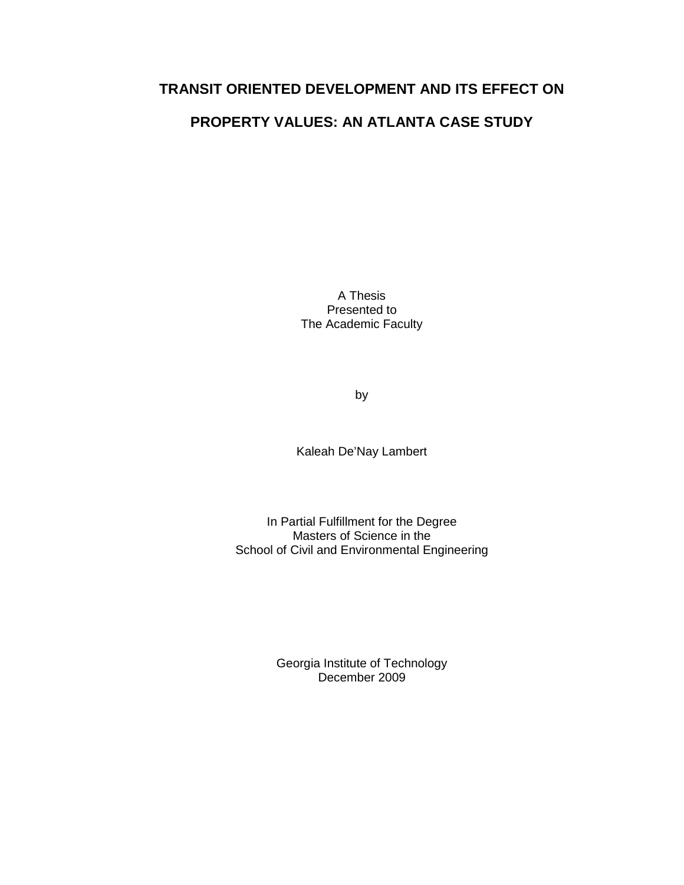# **TRANSIT ORIENTED DEVELOPMENT AND ITS EFFECT ON**

# **PROPERTY VALUES: AN ATLANTA CASE STUDY**

A Thesis Presented to The Academic Faculty

by

Kaleah De'Nay Lambert

In Partial Fulfillment for the Degree Masters of Science in the School of Civil and Environmental Engineering

> Georgia Institute of Technology December 2009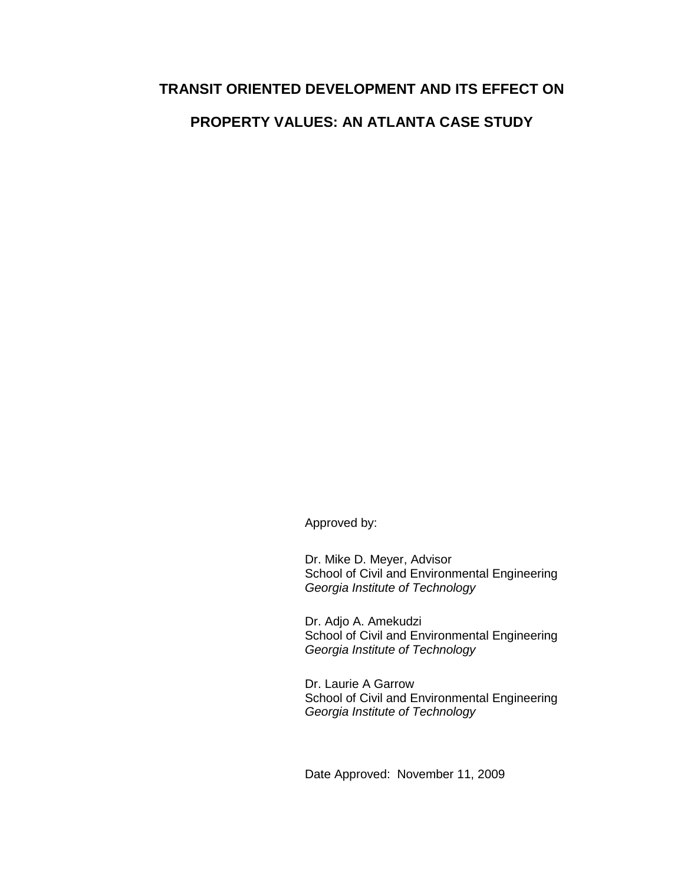# **TRANSIT ORIENTED DEVELOPMENT AND ITS EFFECT ON**

# **PROPERTY VALUES: AN ATLANTA CASE STUDY**

Approved by:

Dr. Mike D. Meyer, Advisor School of Civil and Environmental Engineering Georgia Institute of Technology

Dr. Adjo A. Amekudzi School of Civil and Environmental Engineering Georgia Institute of Technology

Dr. Laurie A Garrow School of Civil and Environmental Engineering Georgia Institute of Technology

Date Approved: November 11, 2009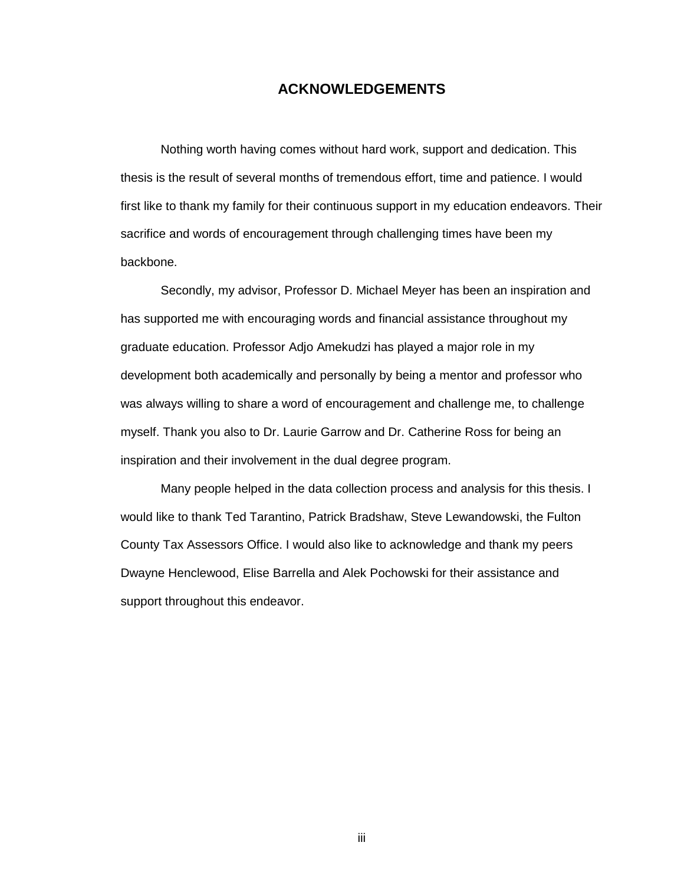# **ACKNOWLEDGEMENTS**

 Nothing worth having comes without hard work, support and dedication. This thesis is the result of several months of tremendous effort, time and patience. I would first like to thank my family for their continuous support in my education endeavors. Their sacrifice and words of encouragement through challenging times have been my backbone.

 Secondly, my advisor, Professor D. Michael Meyer has been an inspiration and has supported me with encouraging words and financial assistance throughout my graduate education. Professor Adjo Amekudzi has played a major role in my development both academically and personally by being a mentor and professor who was always willing to share a word of encouragement and challenge me, to challenge myself. Thank you also to Dr. Laurie Garrow and Dr. Catherine Ross for being an inspiration and their involvement in the dual degree program.

 Many people helped in the data collection process and analysis for this thesis. I would like to thank Ted Tarantino, Patrick Bradshaw, Steve Lewandowski, the Fulton County Tax Assessors Office. I would also like to acknowledge and thank my peers Dwayne Henclewood, Elise Barrella and Alek Pochowski for their assistance and support throughout this endeavor.

iii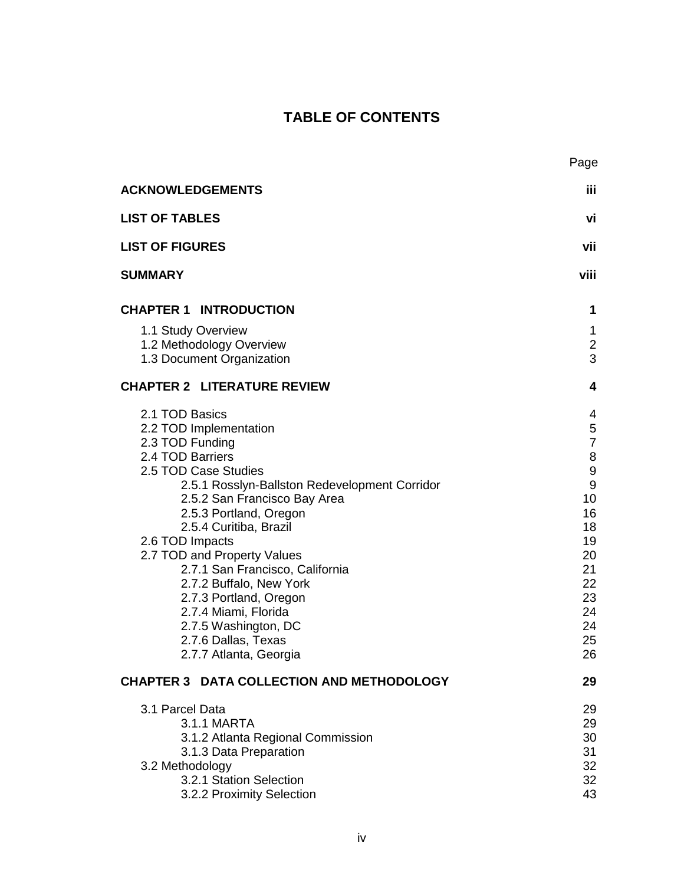# **TABLE OF CONTENTS**

|                                                                                                                                                                                                                                                                                                                                                                                                                                                                                         | Page                                                                                                                                          |
|-----------------------------------------------------------------------------------------------------------------------------------------------------------------------------------------------------------------------------------------------------------------------------------------------------------------------------------------------------------------------------------------------------------------------------------------------------------------------------------------|-----------------------------------------------------------------------------------------------------------------------------------------------|
| <b>ACKNOWLEDGEMENTS</b>                                                                                                                                                                                                                                                                                                                                                                                                                                                                 | iίi                                                                                                                                           |
| <b>LIST OF TABLES</b>                                                                                                                                                                                                                                                                                                                                                                                                                                                                   | vi                                                                                                                                            |
| <b>LIST OF FIGURES</b>                                                                                                                                                                                                                                                                                                                                                                                                                                                                  | vii                                                                                                                                           |
| <b>SUMMARY</b>                                                                                                                                                                                                                                                                                                                                                                                                                                                                          | viii                                                                                                                                          |
| <b>CHAPTER 1 INTRODUCTION</b>                                                                                                                                                                                                                                                                                                                                                                                                                                                           | 1                                                                                                                                             |
| 1.1 Study Overview<br>1.2 Methodology Overview<br>1.3 Document Organization                                                                                                                                                                                                                                                                                                                                                                                                             | 1<br>$\overline{c}$<br>3                                                                                                                      |
| <b>CHAPTER 2 LITERATURE REVIEW</b>                                                                                                                                                                                                                                                                                                                                                                                                                                                      | 4                                                                                                                                             |
| 2.1 TOD Basics<br>2.2 TOD Implementation<br>2.3 TOD Funding<br>2.4 TOD Barriers<br>2.5 TOD Case Studies<br>2.5.1 Rosslyn-Ballston Redevelopment Corridor<br>2.5.2 San Francisco Bay Area<br>2.5.3 Portland, Oregon<br>2.5.4 Curitiba, Brazil<br>2.6 TOD Impacts<br>2.7 TOD and Property Values<br>2.7.1 San Francisco, California<br>2.7.2 Buffalo, New York<br>2.7.3 Portland, Oregon<br>2.7.4 Miami, Florida<br>2.7.5 Washington, DC<br>2.7.6 Dallas, Texas<br>2.7.7 Atlanta, Georgia | 4<br>5<br>$\overline{7}$<br>8<br>$\boldsymbol{9}$<br>$\boldsymbol{9}$<br>10<br>16<br>18<br>19<br>20<br>21<br>22<br>23<br>24<br>24<br>25<br>26 |
| <b>CHAPTER 3 DATA COLLECTION AND METHODOLOGY</b>                                                                                                                                                                                                                                                                                                                                                                                                                                        | 29                                                                                                                                            |
| 3.1 Parcel Data<br>3.1.1 MARTA<br>3.1.2 Atlanta Regional Commission<br>3.1.3 Data Preparation<br>3.2 Methodology<br>3.2.1 Station Selection<br>3.2.2 Proximity Selection                                                                                                                                                                                                                                                                                                                | 29<br>29<br>30<br>31<br>32<br>32<br>43                                                                                                        |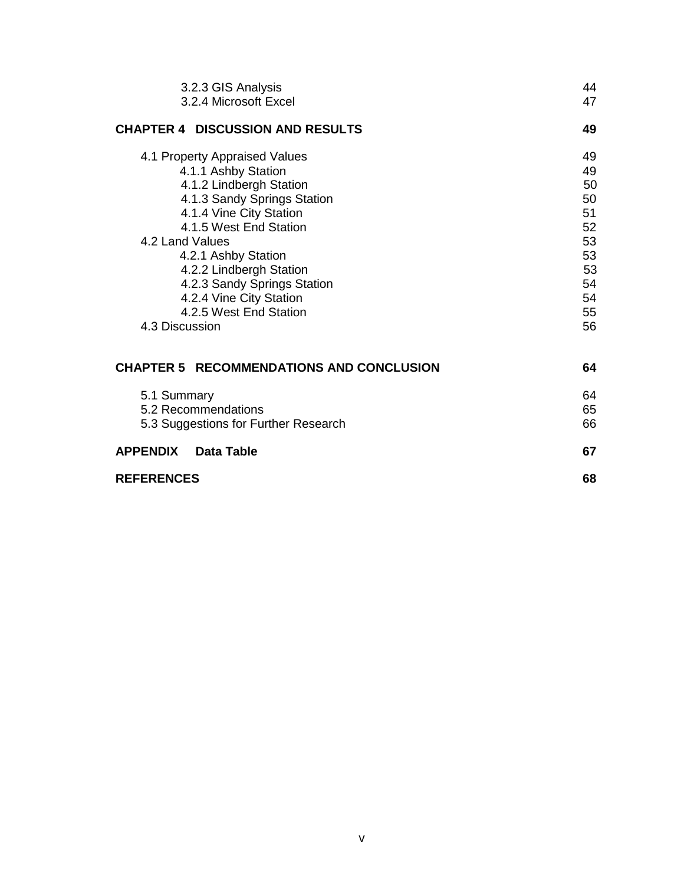| 3.2.3 GIS Analysis                              | 44                                                 |
|-------------------------------------------------|----------------------------------------------------|
| 3.2.4 Microsoft Excel                           | 47                                                 |
| <b>CHAPTER 4 DISCUSSION AND RESULTS</b>         | 49                                                 |
| 4.1 Property Appraised Values                   | 49                                                 |
| 4.1.1 Ashby Station                             | 49                                                 |
| 4.1.2 Lindbergh Station                         | 50                                                 |
| 4.1.3 Sandy Springs Station                     | 50                                                 |
| 4.1.4 Vine City Station                         | 51                                                 |
| 4.1.5 West End Station                          | 52                                                 |
| 4.2 Land Values                                 | 53                                                 |
| 4.2.1 Ashby Station                             | 53                                                 |
| 4.2.2 Lindbergh Station                         | 53                                                 |
| 4.2.3 Sandy Springs Station                     | 54                                                 |
| 4.2.4 Vine City Station                         | 54<br>55<br>56<br>64<br>64<br>65<br>66<br>67<br>68 |
| 4.2.5 West End Station                          |                                                    |
| 4.3 Discussion                                  |                                                    |
|                                                 |                                                    |
| <b>CHAPTER 5 RECOMMENDATIONS AND CONCLUSION</b> |                                                    |
| 5.1 Summary                                     |                                                    |
| 5.2 Recommendations                             |                                                    |
| 5.3 Suggestions for Further Research            |                                                    |
|                                                 |                                                    |
| <b>APPENDIX</b><br><b>Data Table</b>            |                                                    |
| <b>REFERENCES</b>                               |                                                    |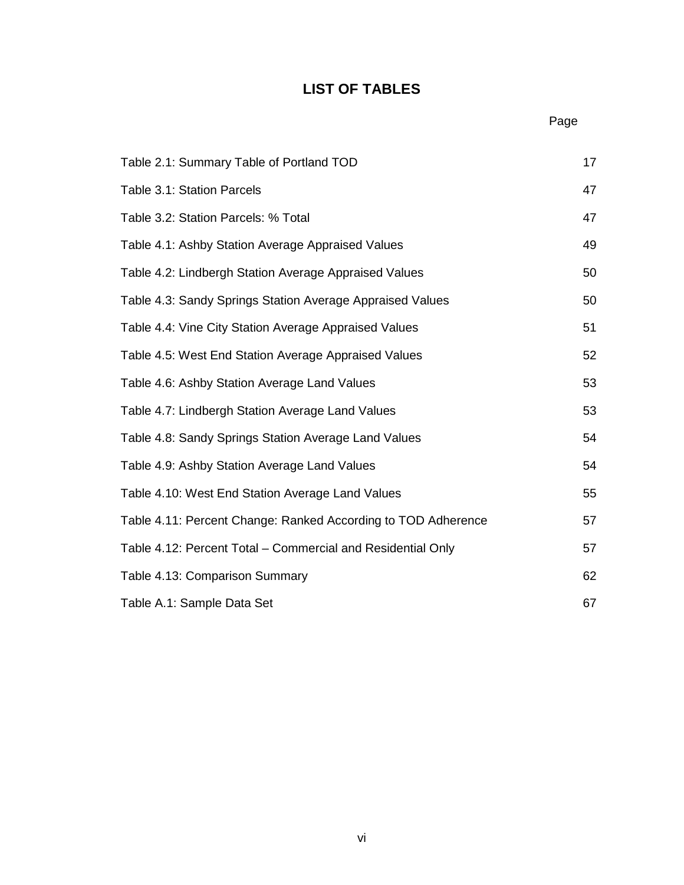# **LIST OF TABLES**

**Page Page Page Page** 

| Table 2.1: Summary Table of Portland TOD                      | 17 |
|---------------------------------------------------------------|----|
| Table 3.1: Station Parcels                                    | 47 |
| Table 3.2: Station Parcels: % Total                           | 47 |
| Table 4.1: Ashby Station Average Appraised Values             | 49 |
| Table 4.2: Lindbergh Station Average Appraised Values         | 50 |
| Table 4.3: Sandy Springs Station Average Appraised Values     | 50 |
| Table 4.4: Vine City Station Average Appraised Values         | 51 |
| Table 4.5: West End Station Average Appraised Values          | 52 |
| Table 4.6: Ashby Station Average Land Values                  | 53 |
| Table 4.7: Lindbergh Station Average Land Values              | 53 |
| Table 4.8: Sandy Springs Station Average Land Values          | 54 |
| Table 4.9: Ashby Station Average Land Values                  | 54 |
| Table 4.10: West End Station Average Land Values              | 55 |
| Table 4.11: Percent Change: Ranked According to TOD Adherence | 57 |
| Table 4.12: Percent Total – Commercial and Residential Only   | 57 |
| Table 4.13: Comparison Summary                                | 62 |
| Table A.1: Sample Data Set                                    | 67 |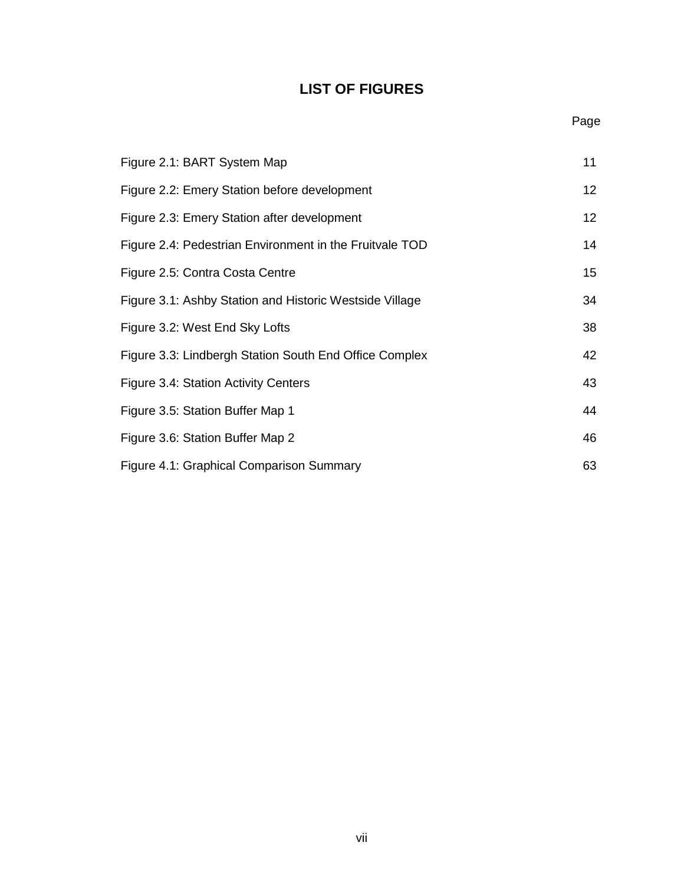# **LIST OF FIGURES**

| Figure 2.1: BART System Map                             | 11              |
|---------------------------------------------------------|-----------------|
| Figure 2.2: Emery Station before development            | 12 <sub>2</sub> |
| Figure 2.3: Emery Station after development             | 12 <sub>2</sub> |
| Figure 2.4: Pedestrian Environment in the Fruitvale TOD | 14              |
| Figure 2.5: Contra Costa Centre                         | 15              |
| Figure 3.1: Ashby Station and Historic Westside Village | 34              |
| Figure 3.2: West End Sky Lofts                          | 38              |
| Figure 3.3: Lindbergh Station South End Office Complex  | 42              |
| Figure 3.4: Station Activity Centers                    | 43              |
| Figure 3.5: Station Buffer Map 1                        | 44              |
| Figure 3.6: Station Buffer Map 2                        | 46              |
| Figure 4.1: Graphical Comparison Summary                | 63              |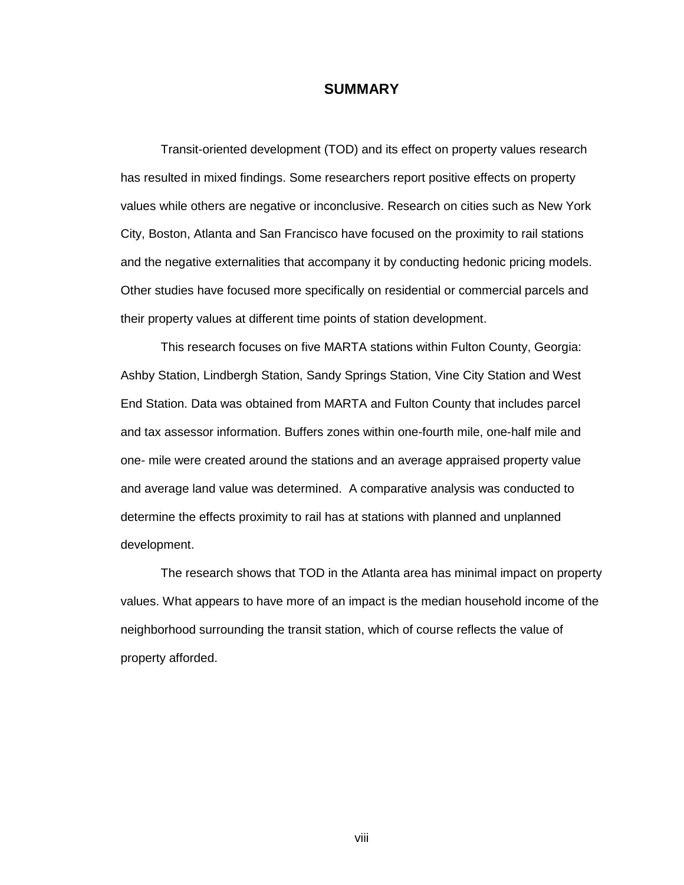# **SUMMARY**

 Transit-oriented development (TOD) and its effect on property values research has resulted in mixed findings. Some researchers report positive effects on property values while others are negative or inconclusive. Research on cities such as New York City, Boston, Atlanta and San Francisco have focused on the proximity to rail stations and the negative externalities that accompany it by conducting hedonic pricing models. Other studies have focused more specifically on residential or commercial parcels and their property values at different time points of station development.

 This research focuses on five MARTA stations within Fulton County, Georgia: Ashby Station, Lindbergh Station, Sandy Springs Station, Vine City Station and West End Station. Data was obtained from MARTA and Fulton County that includes parcel and tax assessor information. Buffers zones within one-fourth mile, one-half mile and one- mile were created around the stations and an average appraised property value and average land value was determined. A comparative analysis was conducted to determine the effects proximity to rail has at stations with planned and unplanned development.

 The research shows that TOD in the Atlanta area has minimal impact on property values. What appears to have more of an impact is the median household income of the neighborhood surrounding the transit station, which of course reflects the value of property afforded.

viii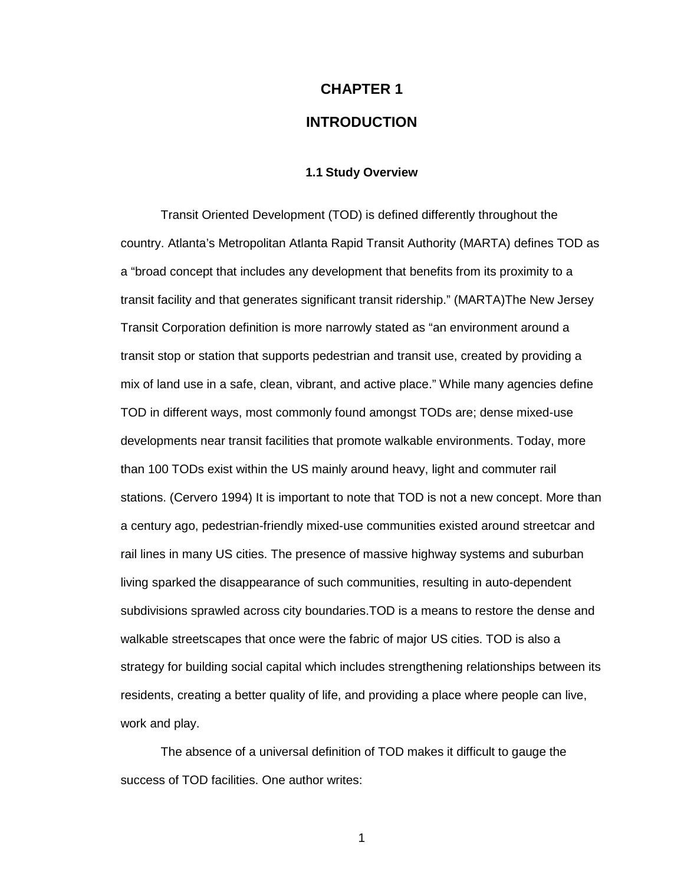# **CHAPTER 1 INTRODUCTION**

# **1.1 Study Overview**

 Transit Oriented Development (TOD) is defined differently throughout the country. Atlanta's Metropolitan Atlanta Rapid Transit Authority (MARTA) defines TOD as a "broad concept that includes any development that benefits from its proximity to a transit facility and that generates significant transit ridership." (MARTA)The New Jersey Transit Corporation definition is more narrowly stated as "an environment around a transit stop or station that supports pedestrian and transit use, created by providing a mix of land use in a safe, clean, vibrant, and active place." While many agencies define TOD in different ways, most commonly found amongst TODs are; dense mixed-use developments near transit facilities that promote walkable environments. Today, more than 100 TODs exist within the US mainly around heavy, light and commuter rail stations. (Cervero 1994) It is important to note that TOD is not a new concept. More than a century ago, pedestrian-friendly mixed-use communities existed around streetcar and rail lines in many US cities. The presence of massive highway systems and suburban living sparked the disappearance of such communities, resulting in auto-dependent subdivisions sprawled across city boundaries.TOD is a means to restore the dense and walkable streetscapes that once were the fabric of major US cities. TOD is also a strategy for building social capital which includes strengthening relationships between its residents, creating a better quality of life, and providing a place where people can live, work and play.

The absence of a universal definition of TOD makes it difficult to gauge the success of TOD facilities. One author writes: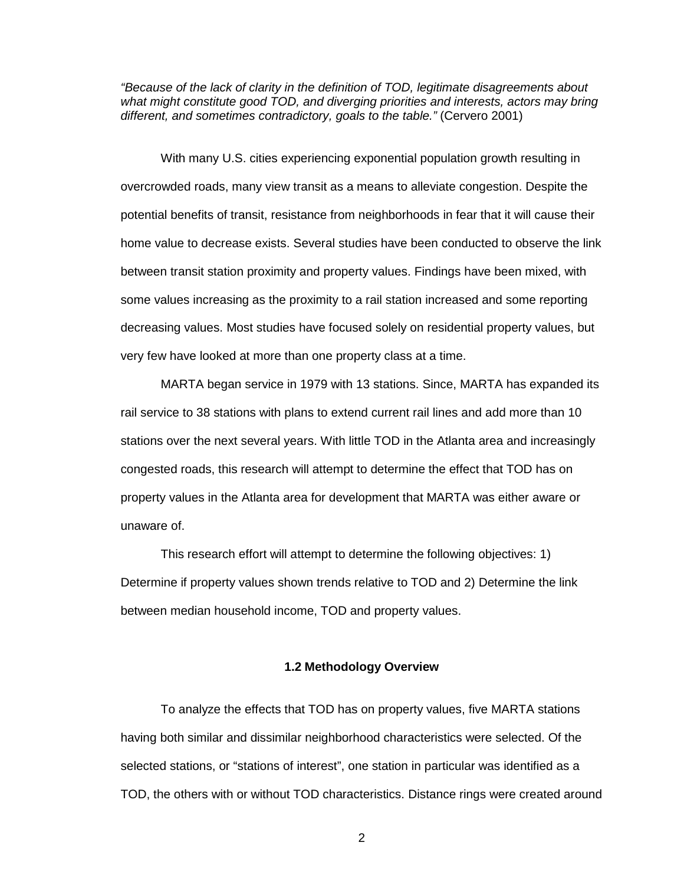"Because of the lack of clarity in the definition of TOD, legitimate disagreements about what might constitute good TOD, and diverging priorities and interests, actors may bring different, and sometimes contradictory, goals to the table." (Cervero 2001)

With many U.S. cities experiencing exponential population growth resulting in overcrowded roads, many view transit as a means to alleviate congestion. Despite the potential benefits of transit, resistance from neighborhoods in fear that it will cause their home value to decrease exists. Several studies have been conducted to observe the link between transit station proximity and property values. Findings have been mixed, with some values increasing as the proximity to a rail station increased and some reporting decreasing values. Most studies have focused solely on residential property values, but very few have looked at more than one property class at a time.

 MARTA began service in 1979 with 13 stations. Since, MARTA has expanded its rail service to 38 stations with plans to extend current rail lines and add more than 10 stations over the next several years. With little TOD in the Atlanta area and increasingly congested roads, this research will attempt to determine the effect that TOD has on property values in the Atlanta area for development that MARTA was either aware or unaware of.

 This research effort will attempt to determine the following objectives: 1) Determine if property values shown trends relative to TOD and 2) Determine the link between median household income, TOD and property values.

#### **1.2 Methodology Overview**

 To analyze the effects that TOD has on property values, five MARTA stations having both similar and dissimilar neighborhood characteristics were selected. Of the selected stations, or "stations of interest", one station in particular was identified as a TOD, the others with or without TOD characteristics. Distance rings were created around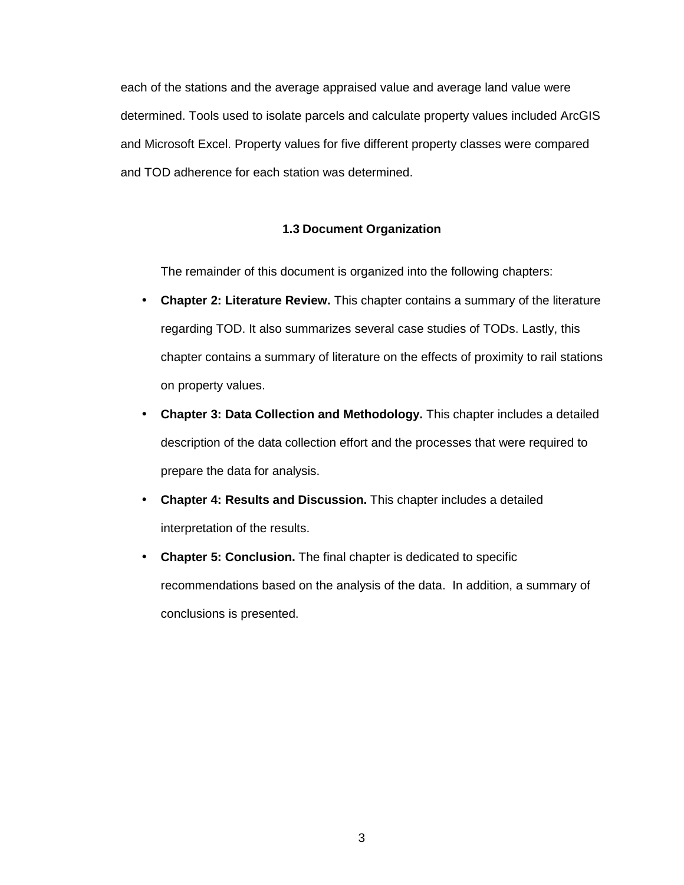each of the stations and the average appraised value and average land value were determined. Tools used to isolate parcels and calculate property values included ArcGIS and Microsoft Excel. Property values for five different property classes were compared and TOD adherence for each station was determined.

# **1.3 Document Organization**

The remainder of this document is organized into the following chapters:

- **Chapter 2: Literature Review.** This chapter contains a summary of the literature regarding TOD. It also summarizes several case studies of TODs. Lastly, this chapter contains a summary of literature on the effects of proximity to rail stations on property values.
- **Chapter 3: Data Collection and Methodology.** This chapter includes a detailed description of the data collection effort and the processes that were required to prepare the data for analysis.
- **Chapter 4: Results and Discussion.** This chapter includes a detailed interpretation of the results.
- **Chapter 5: Conclusion.** The final chapter is dedicated to specific recommendations based on the analysis of the data. In addition, a summary of conclusions is presented.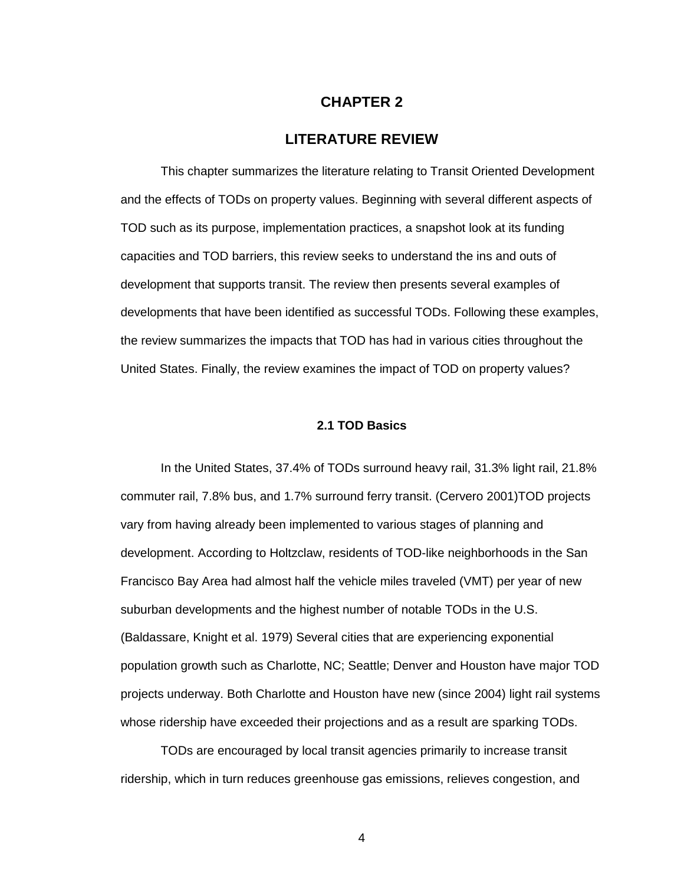# **CHAPTER 2**

# **LITERATURE REVIEW**

 This chapter summarizes the literature relating to Transit Oriented Development and the effects of TODs on property values. Beginning with several different aspects of TOD such as its purpose, implementation practices, a snapshot look at its funding capacities and TOD barriers, this review seeks to understand the ins and outs of development that supports transit. The review then presents several examples of developments that have been identified as successful TODs. Following these examples, the review summarizes the impacts that TOD has had in various cities throughout the United States. Finally, the review examines the impact of TOD on property values?

### **2.1 TOD Basics**

 In the United States, 37.4% of TODs surround heavy rail, 31.3% light rail, 21.8% commuter rail, 7.8% bus, and 1.7% surround ferry transit. (Cervero 2001)TOD projects vary from having already been implemented to various stages of planning and development. According to Holtzclaw, residents of TOD-like neighborhoods in the San Francisco Bay Area had almost half the vehicle miles traveled (VMT) per year of new suburban developments and the highest number of notable TODs in the U.S. (Baldassare, Knight et al. 1979) Several cities that are experiencing exponential population growth such as Charlotte, NC; Seattle; Denver and Houston have major TOD projects underway. Both Charlotte and Houston have new (since 2004) light rail systems whose ridership have exceeded their projections and as a result are sparking TODs.

 TODs are encouraged by local transit agencies primarily to increase transit ridership, which in turn reduces greenhouse gas emissions, relieves congestion, and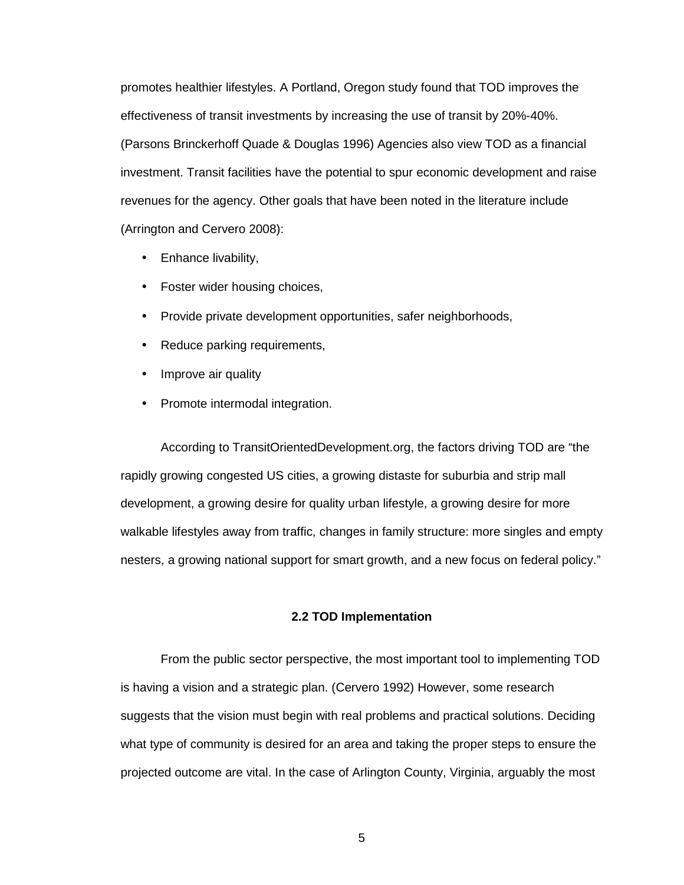promotes healthier lifestyles. A Portland, Oregon study found that TOD improves the effectiveness of transit investments by increasing the use of transit by 20%-40%. (Parsons Brinckerhoff Quade & Douglas 1996) Agencies also view TOD as a financial investment. Transit facilities have the potential to spur economic development and raise revenues for the agency. Other goals that have been noted in the literature include (Arrington and Cervero 2008):

- Enhance livability,
- Foster wider housing choices,
- Provide private development opportunities, safer neighborhoods,
- Reduce parking requirements,
- Improve air quality
- Promote intermodal integration.

 According to TransitOrientedDevelopment.org, the factors driving TOD are "the rapidly growing congested US cities, a growing distaste for suburbia and strip mall development, a growing desire for quality urban lifestyle, a growing desire for more walkable lifestyles away from traffic, changes in family structure: more singles and empty nesters, a growing national support for smart growth, and a new focus on federal policy."

# **2.2 TOD Implementation**

 From the public sector perspective, the most important tool to implementing TOD is having a vision and a strategic plan. (Cervero 1992) However, some research suggests that the vision must begin with real problems and practical solutions. Deciding what type of community is desired for an area and taking the proper steps to ensure the projected outcome are vital. In the case of Arlington County, Virginia, arguably the most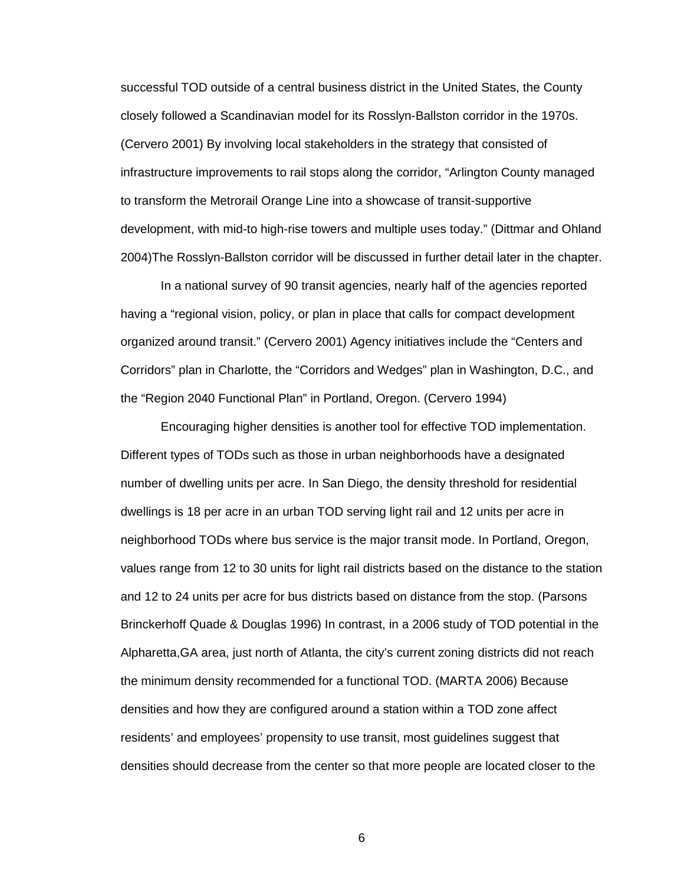successful TOD outside of a central business district in the United States, the County closely followed a Scandinavian model for its Rosslyn-Ballston corridor in the 1970s. (Cervero 2001) By involving local stakeholders in the strategy that consisted of infrastructure improvements to rail stops along the corridor, "Arlington County managed to transform the Metrorail Orange Line into a showcase of transit-supportive development, with mid-to high-rise towers and multiple uses today." (Dittmar and Ohland 2004)The Rosslyn-Ballston corridor will be discussed in further detail later in the chapter.

 In a national survey of 90 transit agencies, nearly half of the agencies reported having a "regional vision, policy, or plan in place that calls for compact development organized around transit." (Cervero 2001) Agency initiatives include the "Centers and Corridors" plan in Charlotte, the "Corridors and Wedges" plan in Washington, D.C., and the "Region 2040 Functional Plan" in Portland, Oregon. (Cervero 1994)

 Encouraging higher densities is another tool for effective TOD implementation. Different types of TODs such as those in urban neighborhoods have a designated number of dwelling units per acre. In San Diego, the density threshold for residential dwellings is 18 per acre in an urban TOD serving light rail and 12 units per acre in neighborhood TODs where bus service is the major transit mode. In Portland, Oregon, values range from 12 to 30 units for light rail districts based on the distance to the station and 12 to 24 units per acre for bus districts based on distance from the stop. (Parsons Brinckerhoff Quade & Douglas 1996) In contrast, in a 2006 study of TOD potential in the Alpharetta,GA area, just north of Atlanta, the city's current zoning districts did not reach the minimum density recommended for a functional TOD. (MARTA 2006) Because densities and how they are configured around a station within a TOD zone affect residents' and employees' propensity to use transit, most guidelines suggest that densities should decrease from the center so that more people are located closer to the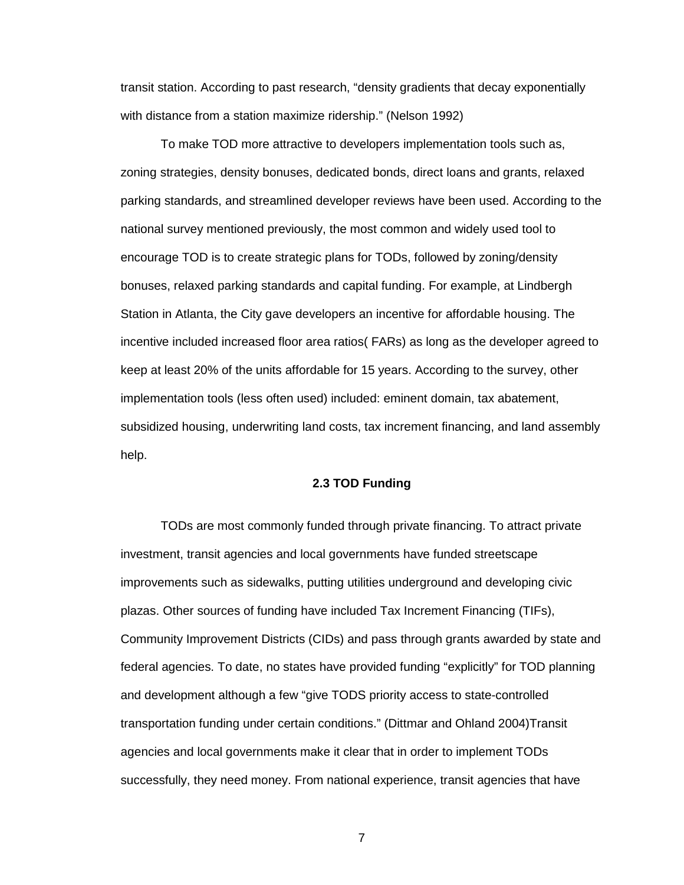transit station. According to past research, "density gradients that decay exponentially with distance from a station maximize ridership." (Nelson 1992)

 To make TOD more attractive to developers implementation tools such as, zoning strategies, density bonuses, dedicated bonds, direct loans and grants, relaxed parking standards, and streamlined developer reviews have been used. According to the national survey mentioned previously, the most common and widely used tool to encourage TOD is to create strategic plans for TODs, followed by zoning/density bonuses, relaxed parking standards and capital funding. For example, at Lindbergh Station in Atlanta, the City gave developers an incentive for affordable housing. The incentive included increased floor area ratios( FARs) as long as the developer agreed to keep at least 20% of the units affordable for 15 years. According to the survey, other implementation tools (less often used) included: eminent domain, tax abatement, subsidized housing, underwriting land costs, tax increment financing, and land assembly help.

# **2.3 TOD Funding**

 TODs are most commonly funded through private financing. To attract private investment, transit agencies and local governments have funded streetscape improvements such as sidewalks, putting utilities underground and developing civic plazas. Other sources of funding have included Tax Increment Financing (TIFs), Community Improvement Districts (CIDs) and pass through grants awarded by state and federal agencies. To date, no states have provided funding "explicitly" for TOD planning and development although a few "give TODS priority access to state-controlled transportation funding under certain conditions." (Dittmar and Ohland 2004)Transit agencies and local governments make it clear that in order to implement TODs successfully, they need money. From national experience, transit agencies that have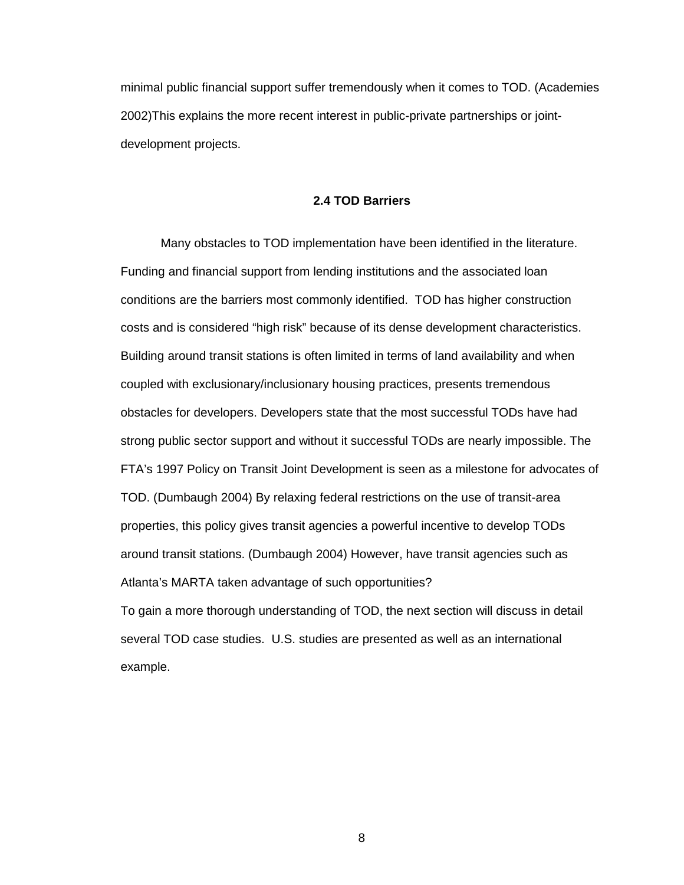minimal public financial support suffer tremendously when it comes to TOD. (Academies 2002)This explains the more recent interest in public-private partnerships or jointdevelopment projects.

### **2.4 TOD Barriers**

 Many obstacles to TOD implementation have been identified in the literature. Funding and financial support from lending institutions and the associated loan conditions are the barriers most commonly identified. TOD has higher construction costs and is considered "high risk" because of its dense development characteristics. Building around transit stations is often limited in terms of land availability and when coupled with exclusionary/inclusionary housing practices, presents tremendous obstacles for developers. Developers state that the most successful TODs have had strong public sector support and without it successful TODs are nearly impossible. The FTA's 1997 Policy on Transit Joint Development is seen as a milestone for advocates of TOD. (Dumbaugh 2004) By relaxing federal restrictions on the use of transit-area properties, this policy gives transit agencies a powerful incentive to develop TODs around transit stations. (Dumbaugh 2004) However, have transit agencies such as Atlanta's MARTA taken advantage of such opportunities?

To gain a more thorough understanding of TOD, the next section will discuss in detail several TOD case studies. U.S. studies are presented as well as an international example.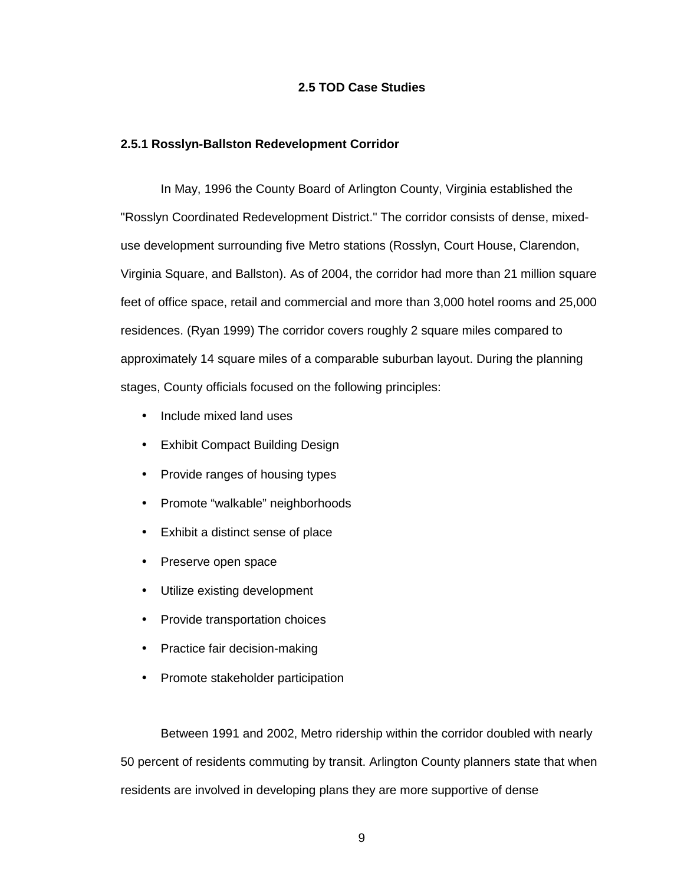# **2.5 TOD Case Studies**

### **2.5.1 Rosslyn-Ballston Redevelopment Corridor**

In May, 1996 the County Board of Arlington County, Virginia established the "Rosslyn Coordinated Redevelopment District." The corridor consists of dense, mixeduse development surrounding five Metro stations (Rosslyn, Court House, Clarendon, Virginia Square, and Ballston). As of 2004, the corridor had more than 21 million square feet of office space, retail and commercial and more than 3,000 hotel rooms and 25,000 residences. (Ryan 1999) The corridor covers roughly 2 square miles compared to approximately 14 square miles of a comparable suburban layout. During the planning stages, County officials focused on the following principles:

- Include mixed land uses
- Exhibit Compact Building Design
- Provide ranges of housing types
- Promote "walkable" neighborhoods
- Exhibit a distinct sense of place
- Preserve open space
- Utilize existing development
- Provide transportation choices
- Practice fair decision-making
- Promote stakeholder participation

Between 1991 and 2002, Metro ridership within the corridor doubled with nearly 50 percent of residents commuting by transit. Arlington County planners state that when residents are involved in developing plans they are more supportive of dense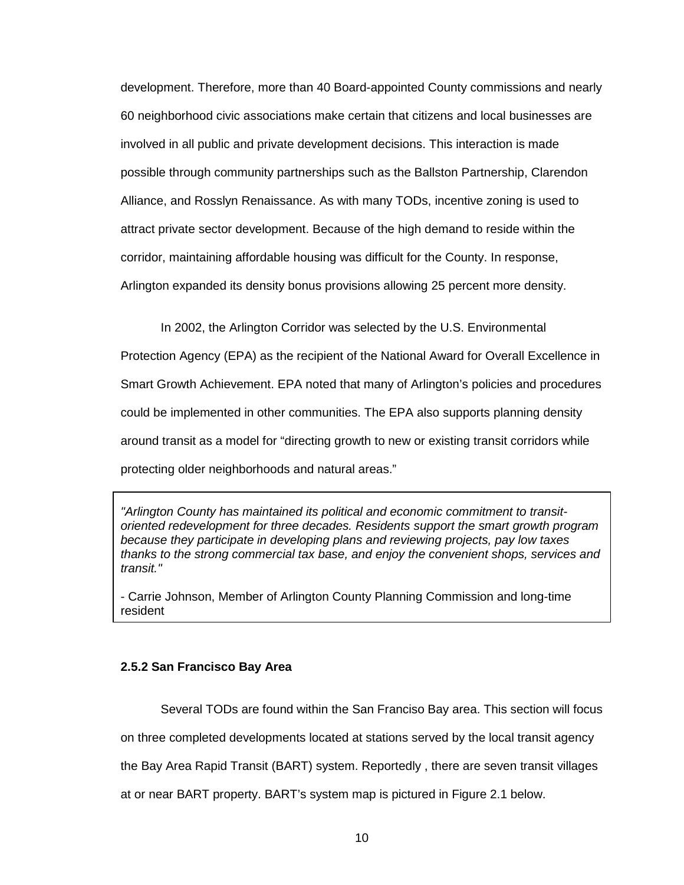development. Therefore, more than 40 Board-appointed County commissions and nearly 60 neighborhood civic associations make certain that citizens and local businesses are involved in all public and private development decisions. This interaction is made possible through community partnerships such as the Ballston Partnership, Clarendon Alliance, and Rosslyn Renaissance. As with many TODs, incentive zoning is used to attract private sector development. Because of the high demand to reside within the corridor, maintaining affordable housing was difficult for the County. In response, Arlington expanded its density bonus provisions allowing 25 percent more density.

In 2002, the Arlington Corridor was selected by the U.S. Environmental Protection Agency (EPA) as the recipient of the National Award for Overall Excellence in Smart Growth Achievement. EPA noted that many of Arlington's policies and procedures could be implemented in other communities. The EPA also supports planning density around transit as a model for "directing growth to new or existing transit corridors while protecting older neighborhoods and natural areas."

"Arlington County has maintained its political and economic commitment to transitoriented redevelopment for three decades. Residents support the smart growth program because they participate in developing plans and reviewing projects, pay low taxes thanks to the strong commercial tax base, and enjoy the convenient shops, services and transit."

- Carrie Johnson, Member of Arlington County Planning Commission and long-time resident

# **2.5.2 San Francisco Bay Area**

Several TODs are found within the San Franciso Bay area. This section will focus on three completed developments located at stations served by the local transit agency the Bay Area Rapid Transit (BART) system. Reportedly , there are seven transit villages

at or near BART property. BART's system map is pictured in Figure 2.1 below.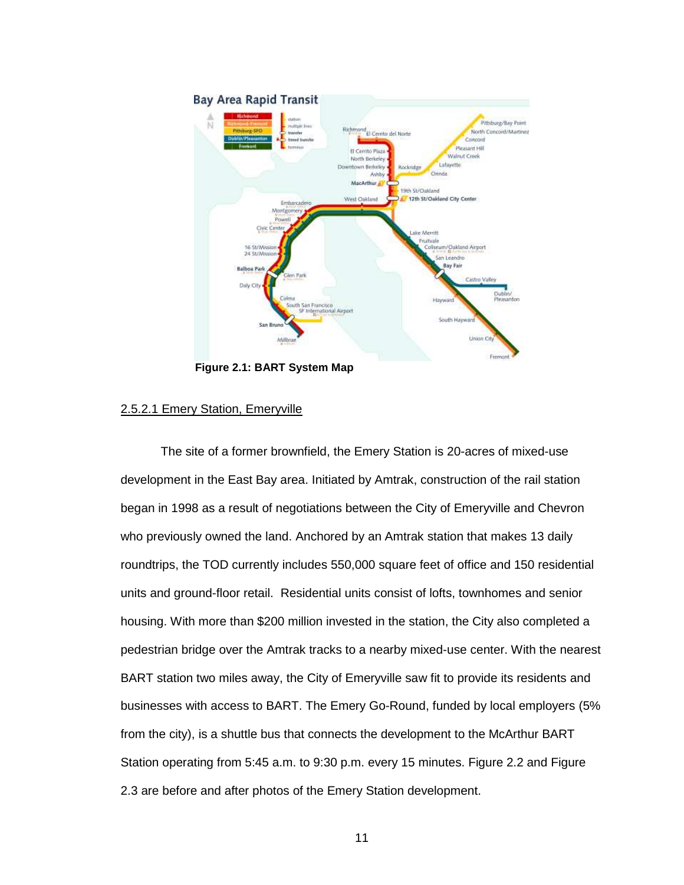

**Figure 2.1: BART System Map** 

# 2.5.2.1 Emery Station, Emeryville

The site of a former brownfield, the Emery Station is 20-acres of mixed-use development in the East Bay area. Initiated by Amtrak, construction of the rail station began in 1998 as a result of negotiations between the City of Emeryville and Chevron who previously owned the land. Anchored by an Amtrak station that makes 13 daily roundtrips, the TOD currently includes 550,000 square feet of office and 150 residential units and ground-floor retail. Residential units consist of lofts, townhomes and senior housing. With more than \$200 million invested in the station, the City also completed a pedestrian bridge over the Amtrak tracks to a nearby mixed-use center. With the nearest BART station two miles away, the City of Emeryville saw fit to provide its residents and businesses with access to BART. The Emery Go-Round, funded by local employers (5% from the city), is a shuttle bus that connects the development to the McArthur BART Station operating from 5:45 a.m. to 9:30 p.m. every 15 minutes. Figure 2.2 and Figure 2.3 are before and after photos of the Emery Station development.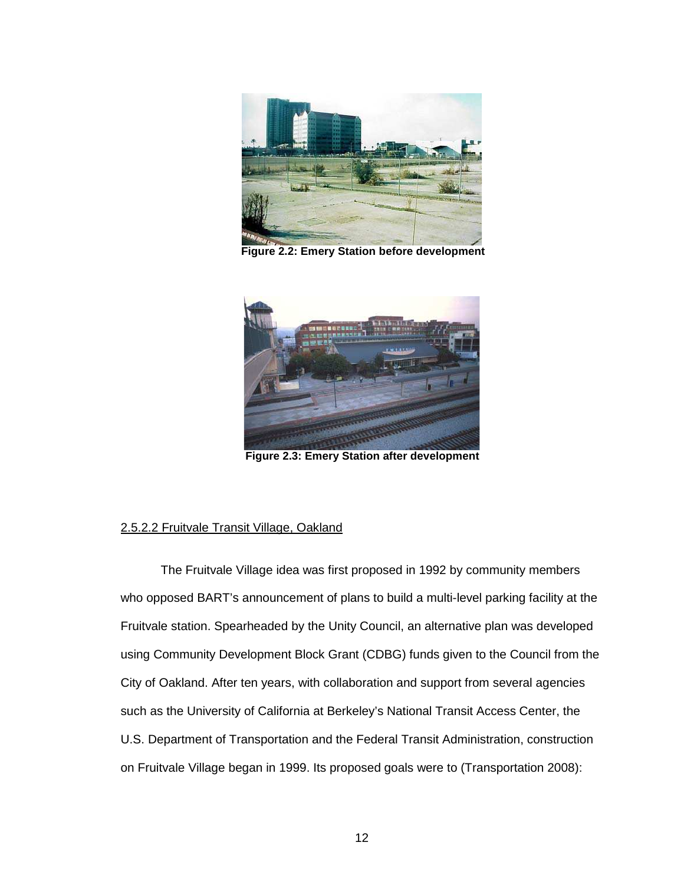

**Figure 2.2: Emery Station before development** 



**Figure 2.3: Emery Station after development** 

# 2.5.2.2 Fruitvale Transit Village, Oakland

The Fruitvale Village idea was first proposed in 1992 by community members who opposed BART's announcement of plans to build a multi-level parking facility at the Fruitvale station. Spearheaded by the Unity Council, an alternative plan was developed using Community Development Block Grant (CDBG) funds given to the Council from the City of Oakland. After ten years, with collaboration and support from several agencies such as the University of California at Berkeley's National Transit Access Center, the U.S. Department of Transportation and the Federal Transit Administration, construction on Fruitvale Village began in 1999. Its proposed goals were to (Transportation 2008):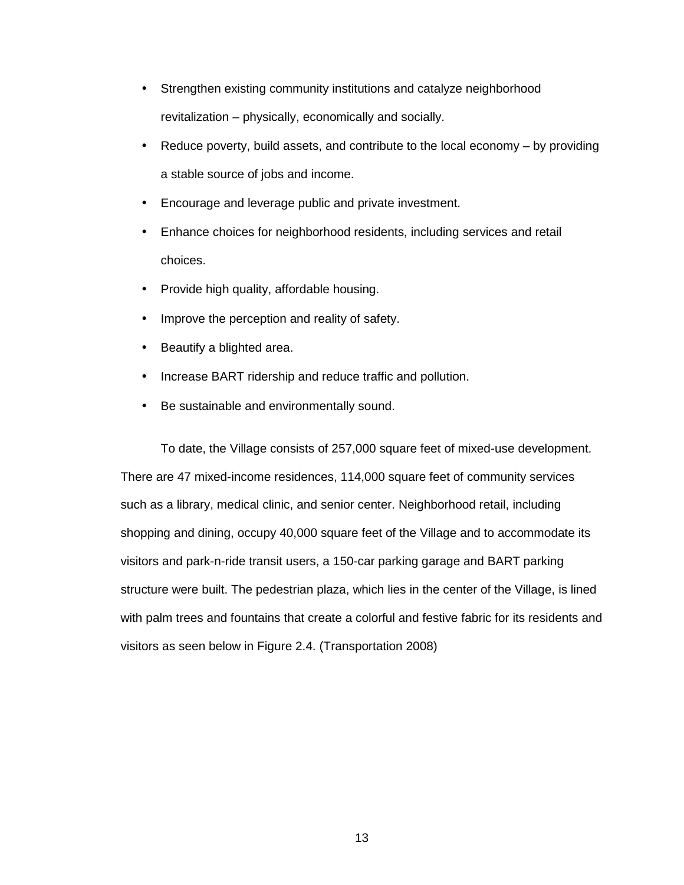- Strengthen existing community institutions and catalyze neighborhood revitalization – physically, economically and socially.
- Reduce poverty, build assets, and contribute to the local economy by providing a stable source of jobs and income.
- Encourage and leverage public and private investment.
- Enhance choices for neighborhood residents, including services and retail choices.
- Provide high quality, affordable housing.
- Improve the perception and reality of safety.
- Beautify a blighted area.
- Increase BART ridership and reduce traffic and pollution.
- Be sustainable and environmentally sound.

To date, the Village consists of 257,000 square feet of mixed-use development. There are 47 mixed-income residences, 114,000 square feet of community services such as a library, medical clinic, and senior center. Neighborhood retail, including shopping and dining, occupy 40,000 square feet of the Village and to accommodate its visitors and park-n-ride transit users, a 150-car parking garage and BART parking structure were built. The pedestrian plaza, which lies in the center of the Village, is lined with palm trees and fountains that create a colorful and festive fabric for its residents and visitors as seen below in Figure 2.4. (Transportation 2008)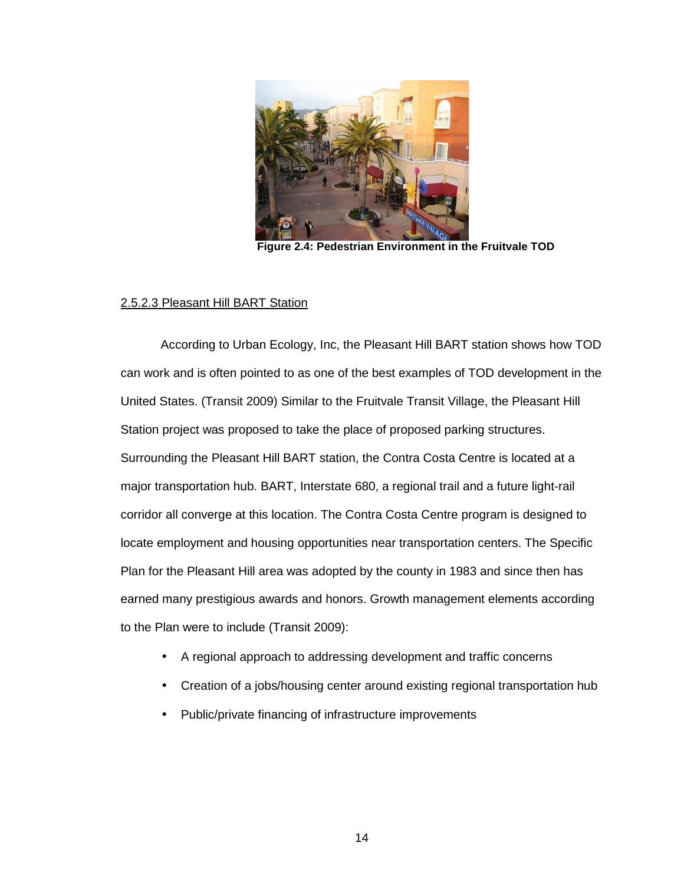

**Figure 2.4: Pedestrian Environment in the Fruitvale TOD** 

#### 2.5.2.3 Pleasant Hill BART Station

 According to Urban Ecology, Inc, the Pleasant Hill BART station shows how TOD can work and is often pointed to as one of the best examples of TOD development in the United States. (Transit 2009) Similar to the Fruitvale Transit Village, the Pleasant Hill Station project was proposed to take the place of proposed parking structures. Surrounding the Pleasant Hill BART station, the Contra Costa Centre is located at a major transportation hub. BART, Interstate 680, a regional trail and a future light-rail corridor all converge at this location. The Contra Costa Centre program is designed to locate employment and housing opportunities near transportation centers. The Specific Plan for the Pleasant Hill area was adopted by the county in 1983 and since then has earned many prestigious awards and honors. Growth management elements according to the Plan were to include (Transit 2009):

- A regional approach to addressing development and traffic concerns
- Creation of a jobs/housing center around existing regional transportation hub
- Public/private financing of infrastructure improvements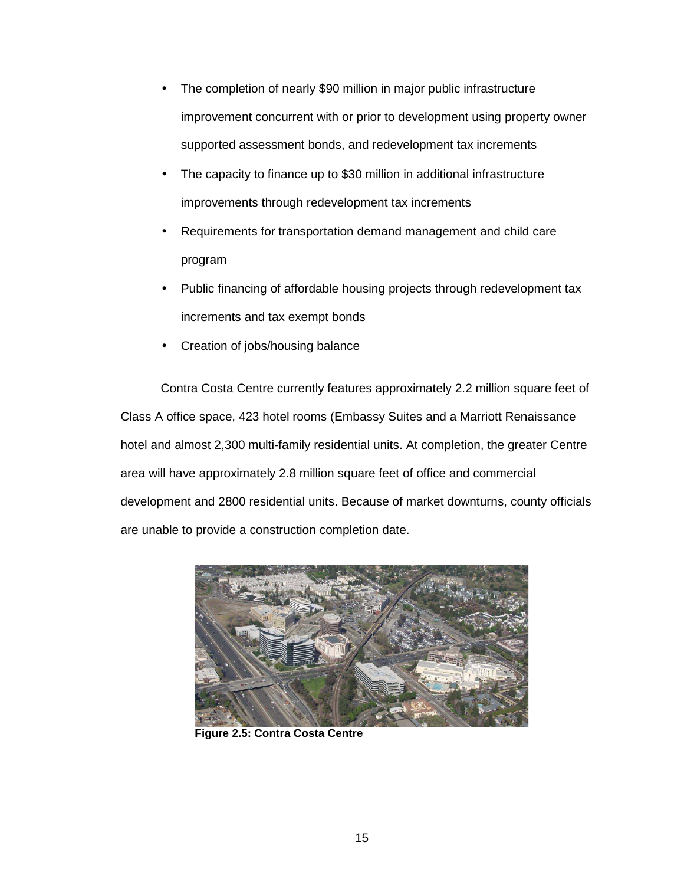- The completion of nearly \$90 million in major public infrastructure improvement concurrent with or prior to development using property owner supported assessment bonds, and redevelopment tax increments
- The capacity to finance up to \$30 million in additional infrastructure improvements through redevelopment tax increments
- Requirements for transportation demand management and child care program
- Public financing of affordable housing projects through redevelopment tax increments and tax exempt bonds
- Creation of jobs/housing balance

 Contra Costa Centre currently features approximately 2.2 million square feet of Class A office space, 423 hotel rooms (Embassy Suites and a Marriott Renaissance hotel and almost 2,300 multi-family residential units. At completion, the greater Centre area will have approximately 2.8 million square feet of office and commercial development and 2800 residential units. Because of market downturns, county officials are unable to provide a construction completion date.



 **Figure 2.5: Contra Costa Centre**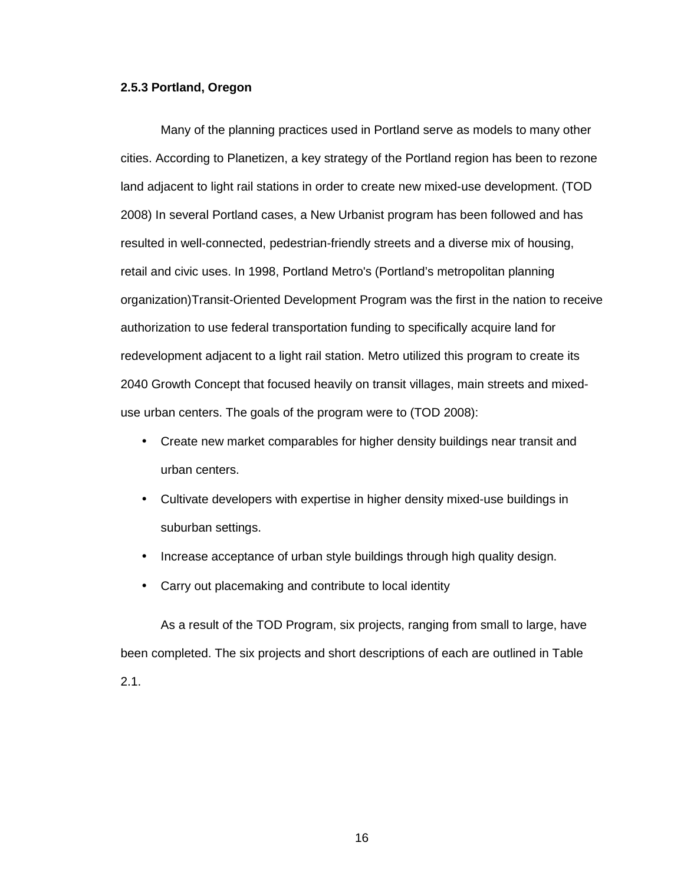# **2.5.3 Portland, Oregon**

 Many of the planning practices used in Portland serve as models to many other cities. According to Planetizen, a key strategy of the Portland region has been to rezone land adjacent to light rail stations in order to create new mixed-use development. (TOD 2008) In several Portland cases, a New Urbanist program has been followed and has resulted in well-connected, pedestrian-friendly streets and a diverse mix of housing, retail and civic uses. In 1998, Portland Metro's (Portland's metropolitan planning organization)Transit-Oriented Development Program was the first in the nation to receive authorization to use federal transportation funding to specifically acquire land for redevelopment adjacent to a light rail station. Metro utilized this program to create its 2040 Growth Concept that focused heavily on transit villages, main streets and mixeduse urban centers. The goals of the program were to (TOD 2008):

- Create new market comparables for higher density buildings near transit and urban centers.
- Cultivate developers with expertise in higher density mixed-use buildings in suburban settings.
- Increase acceptance of urban style buildings through high quality design.
- Carry out placemaking and contribute to local identity

 As a result of the TOD Program, six projects, ranging from small to large, have been completed. The six projects and short descriptions of each are outlined in Table 2.1.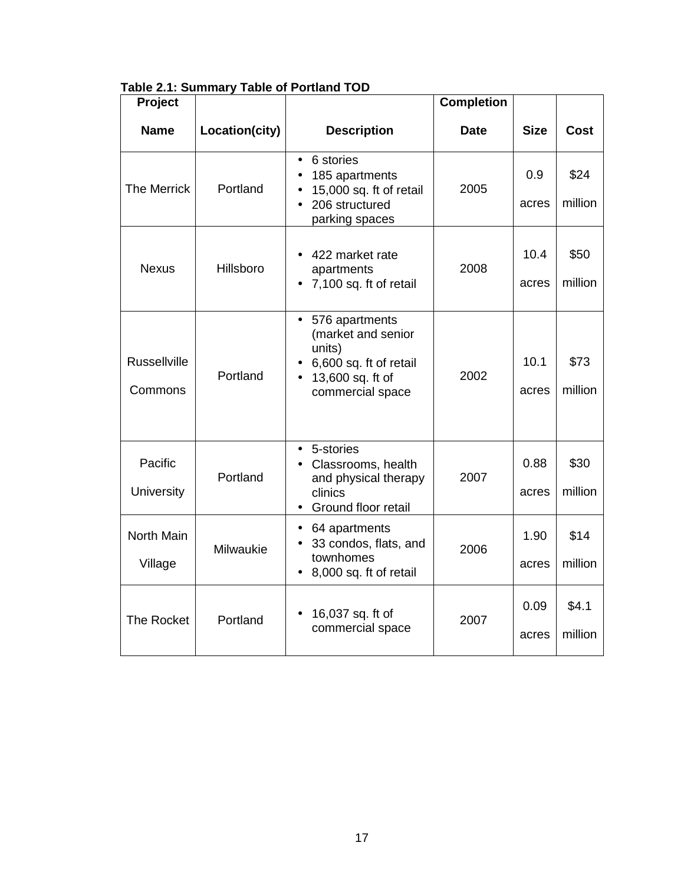|  | Table 2.1: Summary Table of Portland TOD |
|--|------------------------------------------|
|--|------------------------------------------|

| Project                        |                |                                                                                                                               | <b>Completion</b> |               |                  |
|--------------------------------|----------------|-------------------------------------------------------------------------------------------------------------------------------|-------------------|---------------|------------------|
| <b>Name</b>                    | Location(city) | <b>Description</b>                                                                                                            | <b>Date</b>       | <b>Size</b>   | <b>Cost</b>      |
| <b>The Merrick</b>             | Portland       | 6 stories<br>$\bullet$<br>185 apartments<br>15,000 sq. ft of retail<br>206 structured<br>parking spaces                       | 2005              | 0.9<br>acres  | \$24<br>million  |
| <b>Nexus</b>                   | Hillsboro      | 422 market rate<br>apartments<br>7,100 sq. ft of retail                                                                       | 2008              | 10.4<br>acres | \$50<br>million  |
| <b>Russellville</b><br>Commons | Portland       | 576 apartments<br>$\bullet$<br>(market and senior<br>units)<br>6,600 sq. ft of retail<br>13,600 sq. ft of<br>commercial space | 2002              | 10.1<br>acres | \$73<br>million  |
| Pacific<br><b>University</b>   | Portland       | 5-stories<br>$\bullet$<br>Classrooms, health<br>and physical therapy<br>clinics<br>Ground floor retail                        | 2007              | 0.88<br>acres | \$30<br>million  |
| North Main<br>Village          | Milwaukie      | 64 apartments<br>$\bullet$<br>33 condos, flats, and<br>townhomes<br>8,000 sq. ft of retail                                    | 2006              | 1.90<br>acres | \$14<br>million  |
| The Rocket                     | Portland       | 16,037 sq. ft of<br>commercial space                                                                                          | 2007              | 0.09<br>acres | \$4.1<br>million |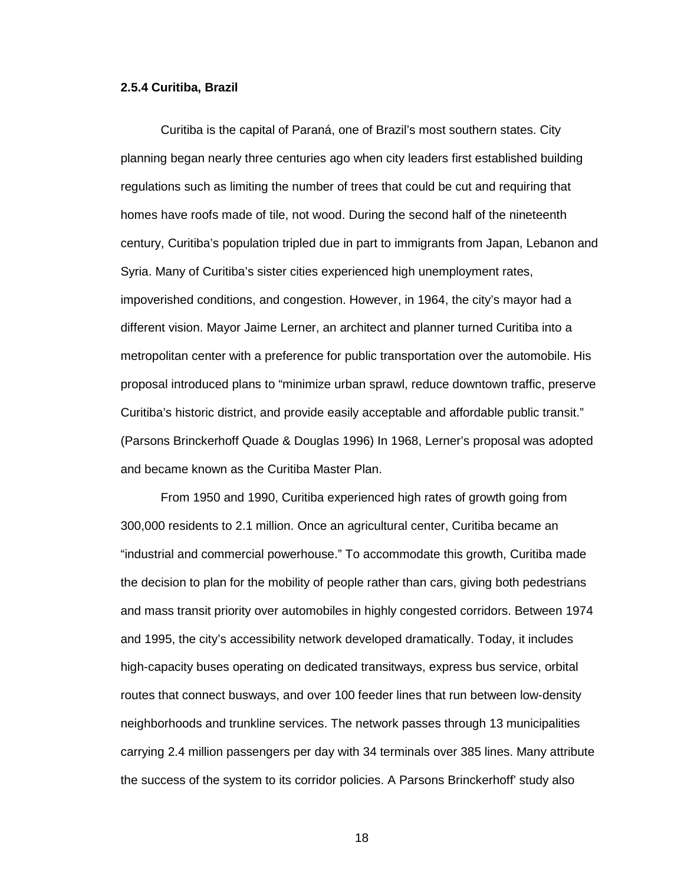### **2.5.4 Curitiba, Brazil**

 Curitiba is the capital of Paraná, one of Brazil's most southern states. City planning began nearly three centuries ago when city leaders first established building regulations such as limiting the number of trees that could be cut and requiring that homes have roofs made of tile, not wood. During the second half of the nineteenth century, Curitiba's population tripled due in part to immigrants from Japan, Lebanon and Syria. Many of Curitiba's sister cities experienced high unemployment rates, impoverished conditions, and congestion. However, in 1964, the city's mayor had a different vision. Mayor Jaime Lerner, an architect and planner turned Curitiba into a metropolitan center with a preference for public transportation over the automobile. His proposal introduced plans to "minimize urban sprawl, reduce downtown traffic, preserve Curitiba's historic district, and provide easily acceptable and affordable public transit." (Parsons Brinckerhoff Quade & Douglas 1996) In 1968, Lerner's proposal was adopted and became known as the Curitiba Master Plan.

 From 1950 and 1990, Curitiba experienced high rates of growth going from 300,000 residents to 2.1 million. Once an agricultural center, Curitiba became an "industrial and commercial powerhouse." To accommodate this growth, Curitiba made the decision to plan for the mobility of people rather than cars, giving both pedestrians and mass transit priority over automobiles in highly congested corridors. Between 1974 and 1995, the city's accessibility network developed dramatically. Today, it includes high-capacity buses operating on dedicated transitways, express bus service, orbital routes that connect busways, and over 100 feeder lines that run between low-density neighborhoods and trunkline services. The network passes through 13 municipalities carrying 2.4 million passengers per day with 34 terminals over 385 lines. Many attribute the success of the system to its corridor policies. A Parsons Brinckerhoff' study also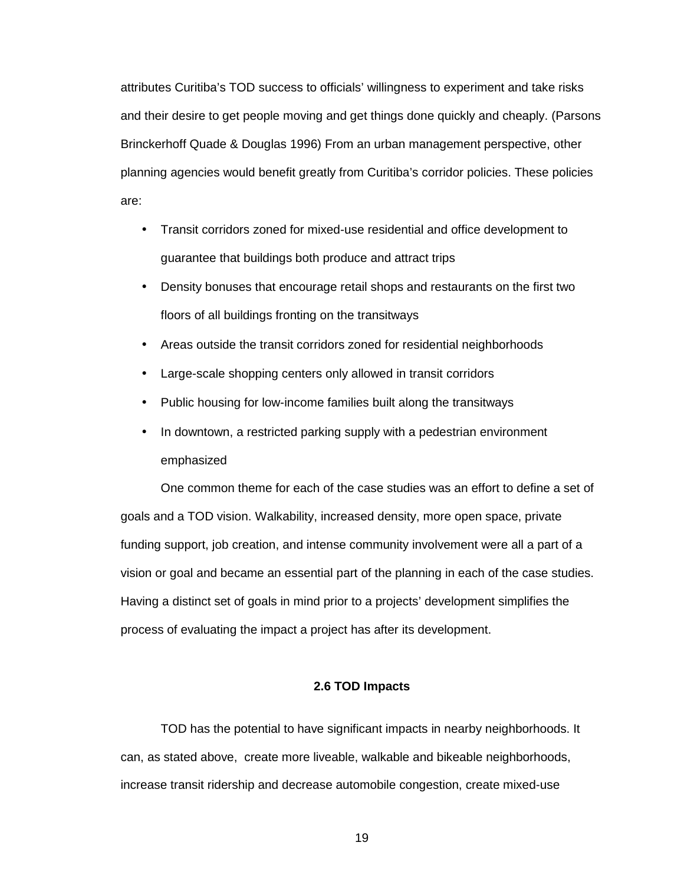attributes Curitiba's TOD success to officials' willingness to experiment and take risks and their desire to get people moving and get things done quickly and cheaply. (Parsons Brinckerhoff Quade & Douglas 1996) From an urban management perspective, other planning agencies would benefit greatly from Curitiba's corridor policies. These policies are:

- Transit corridors zoned for mixed-use residential and office development to guarantee that buildings both produce and attract trips
- Density bonuses that encourage retail shops and restaurants on the first two floors of all buildings fronting on the transitways
- Areas outside the transit corridors zoned for residential neighborhoods
- Large-scale shopping centers only allowed in transit corridors
- Public housing for low-income families built along the transitways
- In downtown, a restricted parking supply with a pedestrian environment emphasized

 One common theme for each of the case studies was an effort to define a set of goals and a TOD vision. Walkability, increased density, more open space, private funding support, job creation, and intense community involvement were all a part of a vision or goal and became an essential part of the planning in each of the case studies. Having a distinct set of goals in mind prior to a projects' development simplifies the process of evaluating the impact a project has after its development.

# **2.6 TOD Impacts**

 TOD has the potential to have significant impacts in nearby neighborhoods. It can, as stated above, create more liveable, walkable and bikeable neighborhoods, increase transit ridership and decrease automobile congestion, create mixed-use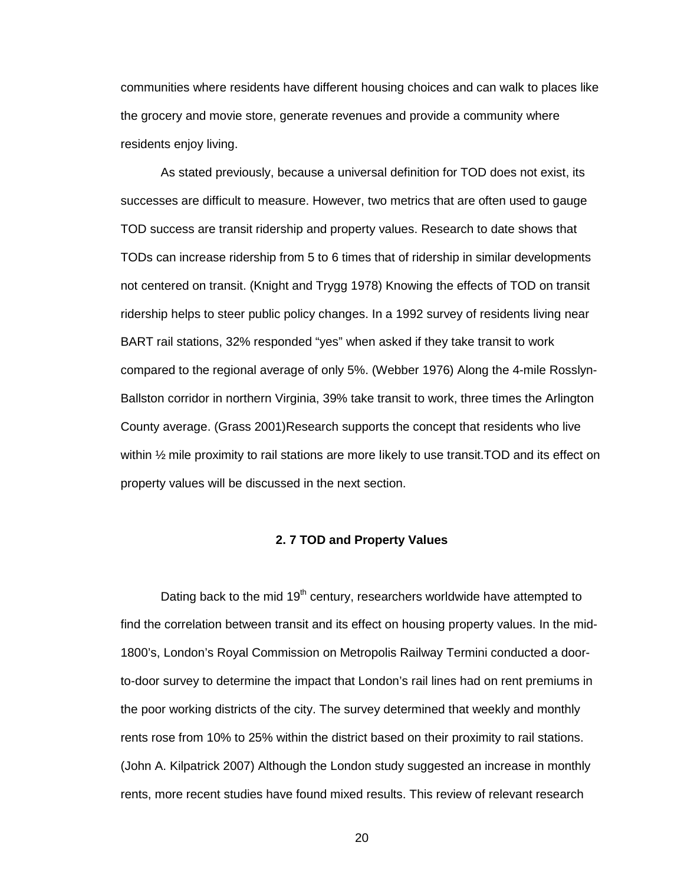communities where residents have different housing choices and can walk to places like the grocery and movie store, generate revenues and provide a community where residents enjoy living.

As stated previously, because a universal definition for TOD does not exist, its successes are difficult to measure. However, two metrics that are often used to gauge TOD success are transit ridership and property values. Research to date shows that TODs can increase ridership from 5 to 6 times that of ridership in similar developments not centered on transit. (Knight and Trygg 1978) Knowing the effects of TOD on transit ridership helps to steer public policy changes. In a 1992 survey of residents living near BART rail stations, 32% responded "yes" when asked if they take transit to work compared to the regional average of only 5%. (Webber 1976) Along the 4-mile Rosslyn-Ballston corridor in northern Virginia, 39% take transit to work, three times the Arlington County average. (Grass 2001)Research supports the concept that residents who live within ½ mile proximity to rail stations are more likely to use transit.TOD and its effect on property values will be discussed in the next section.

#### **2. 7 TOD and Property Values**

Dating back to the mid  $19<sup>th</sup>$  century, researchers worldwide have attempted to find the correlation between transit and its effect on housing property values. In the mid-1800's, London's Royal Commission on Metropolis Railway Termini conducted a doorto-door survey to determine the impact that London's rail lines had on rent premiums in the poor working districts of the city. The survey determined that weekly and monthly rents rose from 10% to 25% within the district based on their proximity to rail stations. (John A. Kilpatrick 2007) Although the London study suggested an increase in monthly rents, more recent studies have found mixed results. This review of relevant research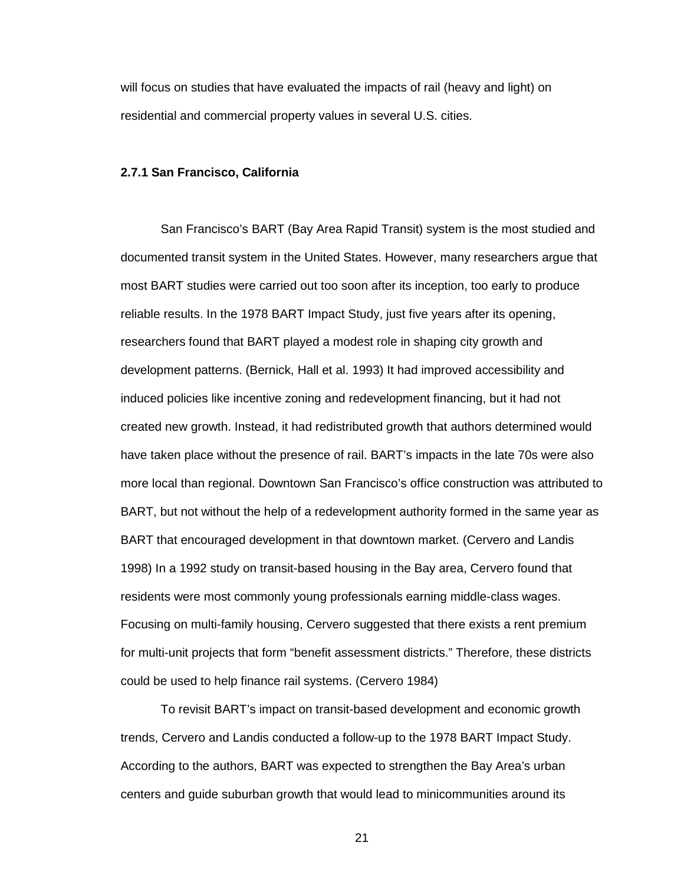will focus on studies that have evaluated the impacts of rail (heavy and light) on residential and commercial property values in several U.S. cities.

# **2.7.1 San Francisco, California**

San Francisco's BART (Bay Area Rapid Transit) system is the most studied and documented transit system in the United States. However, many researchers argue that most BART studies were carried out too soon after its inception, too early to produce reliable results. In the 1978 BART Impact Study, just five years after its opening, researchers found that BART played a modest role in shaping city growth and development patterns. (Bernick, Hall et al. 1993) It had improved accessibility and induced policies like incentive zoning and redevelopment financing, but it had not created new growth. Instead, it had redistributed growth that authors determined would have taken place without the presence of rail. BART's impacts in the late 70s were also more local than regional. Downtown San Francisco's office construction was attributed to BART, but not without the help of a redevelopment authority formed in the same year as BART that encouraged development in that downtown market. (Cervero and Landis 1998) In a 1992 study on transit-based housing in the Bay area, Cervero found that residents were most commonly young professionals earning middle-class wages. Focusing on multi-family housing, Cervero suggested that there exists a rent premium for multi-unit projects that form "benefit assessment districts." Therefore, these districts could be used to help finance rail systems. (Cervero 1984)

 To revisit BART's impact on transit-based development and economic growth trends, Cervero and Landis conducted a follow-up to the 1978 BART Impact Study. According to the authors, BART was expected to strengthen the Bay Area's urban centers and guide suburban growth that would lead to minicommunities around its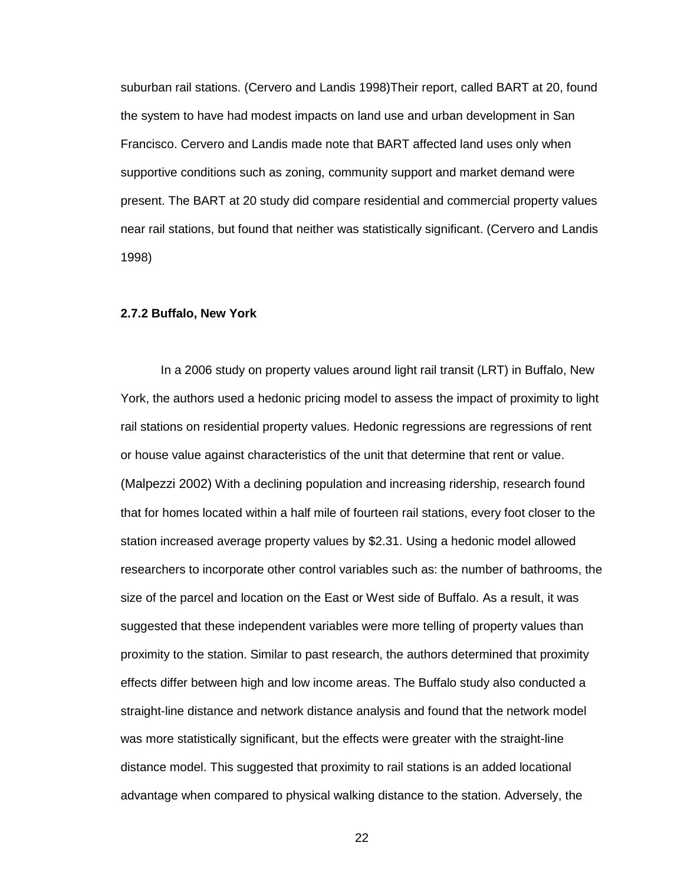suburban rail stations. (Cervero and Landis 1998)Their report, called BART at 20, found the system to have had modest impacts on land use and urban development in San Francisco. Cervero and Landis made note that BART affected land uses only when supportive conditions such as zoning, community support and market demand were present. The BART at 20 study did compare residential and commercial property values near rail stations, but found that neither was statistically significant. (Cervero and Landis 1998)

### **2.7.2 Buffalo, New York**

In a 2006 study on property values around light rail transit (LRT) in Buffalo, New York, the authors used a hedonic pricing model to assess the impact of proximity to light rail stations on residential property values. Hedonic regressions are regressions of rent or house value against characteristics of the unit that determine that rent or value. (Malpezzi 2002) With a declining population and increasing ridership, research found that for homes located within a half mile of fourteen rail stations, every foot closer to the station increased average property values by \$2.31. Using a hedonic model allowed researchers to incorporate other control variables such as: the number of bathrooms, the size of the parcel and location on the East or West side of Buffalo. As a result, it was suggested that these independent variables were more telling of property values than proximity to the station. Similar to past research, the authors determined that proximity effects differ between high and low income areas. The Buffalo study also conducted a straight-line distance and network distance analysis and found that the network model was more statistically significant, but the effects were greater with the straight-line distance model. This suggested that proximity to rail stations is an added locational advantage when compared to physical walking distance to the station. Adversely, the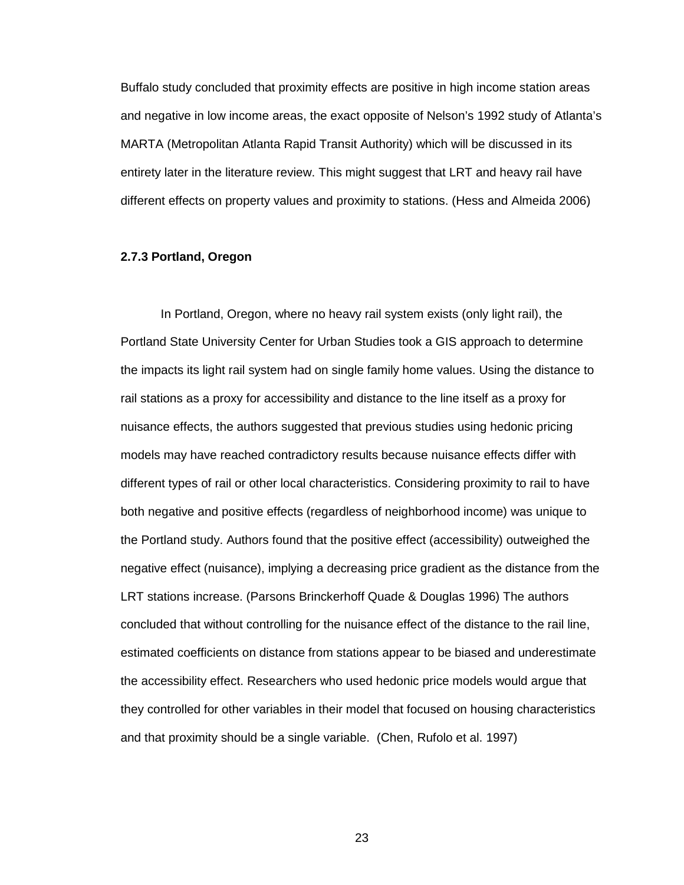Buffalo study concluded that proximity effects are positive in high income station areas and negative in low income areas, the exact opposite of Nelson's 1992 study of Atlanta's MARTA (Metropolitan Atlanta Rapid Transit Authority) which will be discussed in its entirety later in the literature review. This might suggest that LRT and heavy rail have different effects on property values and proximity to stations. (Hess and Almeida 2006)

# **2.7.3 Portland, Oregon**

In Portland, Oregon, where no heavy rail system exists (only light rail), the Portland State University Center for Urban Studies took a GIS approach to determine the impacts its light rail system had on single family home values. Using the distance to rail stations as a proxy for accessibility and distance to the line itself as a proxy for nuisance effects, the authors suggested that previous studies using hedonic pricing models may have reached contradictory results because nuisance effects differ with different types of rail or other local characteristics. Considering proximity to rail to have both negative and positive effects (regardless of neighborhood income) was unique to the Portland study. Authors found that the positive effect (accessibility) outweighed the negative effect (nuisance), implying a decreasing price gradient as the distance from the LRT stations increase. (Parsons Brinckerhoff Quade & Douglas 1996) The authors concluded that without controlling for the nuisance effect of the distance to the rail line, estimated coefficients on distance from stations appear to be biased and underestimate the accessibility effect. Researchers who used hedonic price models would argue that they controlled for other variables in their model that focused on housing characteristics and that proximity should be a single variable. (Chen, Rufolo et al. 1997)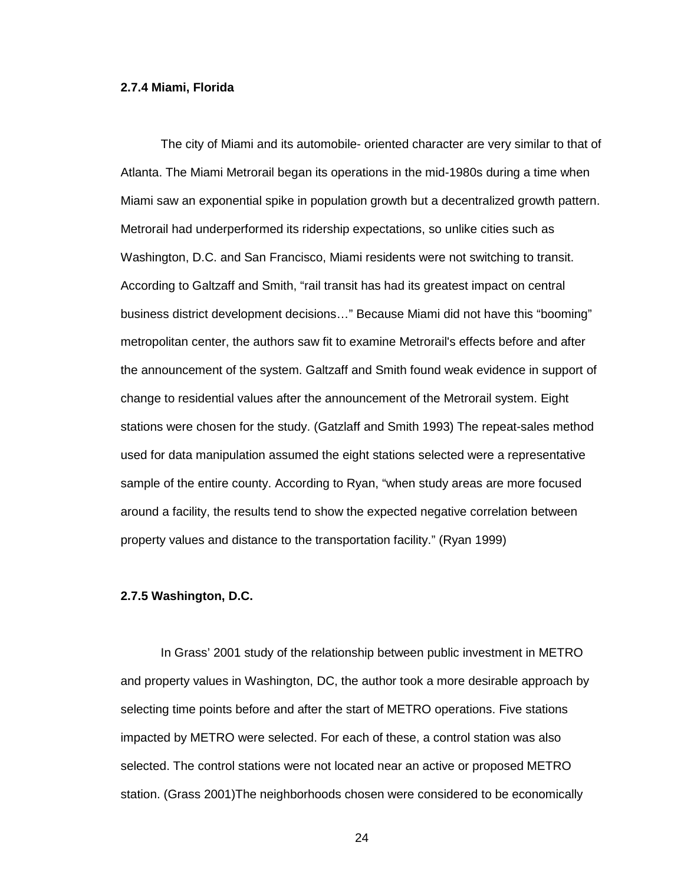### **2.7.4 Miami, Florida**

The city of Miami and its automobile- oriented character are very similar to that of Atlanta. The Miami Metrorail began its operations in the mid-1980s during a time when Miami saw an exponential spike in population growth but a decentralized growth pattern. Metrorail had underperformed its ridership expectations, so unlike cities such as Washington, D.C. and San Francisco, Miami residents were not switching to transit. According to Galtzaff and Smith, "rail transit has had its greatest impact on central business district development decisions…" Because Miami did not have this "booming" metropolitan center, the authors saw fit to examine Metrorail's effects before and after the announcement of the system. Galtzaff and Smith found weak evidence in support of change to residential values after the announcement of the Metrorail system. Eight stations were chosen for the study. (Gatzlaff and Smith 1993) The repeat-sales method used for data manipulation assumed the eight stations selected were a representative sample of the entire county. According to Ryan, "when study areas are more focused around a facility, the results tend to show the expected negative correlation between property values and distance to the transportation facility." (Ryan 1999)

# **2.7.5 Washington, D.C.**

In Grass' 2001 study of the relationship between public investment in METRO and property values in Washington, DC, the author took a more desirable approach by selecting time points before and after the start of METRO operations. Five stations impacted by METRO were selected. For each of these, a control station was also selected. The control stations were not located near an active or proposed METRO station. (Grass 2001)The neighborhoods chosen were considered to be economically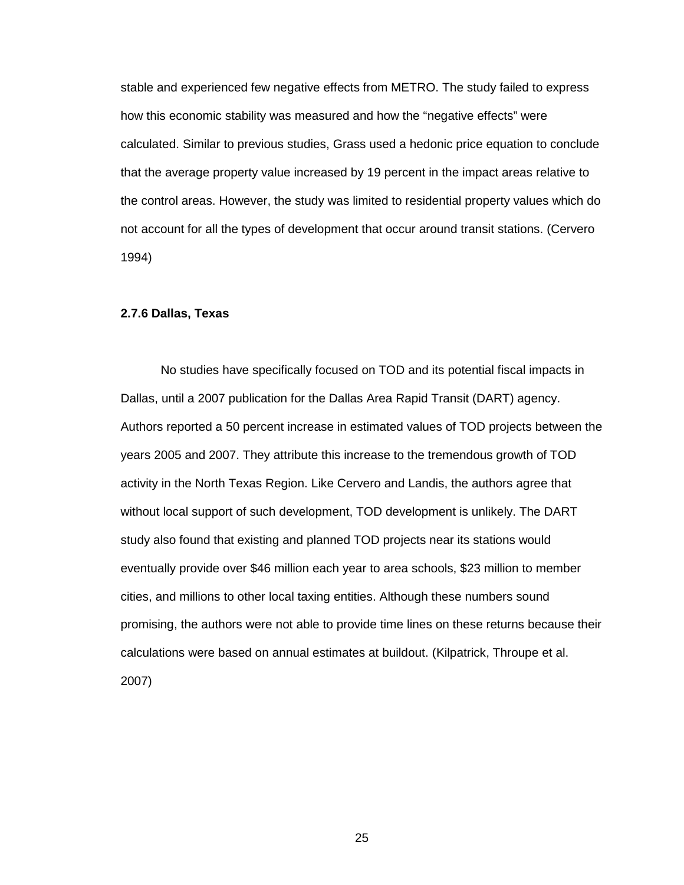stable and experienced few negative effects from METRO. The study failed to express how this economic stability was measured and how the "negative effects" were calculated. Similar to previous studies, Grass used a hedonic price equation to conclude that the average property value increased by 19 percent in the impact areas relative to the control areas. However, the study was limited to residential property values which do not account for all the types of development that occur around transit stations. (Cervero 1994)

## **2.7.6 Dallas, Texas**

No studies have specifically focused on TOD and its potential fiscal impacts in Dallas, until a 2007 publication for the Dallas Area Rapid Transit (DART) agency. Authors reported a 50 percent increase in estimated values of TOD projects between the years 2005 and 2007. They attribute this increase to the tremendous growth of TOD activity in the North Texas Region. Like Cervero and Landis, the authors agree that without local support of such development, TOD development is unlikely. The DART study also found that existing and planned TOD projects near its stations would eventually provide over \$46 million each year to area schools, \$23 million to member cities, and millions to other local taxing entities. Although these numbers sound promising, the authors were not able to provide time lines on these returns because their calculations were based on annual estimates at buildout. (Kilpatrick, Throupe et al. 2007)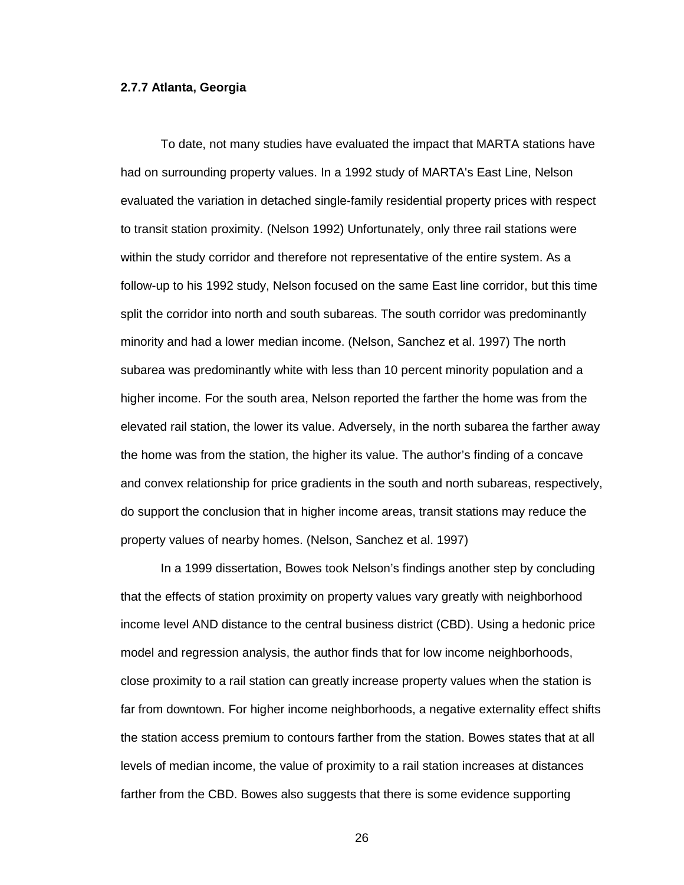# **2.7.7 Atlanta, Georgia**

To date, not many studies have evaluated the impact that MARTA stations have had on surrounding property values. In a 1992 study of MARTA's East Line, Nelson evaluated the variation in detached single-family residential property prices with respect to transit station proximity. (Nelson 1992) Unfortunately, only three rail stations were within the study corridor and therefore not representative of the entire system. As a follow-up to his 1992 study, Nelson focused on the same East line corridor, but this time split the corridor into north and south subareas. The south corridor was predominantly minority and had a lower median income. (Nelson, Sanchez et al. 1997) The north subarea was predominantly white with less than 10 percent minority population and a higher income. For the south area, Nelson reported the farther the home was from the elevated rail station, the lower its value. Adversely, in the north subarea the farther away the home was from the station, the higher its value. The author's finding of a concave and convex relationship for price gradients in the south and north subareas, respectively, do support the conclusion that in higher income areas, transit stations may reduce the property values of nearby homes. (Nelson, Sanchez et al. 1997)

 In a 1999 dissertation, Bowes took Nelson's findings another step by concluding that the effects of station proximity on property values vary greatly with neighborhood income level AND distance to the central business district (CBD). Using a hedonic price model and regression analysis, the author finds that for low income neighborhoods, close proximity to a rail station can greatly increase property values when the station is far from downtown. For higher income neighborhoods, a negative externality effect shifts the station access premium to contours farther from the station. Bowes states that at all levels of median income, the value of proximity to a rail station increases at distances farther from the CBD. Bowes also suggests that there is some evidence supporting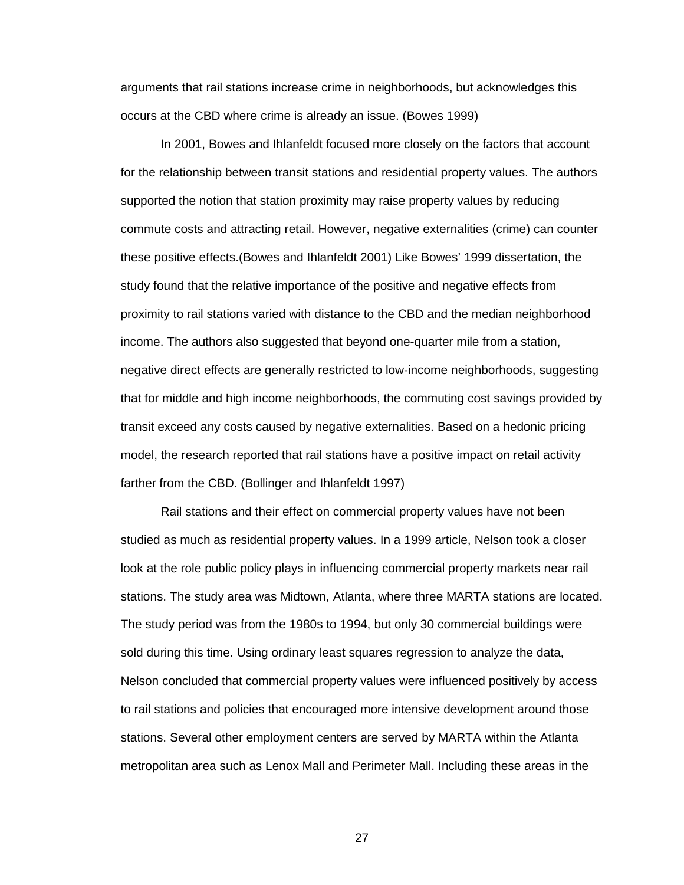arguments that rail stations increase crime in neighborhoods, but acknowledges this occurs at the CBD where crime is already an issue. (Bowes 1999)

In 2001, Bowes and Ihlanfeldt focused more closely on the factors that account for the relationship between transit stations and residential property values. The authors supported the notion that station proximity may raise property values by reducing commute costs and attracting retail. However, negative externalities (crime) can counter these positive effects.(Bowes and Ihlanfeldt 2001) Like Bowes' 1999 dissertation, the study found that the relative importance of the positive and negative effects from proximity to rail stations varied with distance to the CBD and the median neighborhood income. The authors also suggested that beyond one-quarter mile from a station, negative direct effects are generally restricted to low-income neighborhoods, suggesting that for middle and high income neighborhoods, the commuting cost savings provided by transit exceed any costs caused by negative externalities. Based on a hedonic pricing model, the research reported that rail stations have a positive impact on retail activity farther from the CBD. (Bollinger and Ihlanfeldt 1997)

Rail stations and their effect on commercial property values have not been studied as much as residential property values. In a 1999 article, Nelson took a closer look at the role public policy plays in influencing commercial property markets near rail stations. The study area was Midtown, Atlanta, where three MARTA stations are located. The study period was from the 1980s to 1994, but only 30 commercial buildings were sold during this time. Using ordinary least squares regression to analyze the data, Nelson concluded that commercial property values were influenced positively by access to rail stations and policies that encouraged more intensive development around those stations. Several other employment centers are served by MARTA within the Atlanta metropolitan area such as Lenox Mall and Perimeter Mall. Including these areas in the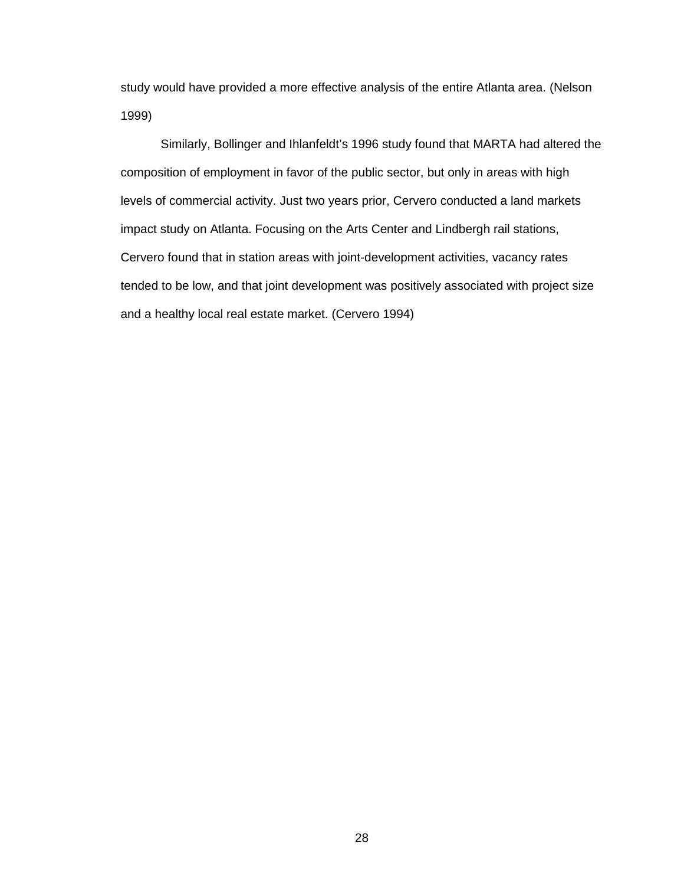study would have provided a more effective analysis of the entire Atlanta area. (Nelson 1999)

Similarly, Bollinger and Ihlanfeldt's 1996 study found that MARTA had altered the composition of employment in favor of the public sector, but only in areas with high levels of commercial activity. Just two years prior, Cervero conducted a land markets impact study on Atlanta. Focusing on the Arts Center and Lindbergh rail stations, Cervero found that in station areas with joint-development activities, vacancy rates tended to be low, and that joint development was positively associated with project size and a healthy local real estate market. (Cervero 1994)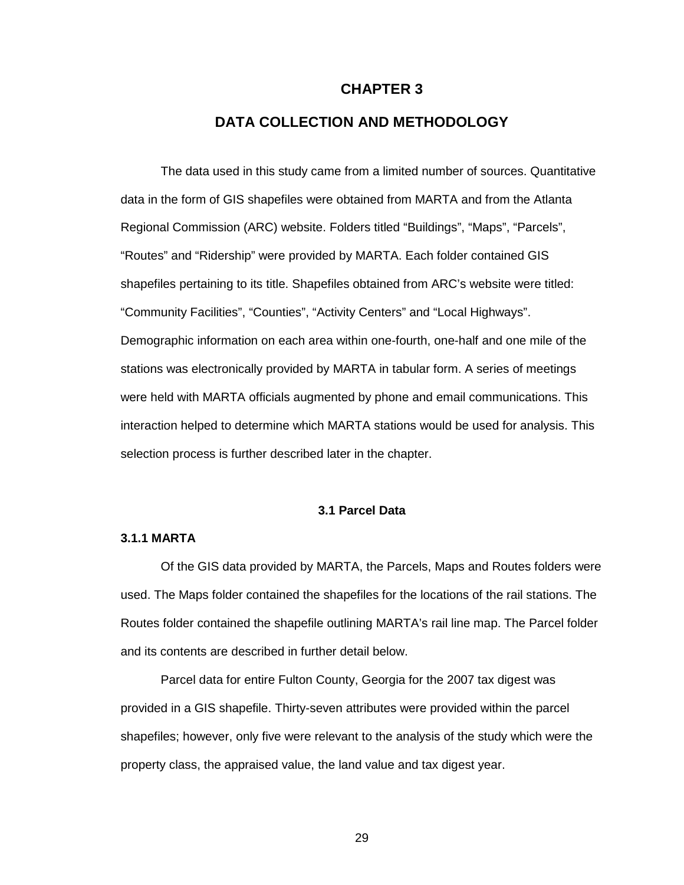## **CHAPTER 3**

# **DATA COLLECTION AND METHODOLOGY**

The data used in this study came from a limited number of sources. Quantitative data in the form of GIS shapefiles were obtained from MARTA and from the Atlanta Regional Commission (ARC) website. Folders titled "Buildings", "Maps", "Parcels", "Routes" and "Ridership" were provided by MARTA. Each folder contained GIS shapefiles pertaining to its title. Shapefiles obtained from ARC's website were titled: "Community Facilities", "Counties", "Activity Centers" and "Local Highways". Demographic information on each area within one-fourth, one-half and one mile of the stations was electronically provided by MARTA in tabular form. A series of meetings were held with MARTA officials augmented by phone and email communications. This interaction helped to determine which MARTA stations would be used for analysis. This selection process is further described later in the chapter.

# **3.1 Parcel Data**

## **3.1.1 MARTA**

 Of the GIS data provided by MARTA, the Parcels, Maps and Routes folders were used. The Maps folder contained the shapefiles for the locations of the rail stations. The Routes folder contained the shapefile outlining MARTA's rail line map. The Parcel folder and its contents are described in further detail below.

 Parcel data for entire Fulton County, Georgia for the 2007 tax digest was provided in a GIS shapefile. Thirty-seven attributes were provided within the parcel shapefiles; however, only five were relevant to the analysis of the study which were the property class, the appraised value, the land value and tax digest year.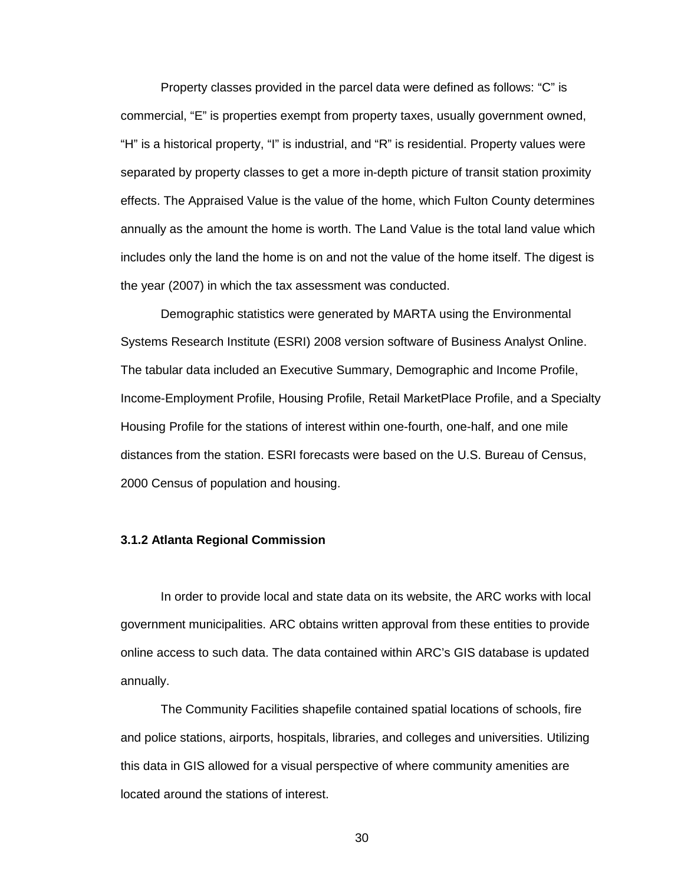Property classes provided in the parcel data were defined as follows: "C" is commercial, "E" is properties exempt from property taxes, usually government owned, "H" is a historical property, "I" is industrial, and "R" is residential. Property values were separated by property classes to get a more in-depth picture of transit station proximity effects. The Appraised Value is the value of the home, which Fulton County determines annually as the amount the home is worth. The Land Value is the total land value which includes only the land the home is on and not the value of the home itself. The digest is the year (2007) in which the tax assessment was conducted.

 Demographic statistics were generated by MARTA using the Environmental Systems Research Institute (ESRI) 2008 version software of Business Analyst Online. The tabular data included an Executive Summary, Demographic and Income Profile, Income-Employment Profile, Housing Profile, Retail MarketPlace Profile, and a Specialty Housing Profile for the stations of interest within one-fourth, one-half, and one mile distances from the station. ESRI forecasts were based on the U.S. Bureau of Census, 2000 Census of population and housing.

#### **3.1.2 Atlanta Regional Commission**

 In order to provide local and state data on its website, the ARC works with local government municipalities. ARC obtains written approval from these entities to provide online access to such data. The data contained within ARC's GIS database is updated annually.

 The Community Facilities shapefile contained spatial locations of schools, fire and police stations, airports, hospitals, libraries, and colleges and universities. Utilizing this data in GIS allowed for a visual perspective of where community amenities are located around the stations of interest.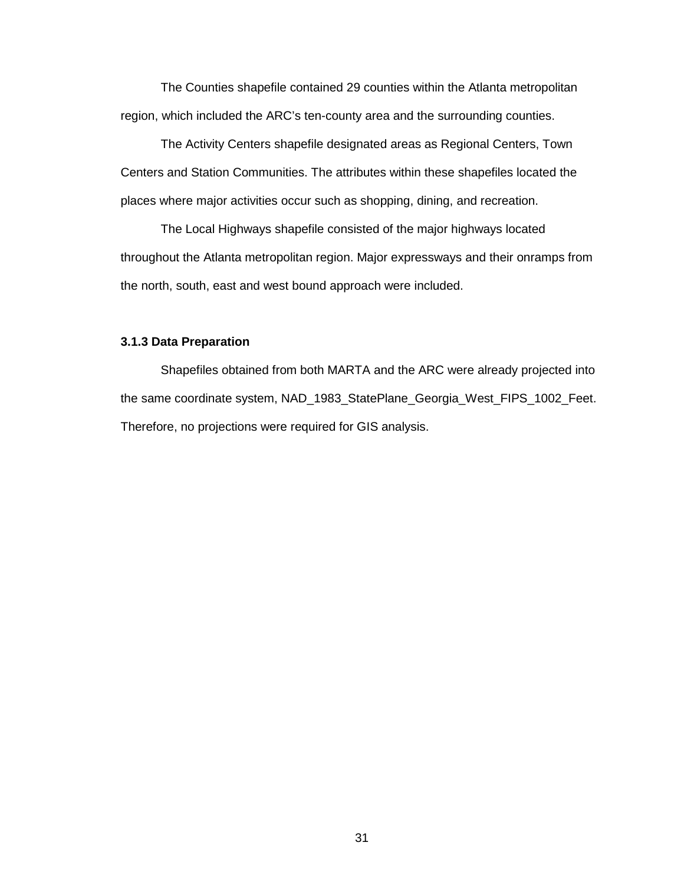The Counties shapefile contained 29 counties within the Atlanta metropolitan region, which included the ARC's ten-county area and the surrounding counties.

 The Activity Centers shapefile designated areas as Regional Centers, Town Centers and Station Communities. The attributes within these shapefiles located the places where major activities occur such as shopping, dining, and recreation.

 The Local Highways shapefile consisted of the major highways located throughout the Atlanta metropolitan region. Major expressways and their onramps from the north, south, east and west bound approach were included.

## **3.1.3 Data Preparation**

 Shapefiles obtained from both MARTA and the ARC were already projected into the same coordinate system, NAD\_1983\_StatePlane\_Georgia\_West\_FIPS\_1002\_Feet. Therefore, no projections were required for GIS analysis.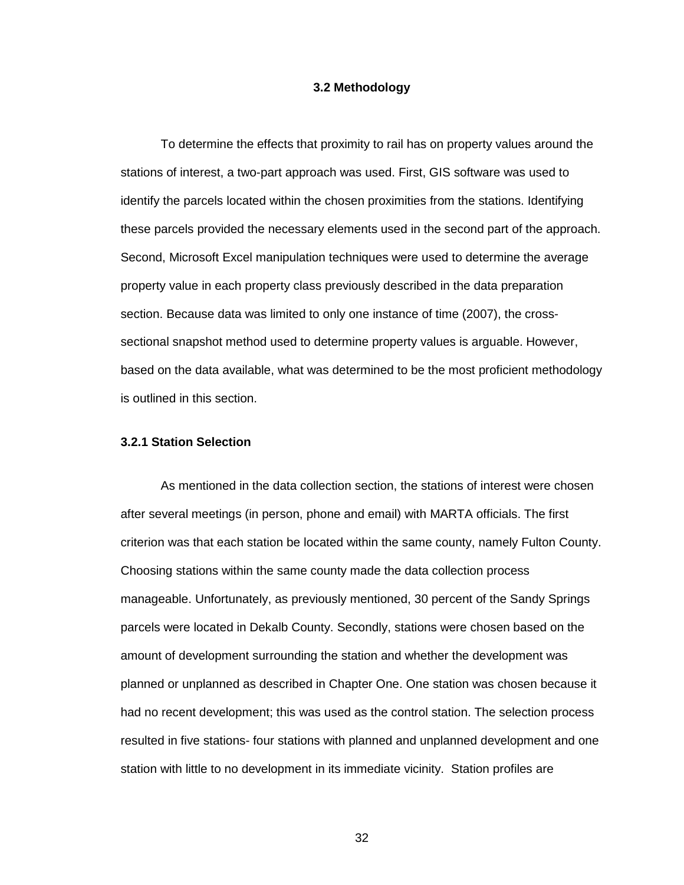## **3.2 Methodology**

To determine the effects that proximity to rail has on property values around the stations of interest, a two-part approach was used. First, GIS software was used to identify the parcels located within the chosen proximities from the stations. Identifying these parcels provided the necessary elements used in the second part of the approach. Second, Microsoft Excel manipulation techniques were used to determine the average property value in each property class previously described in the data preparation section. Because data was limited to only one instance of time (2007), the crosssectional snapshot method used to determine property values is arguable. However, based on the data available, what was determined to be the most proficient methodology is outlined in this section.

## **3.2.1 Station Selection**

As mentioned in the data collection section, the stations of interest were chosen after several meetings (in person, phone and email) with MARTA officials. The first criterion was that each station be located within the same county, namely Fulton County. Choosing stations within the same county made the data collection process manageable. Unfortunately, as previously mentioned, 30 percent of the Sandy Springs parcels were located in Dekalb County. Secondly, stations were chosen based on the amount of development surrounding the station and whether the development was planned or unplanned as described in Chapter One. One station was chosen because it had no recent development; this was used as the control station. The selection process resulted in five stations- four stations with planned and unplanned development and one station with little to no development in its immediate vicinity. Station profiles are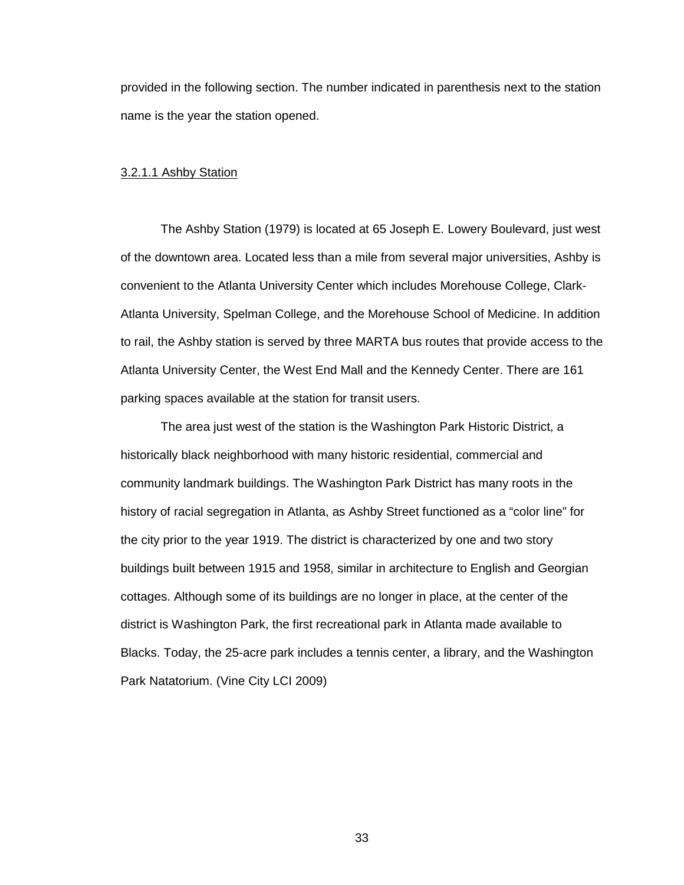provided in the following section. The number indicated in parenthesis next to the station name is the year the station opened.

#### 3.2.1.1 Ashby Station

 The Ashby Station (1979) is located at 65 Joseph E. Lowery Boulevard, just west of the downtown area. Located less than a mile from several major universities, Ashby is convenient to the Atlanta University Center which includes Morehouse College, Clark-Atlanta University, Spelman College, and the Morehouse School of Medicine. In addition to rail, the Ashby station is served by three MARTA bus routes that provide access to the Atlanta University Center, the West End Mall and the Kennedy Center. There are 161 parking spaces available at the station for transit users.

The area just west of the station is the Washington Park Historic District, a historically black neighborhood with many historic residential, commercial and community landmark buildings. The Washington Park District has many roots in the history of racial segregation in Atlanta, as Ashby Street functioned as a "color line" for the city prior to the year 1919. The district is characterized by one and two story buildings built between 1915 and 1958, similar in architecture to English and Georgian cottages. Although some of its buildings are no longer in place, at the center of the district is Washington Park, the first recreational park in Atlanta made available to Blacks. Today, the 25-acre park includes a tennis center, a library, and the Washington Park Natatorium. (Vine City LCI 2009)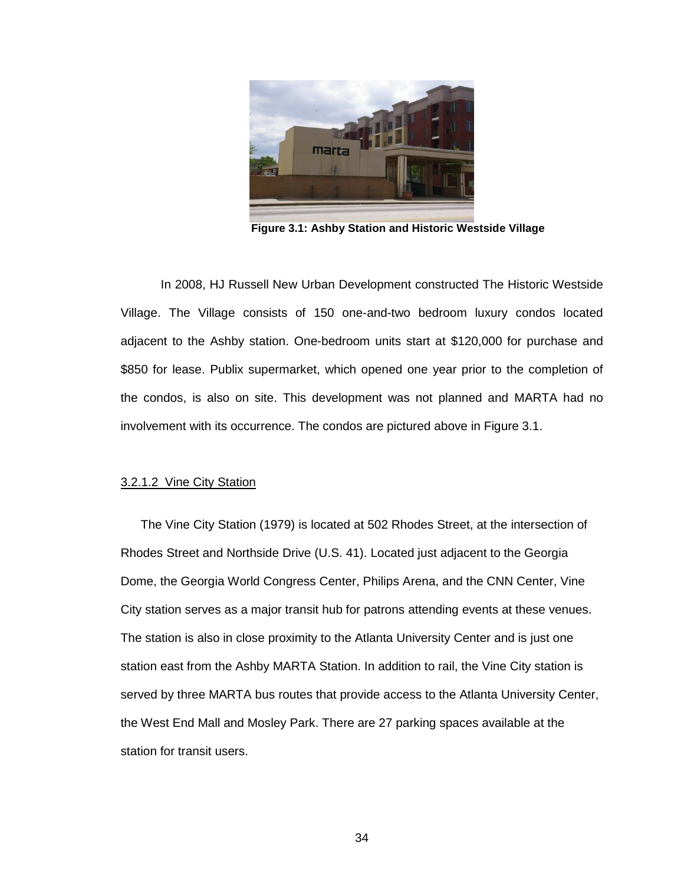

**Figure 3.1: Ashby Station and Historic Westside Village** 

In 2008, HJ Russell New Urban Development constructed The Historic Westside Village. The Village consists of 150 one-and-two bedroom luxury condos located adjacent to the Ashby station. One-bedroom units start at \$120,000 for purchase and \$850 for lease. Publix supermarket, which opened one year prior to the completion of the condos, is also on site. This development was not planned and MARTA had no involvement with its occurrence. The condos are pictured above in Figure 3.1.

#### 3.2.1.2 Vine City Station

The Vine City Station (1979) is located at 502 Rhodes Street, at the intersection of Rhodes Street and Northside Drive (U.S. 41). Located just adjacent to the Georgia Dome, the Georgia World Congress Center, Philips Arena, and the CNN Center, Vine City station serves as a major transit hub for patrons attending events at these venues. The station is also in close proximity to the Atlanta University Center and is just one station east from the Ashby MARTA Station. In addition to rail, the Vine City station is served by three MARTA bus routes that provide access to the Atlanta University Center, the West End Mall and Mosley Park. There are 27 parking spaces available at the station for transit users.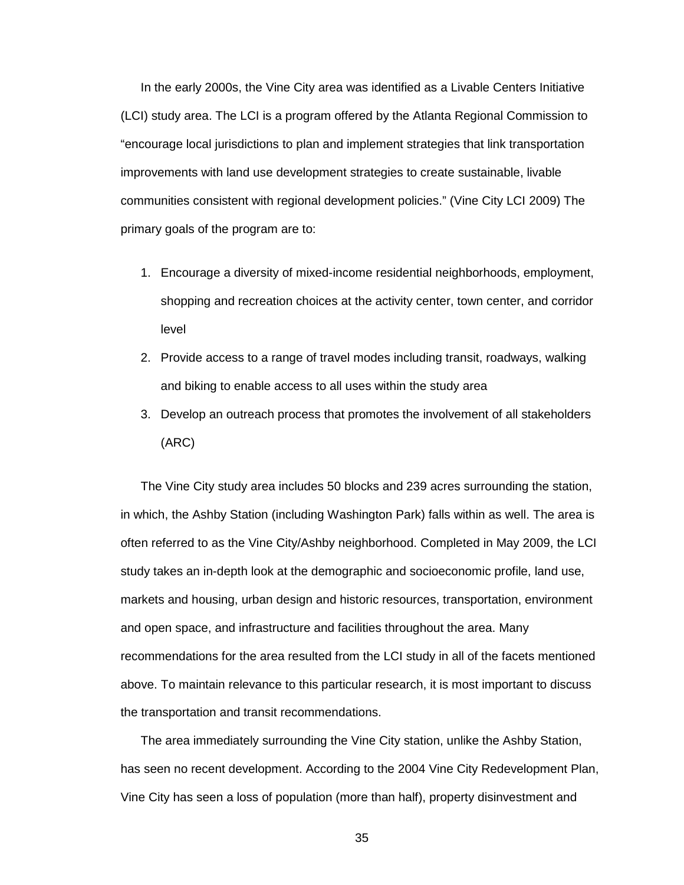In the early 2000s, the Vine City area was identified as a Livable Centers Initiative (LCI) study area. The LCI is a program offered by the Atlanta Regional Commission to "encourage local jurisdictions to plan and implement strategies that link transportation improvements with land use development strategies to create sustainable, livable communities consistent with regional development policies." (Vine City LCI 2009) The primary goals of the program are to:

- 1. Encourage a diversity of mixed-income residential neighborhoods, employment, shopping and recreation choices at the activity center, town center, and corridor level
- 2. Provide access to a range of travel modes including transit, roadways, walking and biking to enable access to all uses within the study area
- 3. Develop an outreach process that promotes the involvement of all stakeholders (ARC)

The Vine City study area includes 50 blocks and 239 acres surrounding the station, in which, the Ashby Station (including Washington Park) falls within as well. The area is often referred to as the Vine City/Ashby neighborhood. Completed in May 2009, the LCI study takes an in-depth look at the demographic and socioeconomic profile, land use, markets and housing, urban design and historic resources, transportation, environment and open space, and infrastructure and facilities throughout the area. Many recommendations for the area resulted from the LCI study in all of the facets mentioned above. To maintain relevance to this particular research, it is most important to discuss the transportation and transit recommendations.

The area immediately surrounding the Vine City station, unlike the Ashby Station, has seen no recent development. According to the 2004 Vine City Redevelopment Plan, Vine City has seen a loss of population (more than half), property disinvestment and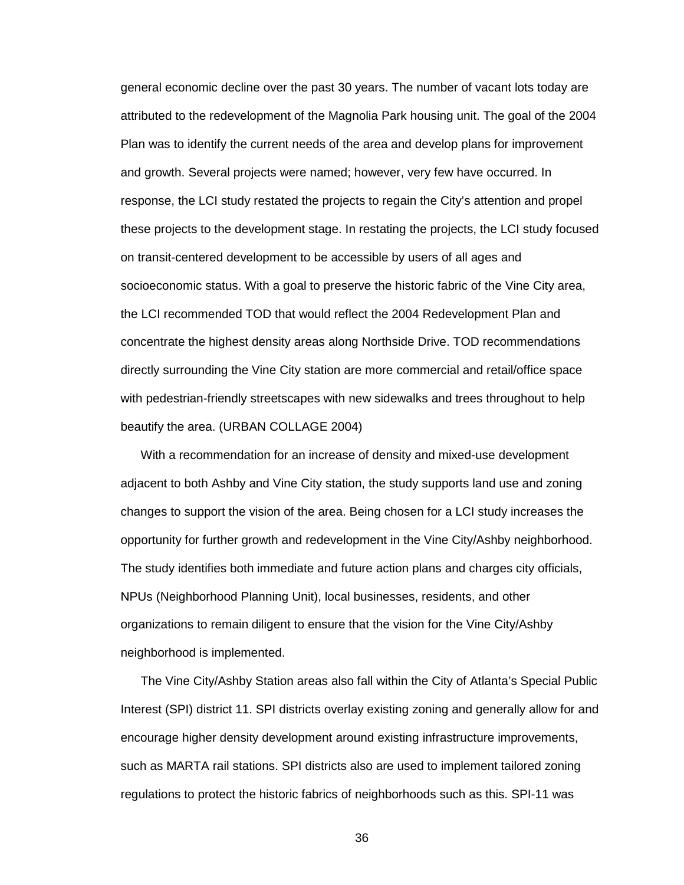general economic decline over the past 30 years. The number of vacant lots today are attributed to the redevelopment of the Magnolia Park housing unit. The goal of the 2004 Plan was to identify the current needs of the area and develop plans for improvement and growth. Several projects were named; however, very few have occurred. In response, the LCI study restated the projects to regain the City's attention and propel these projects to the development stage. In restating the projects, the LCI study focused on transit-centered development to be accessible by users of all ages and socioeconomic status. With a goal to preserve the historic fabric of the Vine City area, the LCI recommended TOD that would reflect the 2004 Redevelopment Plan and concentrate the highest density areas along Northside Drive. TOD recommendations directly surrounding the Vine City station are more commercial and retail/office space with pedestrian-friendly streetscapes with new sidewalks and trees throughout to help beautify the area. (URBAN COLLAGE 2004)

With a recommendation for an increase of density and mixed-use development adjacent to both Ashby and Vine City station, the study supports land use and zoning changes to support the vision of the area. Being chosen for a LCI study increases the opportunity for further growth and redevelopment in the Vine City/Ashby neighborhood. The study identifies both immediate and future action plans and charges city officials, NPUs (Neighborhood Planning Unit), local businesses, residents, and other organizations to remain diligent to ensure that the vision for the Vine City/Ashby neighborhood is implemented.

The Vine City/Ashby Station areas also fall within the City of Atlanta's Special Public Interest (SPI) district 11. SPI districts overlay existing zoning and generally allow for and encourage higher density development around existing infrastructure improvements, such as MARTA rail stations. SPI districts also are used to implement tailored zoning regulations to protect the historic fabrics of neighborhoods such as this. SPI-11 was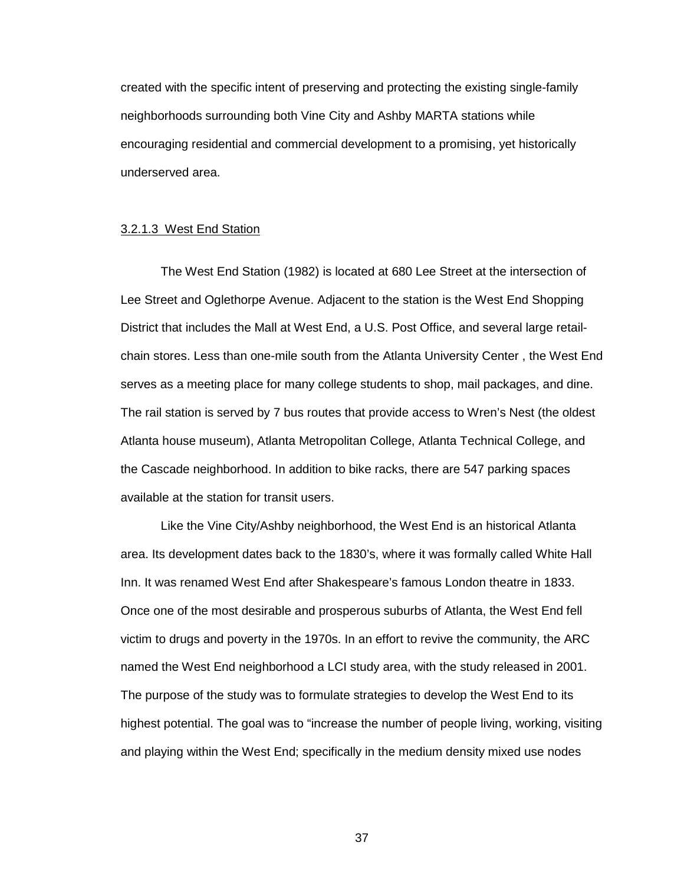created with the specific intent of preserving and protecting the existing single-family neighborhoods surrounding both Vine City and Ashby MARTA stations while encouraging residential and commercial development to a promising, yet historically underserved area.

#### 3.2.1.3 West End Station

The West End Station (1982) is located at 680 Lee Street at the intersection of Lee Street and Oglethorpe Avenue. Adjacent to the station is the West End Shopping District that includes the Mall at West End, a U.S. Post Office, and several large retailchain stores. Less than one-mile south from the Atlanta University Center , the West End serves as a meeting place for many college students to shop, mail packages, and dine. The rail station is served by 7 bus routes that provide access to Wren's Nest (the oldest Atlanta house museum), Atlanta Metropolitan College, Atlanta Technical College, and the Cascade neighborhood. In addition to bike racks, there are 547 parking spaces available at the station for transit users.

 Like the Vine City/Ashby neighborhood, the West End is an historical Atlanta area. Its development dates back to the 1830's, where it was formally called White Hall Inn. It was renamed West End after Shakespeare's famous London theatre in 1833. Once one of the most desirable and prosperous suburbs of Atlanta, the West End fell victim to drugs and poverty in the 1970s. In an effort to revive the community, the ARC named the West End neighborhood a LCI study area, with the study released in 2001. The purpose of the study was to formulate strategies to develop the West End to its highest potential. The goal was to "increase the number of people living, working, visiting and playing within the West End; specifically in the medium density mixed use nodes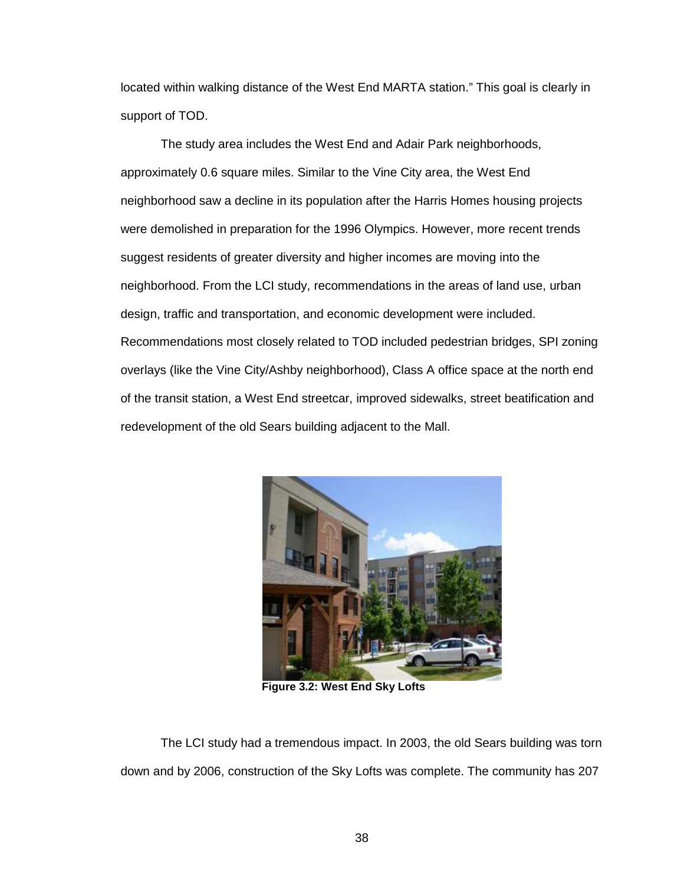located within walking distance of the West End MARTA station." This goal is clearly in support of TOD.

 The study area includes the West End and Adair Park neighborhoods, approximately 0.6 square miles. Similar to the Vine City area, the West End neighborhood saw a decline in its population after the Harris Homes housing projects were demolished in preparation for the 1996 Olympics. However, more recent trends suggest residents of greater diversity and higher incomes are moving into the neighborhood. From the LCI study, recommendations in the areas of land use, urban design, traffic and transportation, and economic development were included. Recommendations most closely related to TOD included pedestrian bridges, SPI zoning overlays (like the Vine City/Ashby neighborhood), Class A office space at the north end of the transit station, a West End streetcar, improved sidewalks, street beatification and redevelopment of the old Sears building adjacent to the Mall.



**Figure 3.2: West End Sky Lofts** 

The LCI study had a tremendous impact. In 2003, the old Sears building was torn down and by 2006, construction of the Sky Lofts was complete. The community has 207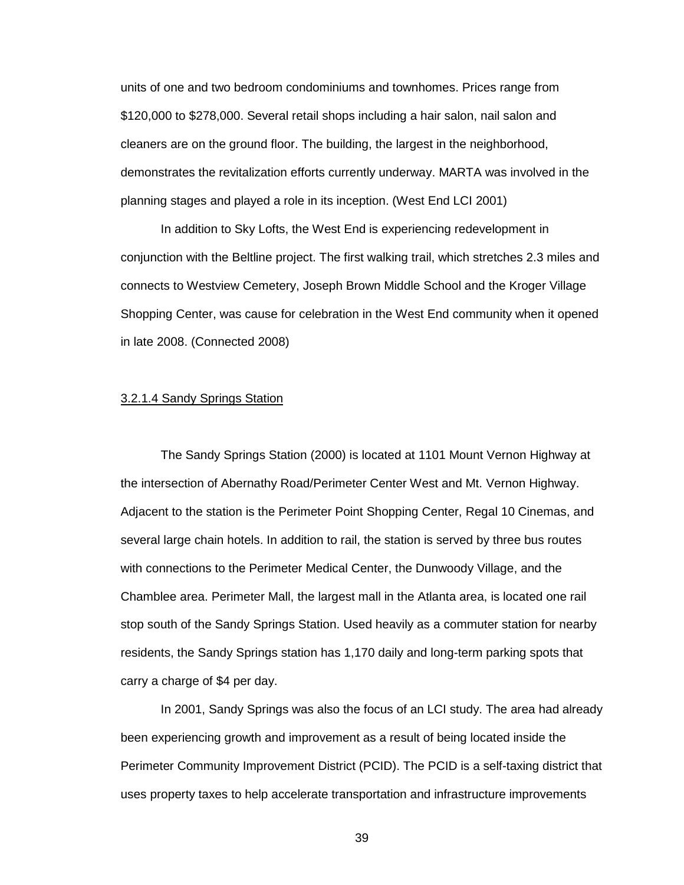units of one and two bedroom condominiums and townhomes. Prices range from \$120,000 to \$278,000. Several retail shops including a hair salon, nail salon and cleaners are on the ground floor. The building, the largest in the neighborhood, demonstrates the revitalization efforts currently underway. MARTA was involved in the planning stages and played a role in its inception. (West End LCI 2001)

In addition to Sky Lofts, the West End is experiencing redevelopment in conjunction with the Beltline project. The first walking trail, which stretches 2.3 miles and connects to Westview Cemetery, Joseph Brown Middle School and the Kroger Village Shopping Center, was cause for celebration in the West End community when it opened in late 2008. (Connected 2008)

## 3.2.1.4 Sandy Springs Station

The Sandy Springs Station (2000) is located at 1101 Mount Vernon Highway at the intersection of Abernathy Road/Perimeter Center West and Mt. Vernon Highway. Adjacent to the station is the Perimeter Point Shopping Center, Regal 10 Cinemas, and several large chain hotels. In addition to rail, the station is served by three bus routes with connections to the Perimeter Medical Center, the Dunwoody Village, and the Chamblee area. Perimeter Mall, the largest mall in the Atlanta area, is located one rail stop south of the Sandy Springs Station. Used heavily as a commuter station for nearby residents, the Sandy Springs station has 1,170 daily and long-term parking spots that carry a charge of \$4 per day.

In 2001, Sandy Springs was also the focus of an LCI study. The area had already been experiencing growth and improvement as a result of being located inside the Perimeter Community Improvement District (PCID). The PCID is a self-taxing district that uses property taxes to help accelerate transportation and infrastructure improvements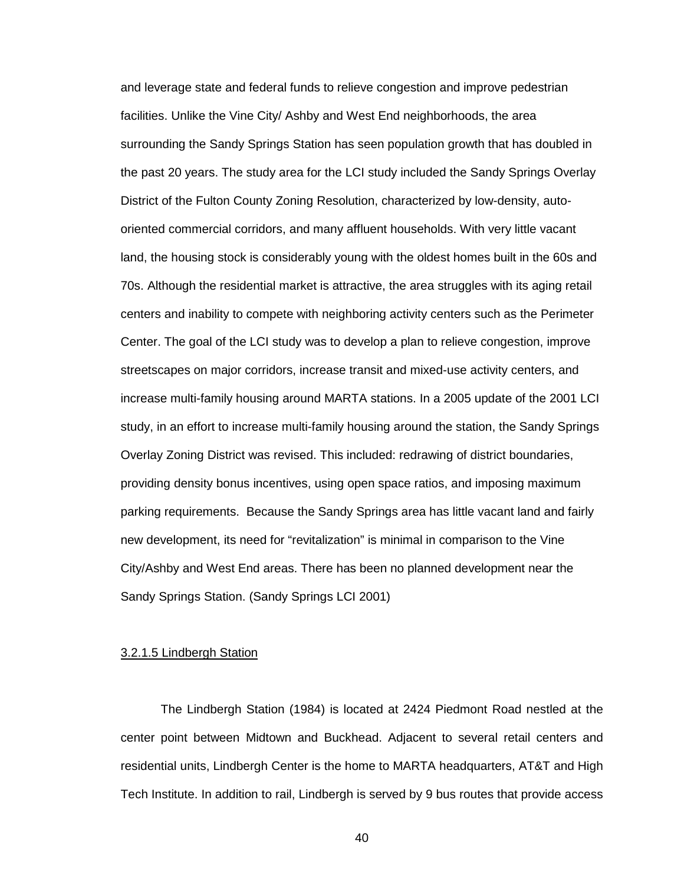and leverage state and federal funds to relieve congestion and improve pedestrian facilities. Unlike the Vine City/ Ashby and West End neighborhoods, the area surrounding the Sandy Springs Station has seen population growth that has doubled in the past 20 years. The study area for the LCI study included the Sandy Springs Overlay District of the Fulton County Zoning Resolution, characterized by low-density, autooriented commercial corridors, and many affluent households. With very little vacant land, the housing stock is considerably young with the oldest homes built in the 60s and 70s. Although the residential market is attractive, the area struggles with its aging retail centers and inability to compete with neighboring activity centers such as the Perimeter Center. The goal of the LCI study was to develop a plan to relieve congestion, improve streetscapes on major corridors, increase transit and mixed-use activity centers, and increase multi-family housing around MARTA stations. In a 2005 update of the 2001 LCI study, in an effort to increase multi-family housing around the station, the Sandy Springs Overlay Zoning District was revised. This included: redrawing of district boundaries, providing density bonus incentives, using open space ratios, and imposing maximum parking requirements. Because the Sandy Springs area has little vacant land and fairly new development, its need for "revitalization" is minimal in comparison to the Vine City/Ashby and West End areas. There has been no planned development near the Sandy Springs Station. (Sandy Springs LCI 2001)

#### 3.2.1.5 Lindbergh Station

The Lindbergh Station (1984) is located at 2424 Piedmont Road nestled at the center point between Midtown and Buckhead. Adjacent to several retail centers and residential units, Lindbergh Center is the home to MARTA headquarters, AT&T and High Tech Institute. In addition to rail, Lindbergh is served by 9 bus routes that provide access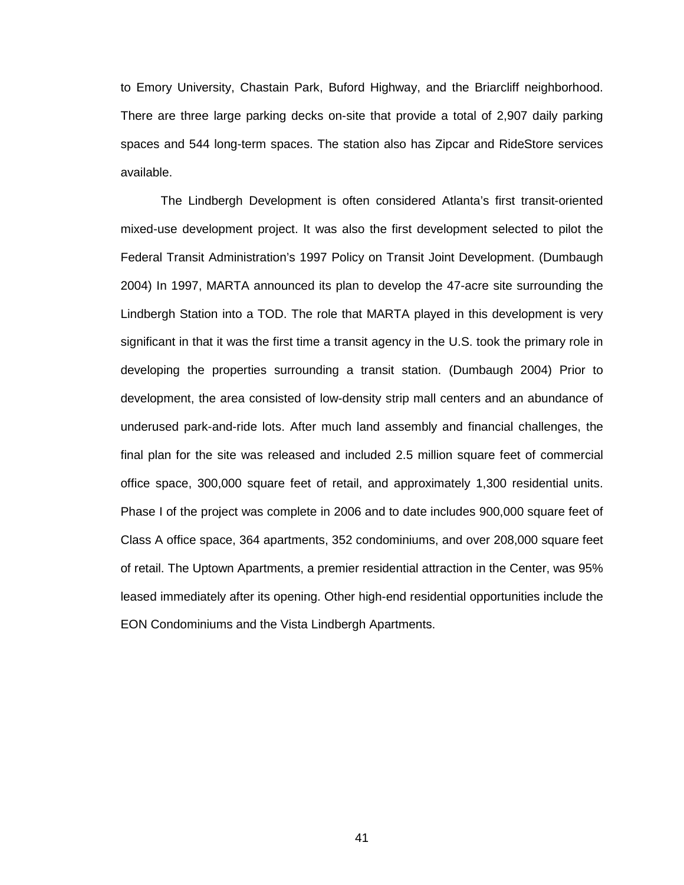to Emory University, Chastain Park, Buford Highway, and the Briarcliff neighborhood. There are three large parking decks on-site that provide a total of 2,907 daily parking spaces and 544 long-term spaces. The station also has Zipcar and RideStore services available.

 The Lindbergh Development is often considered Atlanta's first transit-oriented mixed-use development project. It was also the first development selected to pilot the Federal Transit Administration's 1997 Policy on Transit Joint Development. (Dumbaugh 2004) In 1997, MARTA announced its plan to develop the 47-acre site surrounding the Lindbergh Station into a TOD. The role that MARTA played in this development is very significant in that it was the first time a transit agency in the U.S. took the primary role in developing the properties surrounding a transit station. (Dumbaugh 2004) Prior to development, the area consisted of low-density strip mall centers and an abundance of underused park-and-ride lots. After much land assembly and financial challenges, the final plan for the site was released and included 2.5 million square feet of commercial office space, 300,000 square feet of retail, and approximately 1,300 residential units. Phase I of the project was complete in 2006 and to date includes 900,000 square feet of Class A office space, 364 apartments, 352 condominiums, and over 208,000 square feet of retail. The Uptown Apartments, a premier residential attraction in the Center, was 95% leased immediately after its opening. Other high-end residential opportunities include the EON Condominiums and the Vista Lindbergh Apartments.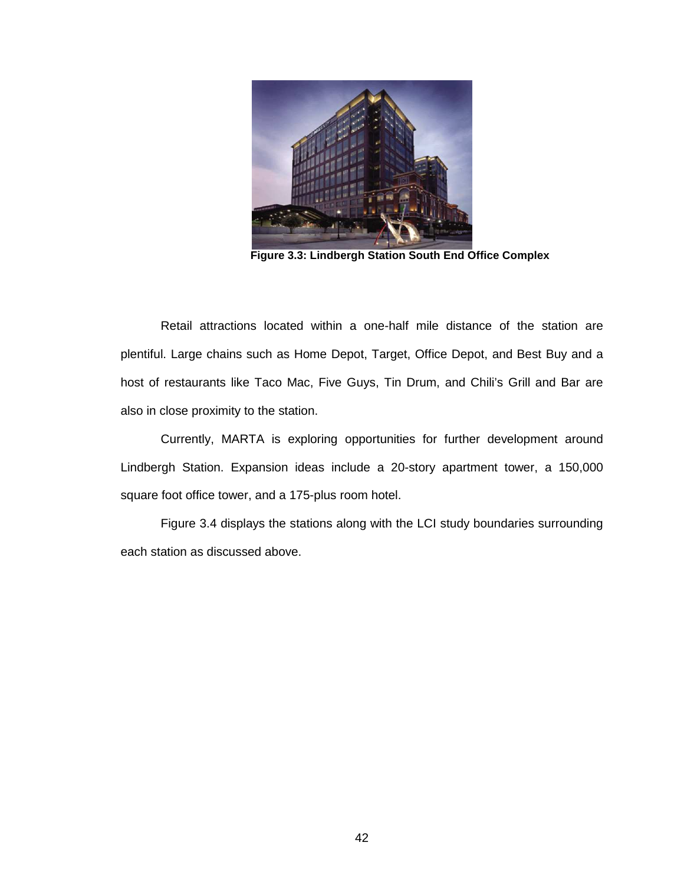

 **Figure 3.3: Lindbergh Station South End Office Complex** 

Retail attractions located within a one-half mile distance of the station are plentiful. Large chains such as Home Depot, Target, Office Depot, and Best Buy and a host of restaurants like Taco Mac, Five Guys, Tin Drum, and Chili's Grill and Bar are also in close proximity to the station.

Currently, MARTA is exploring opportunities for further development around Lindbergh Station. Expansion ideas include a 20-story apartment tower, a 150,000 square foot office tower, and a 175-plus room hotel.

Figure 3.4 displays the stations along with the LCI study boundaries surrounding each station as discussed above.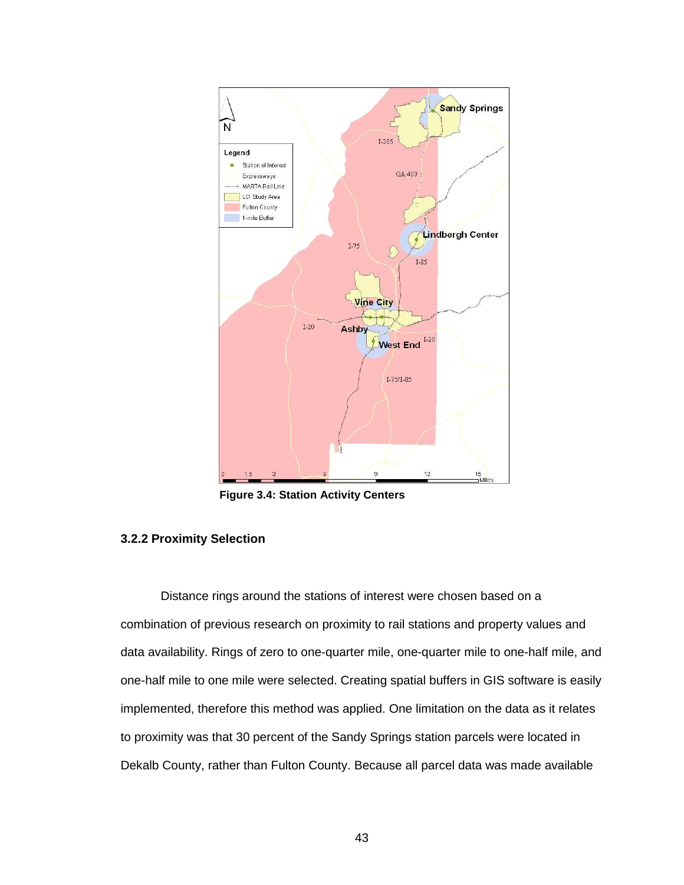

**Figure 3.4: Station Activity Centers** 

## **3.2.2 Proximity Selection**

Distance rings around the stations of interest were chosen based on a combination of previous research on proximity to rail stations and property values and data availability. Rings of zero to one-quarter mile, one-quarter mile to one-half mile, and one-half mile to one mile were selected. Creating spatial buffers in GIS software is easily implemented, therefore this method was applied. One limitation on the data as it relates to proximity was that 30 percent of the Sandy Springs station parcels were located in Dekalb County, rather than Fulton County. Because all parcel data was made available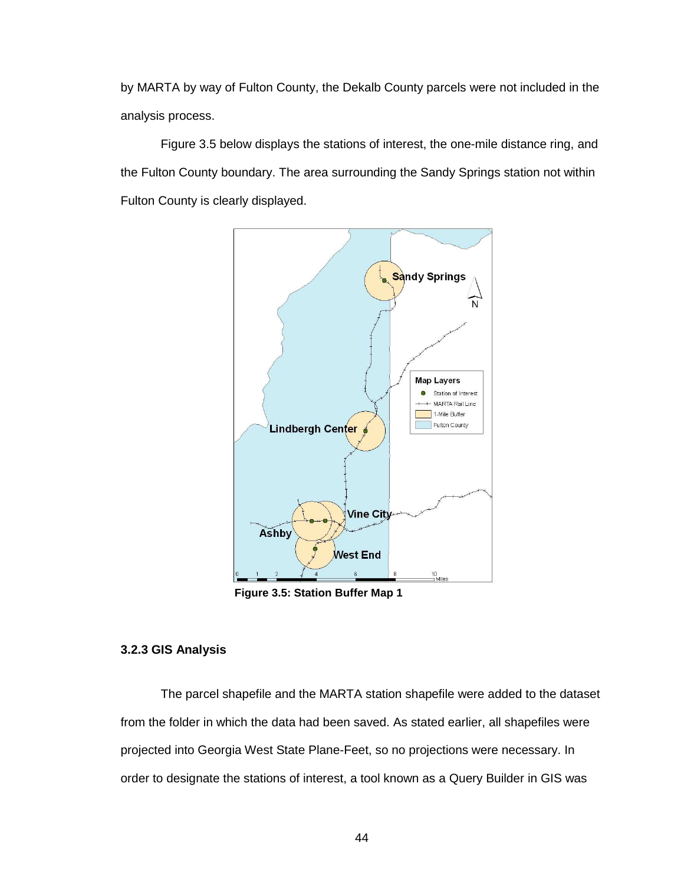by MARTA by way of Fulton County, the Dekalb County parcels were not included in the analysis process.

 Figure 3.5 below displays the stations of interest, the one-mile distance ring, and the Fulton County boundary. The area surrounding the Sandy Springs station not within Fulton County is clearly displayed.



**Figure 3.5: Station Buffer Map 1** 

## **3.2.3 GIS Analysis**

The parcel shapefile and the MARTA station shapefile were added to the dataset from the folder in which the data had been saved. As stated earlier, all shapefiles were projected into Georgia West State Plane-Feet, so no projections were necessary. In order to designate the stations of interest, a tool known as a Query Builder in GIS was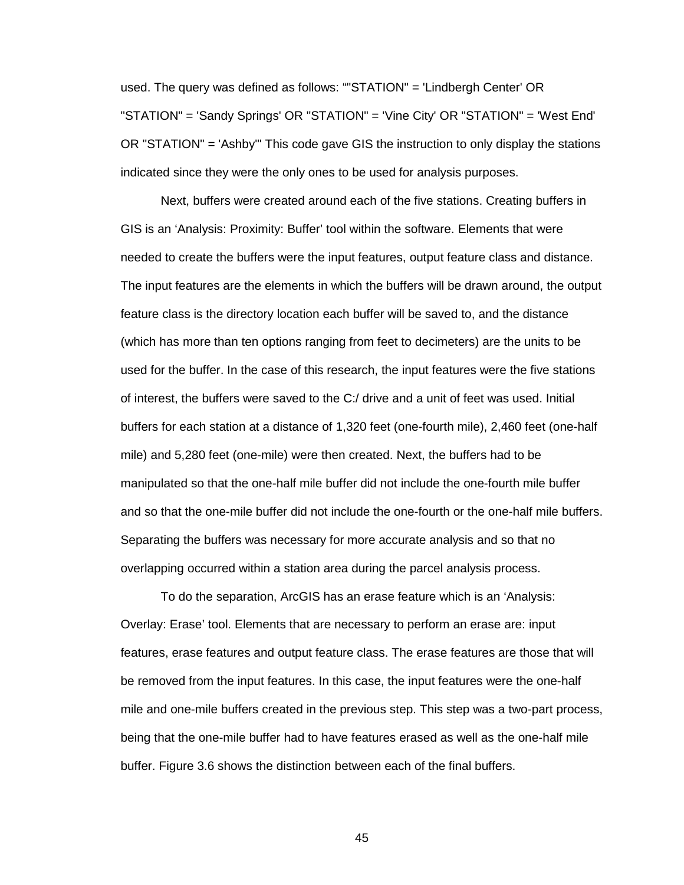used. The query was defined as follows: ""STATION" = 'Lindbergh Center' OR "STATION" = 'Sandy Springs' OR "STATION" = 'Vine City' OR "STATION" = 'West End' OR "STATION" = 'Ashby'" This code gave GIS the instruction to only display the stations indicated since they were the only ones to be used for analysis purposes.

 Next, buffers were created around each of the five stations. Creating buffers in GIS is an 'Analysis: Proximity: Buffer' tool within the software. Elements that were needed to create the buffers were the input features, output feature class and distance. The input features are the elements in which the buffers will be drawn around, the output feature class is the directory location each buffer will be saved to, and the distance (which has more than ten options ranging from feet to decimeters) are the units to be used for the buffer. In the case of this research, the input features were the five stations of interest, the buffers were saved to the C:/ drive and a unit of feet was used. Initial buffers for each station at a distance of 1,320 feet (one-fourth mile), 2,460 feet (one-half mile) and 5,280 feet (one-mile) were then created. Next, the buffers had to be manipulated so that the one-half mile buffer did not include the one-fourth mile buffer and so that the one-mile buffer did not include the one-fourth or the one-half mile buffers. Separating the buffers was necessary for more accurate analysis and so that no overlapping occurred within a station area during the parcel analysis process.

 To do the separation, ArcGIS has an erase feature which is an 'Analysis: Overlay: Erase' tool. Elements that are necessary to perform an erase are: input features, erase features and output feature class. The erase features are those that will be removed from the input features. In this case, the input features were the one-half mile and one-mile buffers created in the previous step. This step was a two-part process, being that the one-mile buffer had to have features erased as well as the one-half mile buffer. Figure 3.6 shows the distinction between each of the final buffers.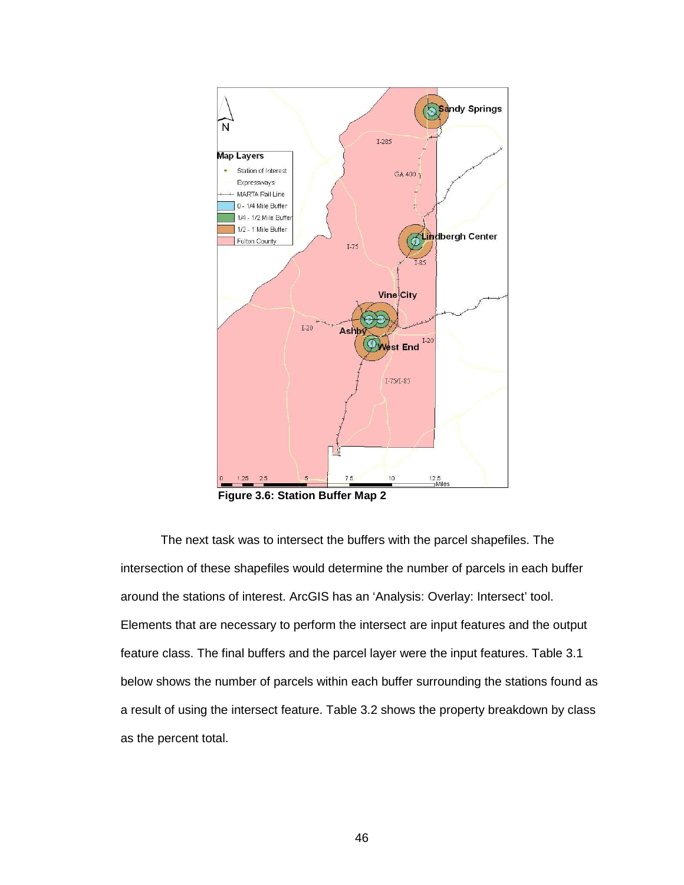

**Figure 3.6: Station Buffer Map 2** 

The next task was to intersect the buffers with the parcel shapefiles. The intersection of these shapefiles would determine the number of parcels in each buffer around the stations of interest. ArcGIS has an 'Analysis: Overlay: Intersect' tool. Elements that are necessary to perform the intersect are input features and the output feature class. The final buffers and the parcel layer were the input features. Table 3.1 below shows the number of parcels within each buffer surrounding the stations found as a result of using the intersect feature. Table 3.2 shows the property breakdown by class as the percent total.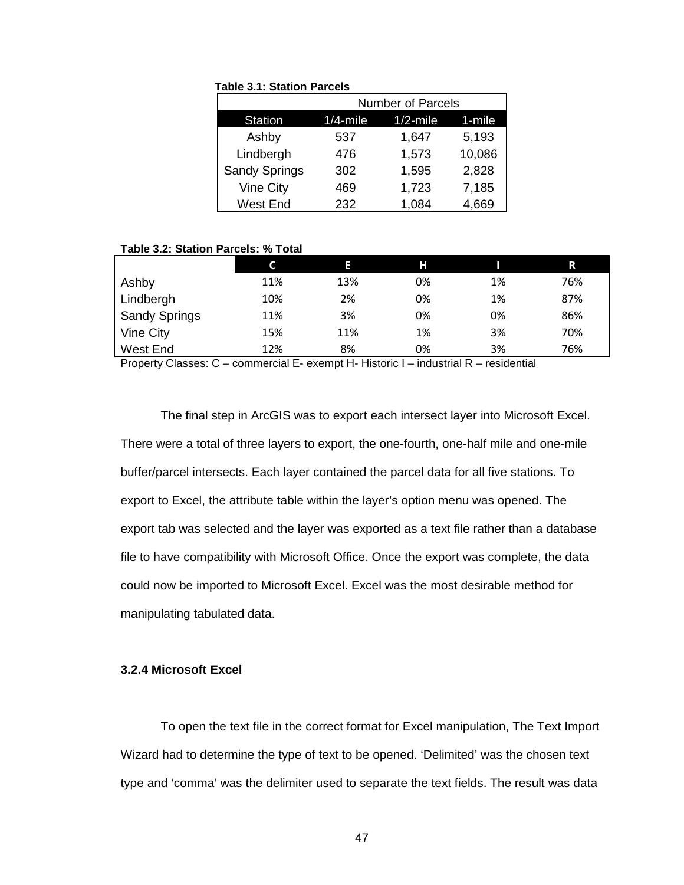#### **Table 3.1: Station Parcels**

|                      | <b>Number of Parcels</b> |             |        |  |  |
|----------------------|--------------------------|-------------|--------|--|--|
| <b>Station</b>       | $1/4$ -mile              | $1/2$ -mile | 1-mile |  |  |
| Ashby                | 537                      | 1,647       | 5,193  |  |  |
| Lindbergh            | 476                      | 1,573       | 10,086 |  |  |
| <b>Sandy Springs</b> | 302                      | 1,595       | 2,828  |  |  |
| Vine City            | 469                      | 1,723       | 7,185  |  |  |
| <b>West End</b>      | 232                      | 1,084       | 4,669  |  |  |

#### **Table 3.2: Station Parcels: % Total**

|                      |     | Е   | н  |    | R   |
|----------------------|-----|-----|----|----|-----|
| Ashby                | 11% | 13% | 0% | 1% | 76% |
| Lindbergh            | 10% | 2%  | 0% | 1% | 87% |
| <b>Sandy Springs</b> | 11% | 3%  | 0% | 0% | 86% |
| Vine City            | 15% | 11% | 1% | 3% | 70% |
| West End             | 12% | 8%  | 0% | 3% | 76% |

Property Classes: C – commercial E- exempt H- Historic I – industrial R – residential

The final step in ArcGIS was to export each intersect layer into Microsoft Excel. There were a total of three layers to export, the one-fourth, one-half mile and one-mile buffer/parcel intersects. Each layer contained the parcel data for all five stations. To export to Excel, the attribute table within the layer's option menu was opened. The export tab was selected and the layer was exported as a text file rather than a database file to have compatibility with Microsoft Office. Once the export was complete, the data could now be imported to Microsoft Excel. Excel was the most desirable method for manipulating tabulated data.

## **3.2.4 Microsoft Excel**

 To open the text file in the correct format for Excel manipulation, The Text Import Wizard had to determine the type of text to be opened. 'Delimited' was the chosen text type and 'comma' was the delimiter used to separate the text fields. The result was data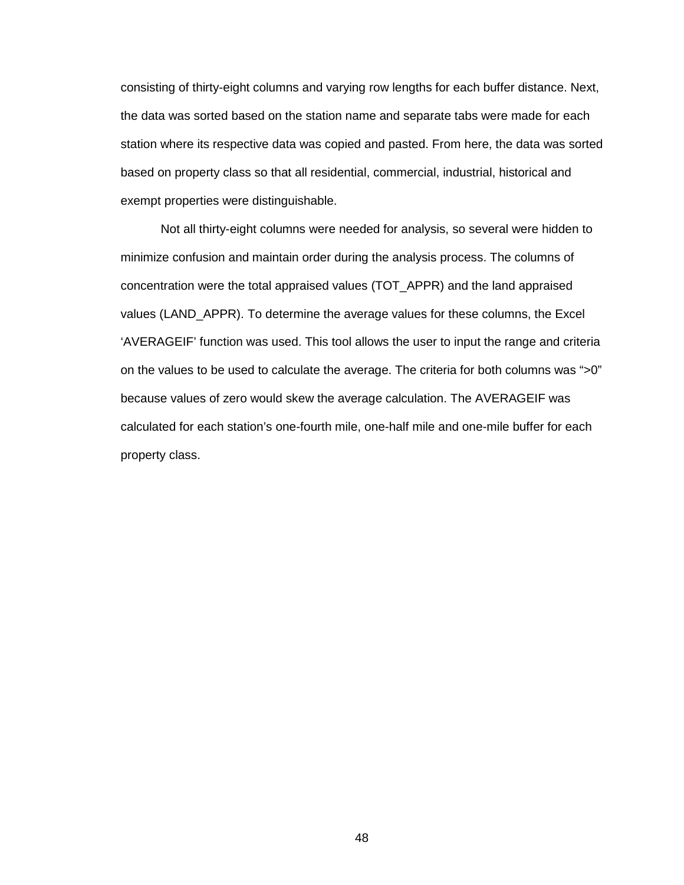consisting of thirty-eight columns and varying row lengths for each buffer distance. Next, the data was sorted based on the station name and separate tabs were made for each station where its respective data was copied and pasted. From here, the data was sorted based on property class so that all residential, commercial, industrial, historical and exempt properties were distinguishable.

 Not all thirty-eight columns were needed for analysis, so several were hidden to minimize confusion and maintain order during the analysis process. The columns of concentration were the total appraised values (TOT\_APPR) and the land appraised values (LAND\_APPR). To determine the average values for these columns, the Excel 'AVERAGEIF' function was used. This tool allows the user to input the range and criteria on the values to be used to calculate the average. The criteria for both columns was ">0" because values of zero would skew the average calculation. The AVERAGEIF was calculated for each station's one-fourth mile, one-half mile and one-mile buffer for each property class.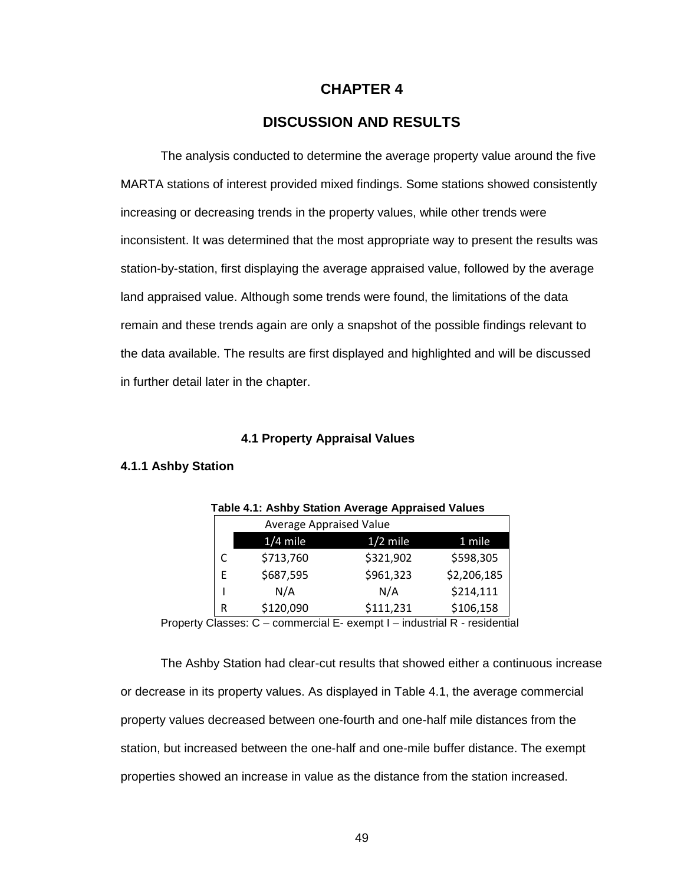# **CHAPTER 4**

# **DISCUSSION AND RESULTS**

The analysis conducted to determine the average property value around the five MARTA stations of interest provided mixed findings. Some stations showed consistently increasing or decreasing trends in the property values, while other trends were inconsistent. It was determined that the most appropriate way to present the results was station-by-station, first displaying the average appraised value, followed by the average land appraised value. Although some trends were found, the limitations of the data remain and these trends again are only a snapshot of the possible findings relevant to the data available. The results are first displayed and highlighted and will be discussed in further detail later in the chapter.

## **4.1 Property Appraisal Values**

## **4.1.1 Ashby Station**

|   | Table 4.1. ASINY Station Average Appraised Values |            |             |  |  |  |
|---|---------------------------------------------------|------------|-------------|--|--|--|
|   | Average Appraised Value                           |            |             |  |  |  |
|   | $1/4$ mile                                        | $1/2$ mile | 1 mile      |  |  |  |
| C | \$713,760                                         | \$321,902  | \$598,305   |  |  |  |
| E | \$687,595                                         | \$961,323  | \$2,206,185 |  |  |  |
|   | N/A                                               | N/A        | \$214,111   |  |  |  |
| R | \$120,090                                         | \$111,231  | \$106,158   |  |  |  |

|  |  | <b>Table 4.1: Ashby Station Average Appraised Values</b> |
|--|--|----------------------------------------------------------|
|--|--|----------------------------------------------------------|

Property Classes: C – commercial E- exempt I – industrial R - residential

The Ashby Station had clear-cut results that showed either a continuous increase or decrease in its property values. As displayed in Table 4.1, the average commercial property values decreased between one-fourth and one-half mile distances from the station, but increased between the one-half and one-mile buffer distance. The exempt properties showed an increase in value as the distance from the station increased.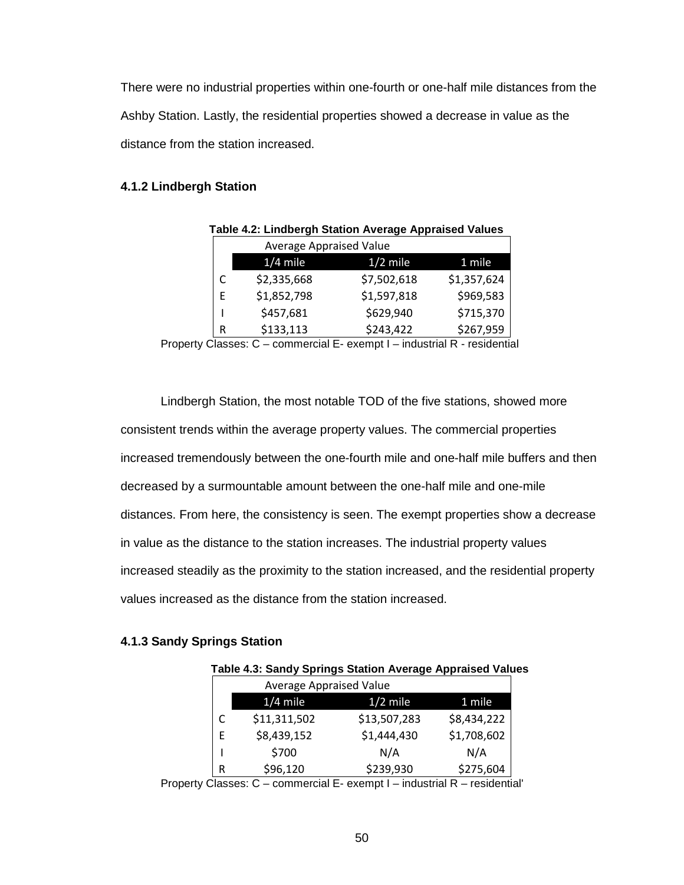There were no industrial properties within one-fourth or one-half mile distances from the Ashby Station. Lastly, the residential properties showed a decrease in value as the distance from the station increased.

# **4.1.2 Lindbergh Station**

|   | Table 4.2: Lindbergh Station Average Appraised Values |             |             |  |  |  |
|---|-------------------------------------------------------|-------------|-------------|--|--|--|
|   | <b>Average Appraised Value</b>                        |             |             |  |  |  |
|   | $1/4$ mile                                            | $1/2$ mile  | 1 mile      |  |  |  |
| C | \$2,335,668                                           | \$7,502,618 | \$1,357,624 |  |  |  |
| F | \$1,852,798                                           | \$1,597,818 | \$969,583   |  |  |  |
|   | \$457,681                                             | \$629,940   | \$715,370   |  |  |  |
| R | \$133,113                                             | \$243,422   | \$267,959   |  |  |  |

Property Classes: C – commercial E- exempt I – industrial R - residential

 Lindbergh Station, the most notable TOD of the five stations, showed more consistent trends within the average property values. The commercial properties increased tremendously between the one-fourth mile and one-half mile buffers and then decreased by a surmountable amount between the one-half mile and one-mile distances. From here, the consistency is seen. The exempt properties show a decrease in value as the distance to the station increases. The industrial property values increased steadily as the proximity to the station increased, and the residential property values increased as the distance from the station increased.

## **4.1.3 Sandy Springs Station**

|   | Table 4.3: Sandy Springs Station Average Appraised Values |              |             |  |
|---|-----------------------------------------------------------|--------------|-------------|--|
|   | Average Appraised Value                                   |              |             |  |
|   | $1/4$ mile                                                | $1/2$ mile   | 1 mile      |  |
|   | \$11,311,502                                              | \$13,507,283 | \$8,434,222 |  |
| E | \$8,439,152                                               | \$1,444,430  | \$1,708,602 |  |
|   | \$700                                                     | N/A          | N/A         |  |
| R | \$96,120                                                  | \$239,930    | \$275,604   |  |

Property Classes: C – commercial E- exempt I – industrial R – residential'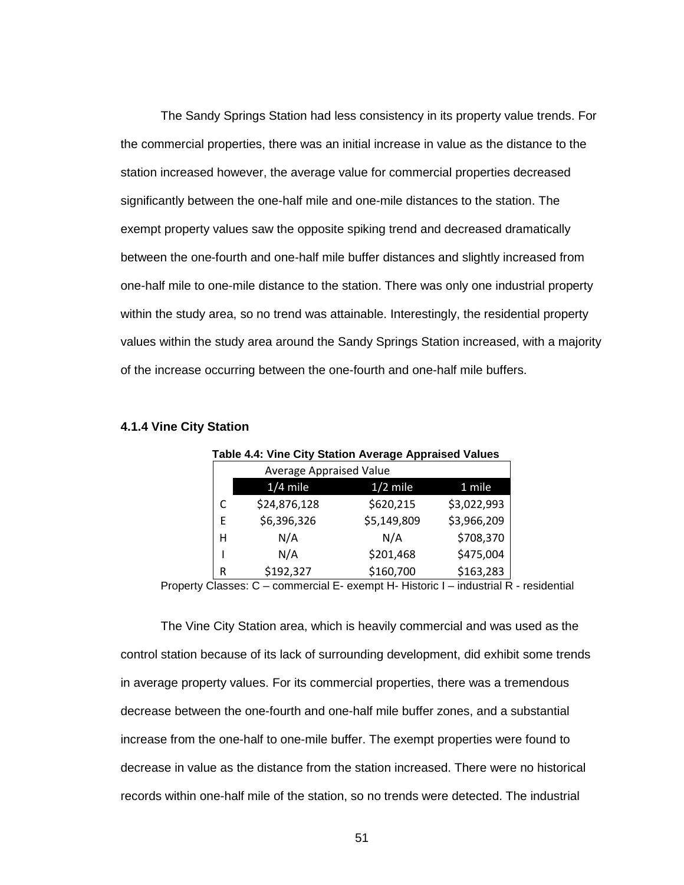The Sandy Springs Station had less consistency in its property value trends. For the commercial properties, there was an initial increase in value as the distance to the station increased however, the average value for commercial properties decreased significantly between the one-half mile and one-mile distances to the station. The exempt property values saw the opposite spiking trend and decreased dramatically between the one-fourth and one-half mile buffer distances and slightly increased from one-half mile to one-mile distance to the station. There was only one industrial property within the study area, so no trend was attainable. Interestingly, the residential property values within the study area around the Sandy Springs Station increased, with a majority of the increase occurring between the one-fourth and one-half mile buffers.

|   |                         | . .         |             |
|---|-------------------------|-------------|-------------|
|   | Average Appraised Value |             |             |
|   | $1/4$ mile              | $1/2$ mile  | 1 mile      |
| C | \$24,876,128            | \$620,215   | \$3,022,993 |
| E | \$6,396,326             | \$5,149,809 | \$3,966,209 |
| н | N/A                     | N/A         | \$708,370   |
|   | N/A                     | \$201,468   | \$475,004   |
| R | \$192,327               | \$160,700   | \$163,283   |

**Table 4.4: Vine City Station Average Appraised Values** 

#### **4.1.4 Vine City Station**

Property Classes: C – commercial E- exempt H- Historic I – industrial R - residential

The Vine City Station area, which is heavily commercial and was used as the control station because of its lack of surrounding development, did exhibit some trends in average property values. For its commercial properties, there was a tremendous decrease between the one-fourth and one-half mile buffer zones, and a substantial increase from the one-half to one-mile buffer. The exempt properties were found to decrease in value as the distance from the station increased. There were no historical records within one-half mile of the station, so no trends were detected. The industrial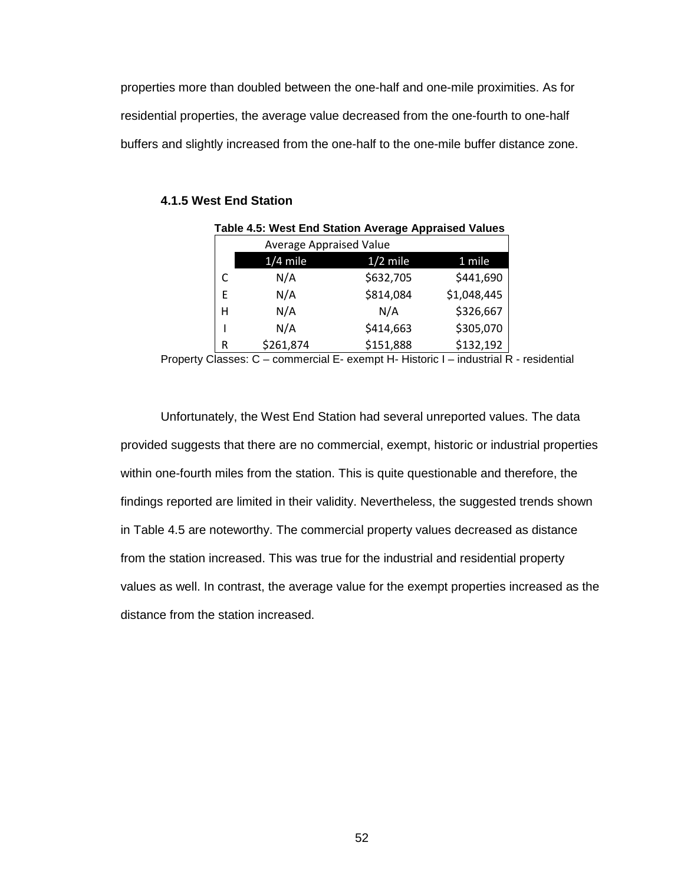properties more than doubled between the one-half and one-mile proximities. As for residential properties, the average value decreased from the one-fourth to one-half buffers and slightly increased from the one-half to the one-mile buffer distance zone.

# **4.1.5 West End Station**

| Table 4.5: West End Station Average Appraised Values |           |                         |             |  |  |
|------------------------------------------------------|-----------|-------------------------|-------------|--|--|
|                                                      |           | Average Appraised Value |             |  |  |
| $1/4$ mile<br>$1/2$ mile<br>1 mile                   |           |                         |             |  |  |
|                                                      | N/A       | \$632,705               | \$441,690   |  |  |
| E                                                    | N/A       | \$814,084               | \$1,048,445 |  |  |
| н                                                    | N/A       | N/A                     | \$326,667   |  |  |
|                                                      | N/A       | \$414,663               | \$305,070   |  |  |
| R                                                    | \$261,874 | \$151,888               | \$132,192   |  |  |

Property Classes: C – commercial E- exempt H- Historic I – industrial R - residential

Unfortunately, the West End Station had several unreported values. The data provided suggests that there are no commercial, exempt, historic or industrial properties within one-fourth miles from the station. This is quite questionable and therefore, the findings reported are limited in their validity. Nevertheless, the suggested trends shown in Table 4.5 are noteworthy. The commercial property values decreased as distance from the station increased. This was true for the industrial and residential property values as well. In contrast, the average value for the exempt properties increased as the distance from the station increased.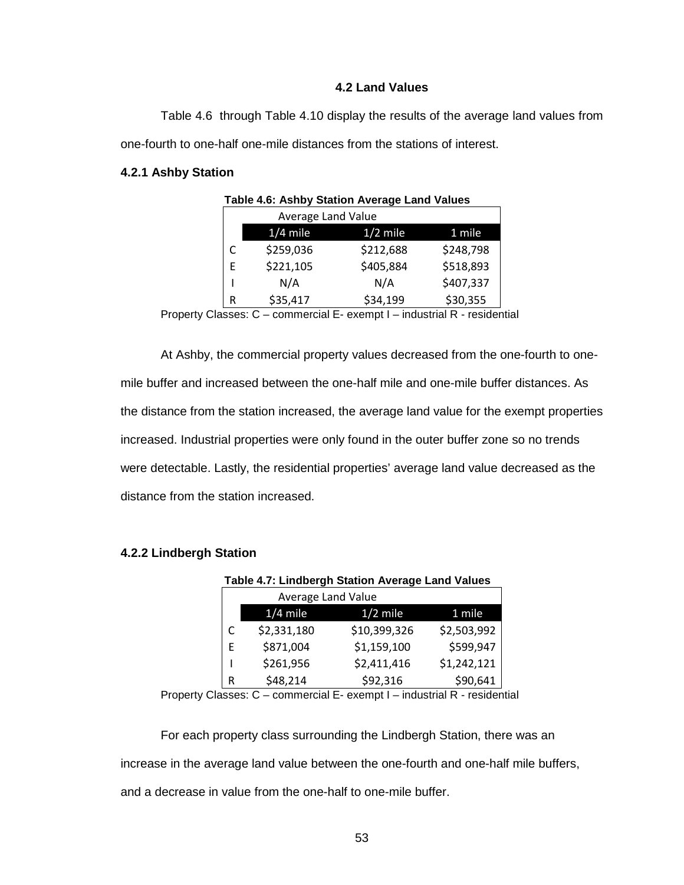# **4.2 Land Values**

 Table 4.6 through Table 4.10 display the results of the average land values from one-fourth to one-half one-mile distances from the stations of interest.

## **4.2.1 Ashby Station**

|   | <b>Average Land Value</b> |            |           |
|---|---------------------------|------------|-----------|
|   | $1/4$ mile                | $1/2$ mile | 1 mile    |
| C | \$259,036                 | \$212,688  | \$248,798 |
| F | \$221,105                 | \$405,884  | \$518,893 |
|   | N/A                       | N/A        | \$407,337 |
| R | \$35,417                  | \$34,199   | \$30,355  |

**Table 4.6: Ashby Station Average Land Values**

Property Classes: C – commercial E- exempt I – industrial R - residential

At Ashby, the commercial property values decreased from the one-fourth to onemile buffer and increased between the one-half mile and one-mile buffer distances. As the distance from the station increased, the average land value for the exempt properties increased. Industrial properties were only found in the outer buffer zone so no trends were detectable. Lastly, the residential properties' average land value decreased as the distance from the station increased.

| Table 4.7: Lindbergh Station Average Land Values |                           |              |             |  |  |
|--------------------------------------------------|---------------------------|--------------|-------------|--|--|
|                                                  | <b>Average Land Value</b> |              |             |  |  |
| $1/4$ mile<br>$1/2$ mile<br>$1$ mile             |                           |              |             |  |  |
|                                                  | \$2,331,180               | \$10,399,326 | \$2,503,992 |  |  |
| E                                                | \$871,004                 | \$1,159,100  | \$599,947   |  |  |
|                                                  | \$261,956                 | \$2,411,416  | \$1,242,121 |  |  |
| R                                                | \$48,214                  | \$92,316     | \$90,641    |  |  |

## **4.2.2 Lindbergh Station**

Property Classes: C – commercial E- exempt I – industrial R - residential

For each property class surrounding the Lindbergh Station, there was an increase in the average land value between the one-fourth and one-half mile buffers, and a decrease in value from the one-half to one-mile buffer.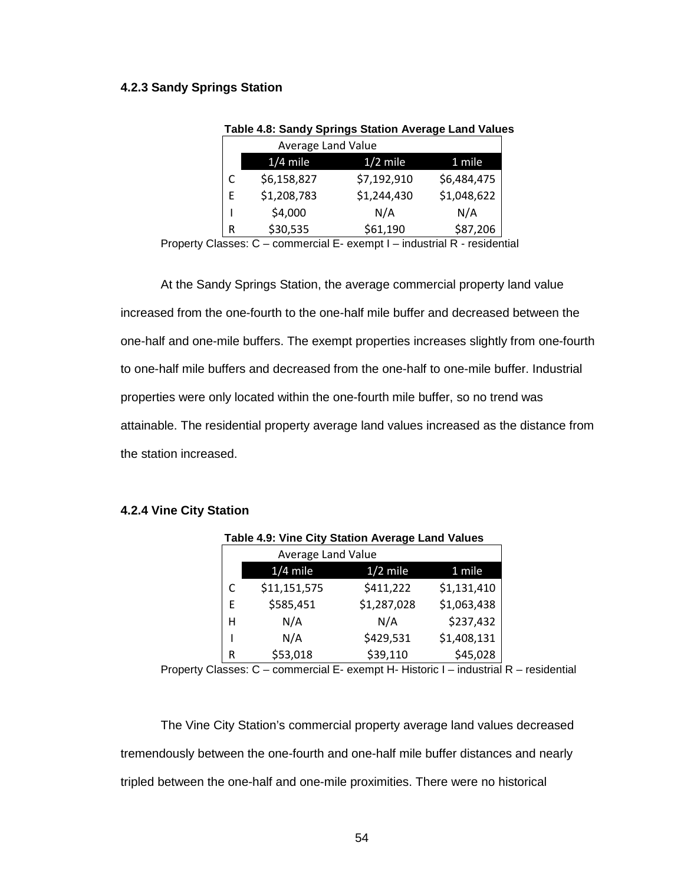## **4.2.3 Sandy Springs Station**

| <b>Average Land Value</b> |             |             |             |  |
|---------------------------|-------------|-------------|-------------|--|
|                           | $1/4$ mile  | $1/2$ mile  | 1 mile      |  |
|                           | \$6,158,827 | \$7,192,910 | \$6,484,475 |  |
| F                         | \$1,208,783 | \$1,244,430 | \$1,048,622 |  |
|                           | \$4,000     | N/A         | N/A         |  |
| R                         | \$30,535    | \$61,190    | \$87,206    |  |

#### **Table 4.8: Sandy Springs Station Average Land Values**

Property Classes: C – commercial E- exempt I – industrial R - residential

At the Sandy Springs Station, the average commercial property land value increased from the one-fourth to the one-half mile buffer and decreased between the one-half and one-mile buffers. The exempt properties increases slightly from one-fourth to one-half mile buffers and decreased from the one-half to one-mile buffer. Industrial properties were only located within the one-fourth mile buffer, so no trend was attainable. The residential property average land values increased as the distance from the station increased.

#### **4.2.4 Vine City Station**

|   | Table 4.9: Vine City Station Average Land Values |             |             |  |  |
|---|--------------------------------------------------|-------------|-------------|--|--|
|   | <b>Average Land Value</b>                        |             |             |  |  |
|   | $1/4$ mile<br>$1/2$ mile<br>1 mile               |             |             |  |  |
|   | \$11,151,575                                     | \$411,222   | \$1,131,410 |  |  |
| E | \$585,451                                        | \$1,287,028 | \$1,063,438 |  |  |
| н | N/A                                              | N/A         | \$237,432   |  |  |
|   | N/A                                              | \$429,531   | \$1,408,131 |  |  |
| R | \$53,018                                         | \$39,110    | \$45,028    |  |  |

Property Classes: C – commercial E- exempt H- Historic I – industrial R – residential

The Vine City Station's commercial property average land values decreased tremendously between the one-fourth and one-half mile buffer distances and nearly tripled between the one-half and one-mile proximities. There were no historical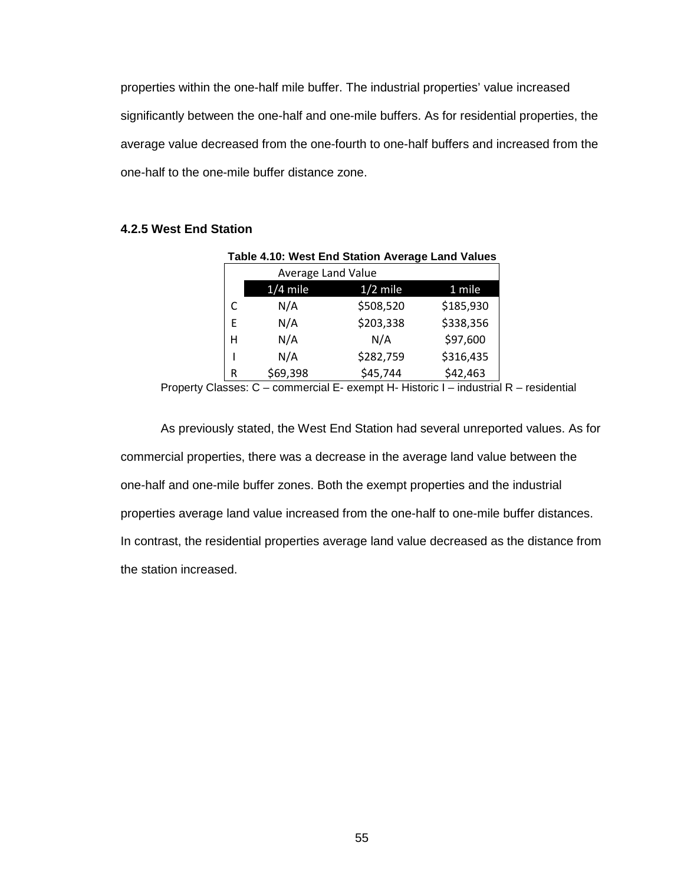properties within the one-half mile buffer. The industrial properties' value increased significantly between the one-half and one-mile buffers. As for residential properties, the average value decreased from the one-fourth to one-half buffers and increased from the one-half to the one-mile buffer distance zone.

# **4.2.5 West End Station**

| Table 4.10: West End Station Average Land Values |            |            |           |  |  |
|--------------------------------------------------|------------|------------|-----------|--|--|
| Average Land Value                               |            |            |           |  |  |
|                                                  | $1/4$ mile | $1/2$ mile | 1 mile    |  |  |
|                                                  | N/A        | \$508,520  | \$185,930 |  |  |
| E                                                | N/A        | \$203,338  | \$338,356 |  |  |
| н                                                | N/A        | N/A        | \$97,600  |  |  |
|                                                  | N/A        | \$282,759  | \$316,435 |  |  |
| R                                                | \$69,398   | \$45,744   | \$42,463  |  |  |

Property Classes: C – commercial E- exempt H- Historic I – industrial R – residential

As previously stated, the West End Station had several unreported values. As for commercial properties, there was a decrease in the average land value between the one-half and one-mile buffer zones. Both the exempt properties and the industrial properties average land value increased from the one-half to one-mile buffer distances. In contrast, the residential properties average land value decreased as the distance from the station increased.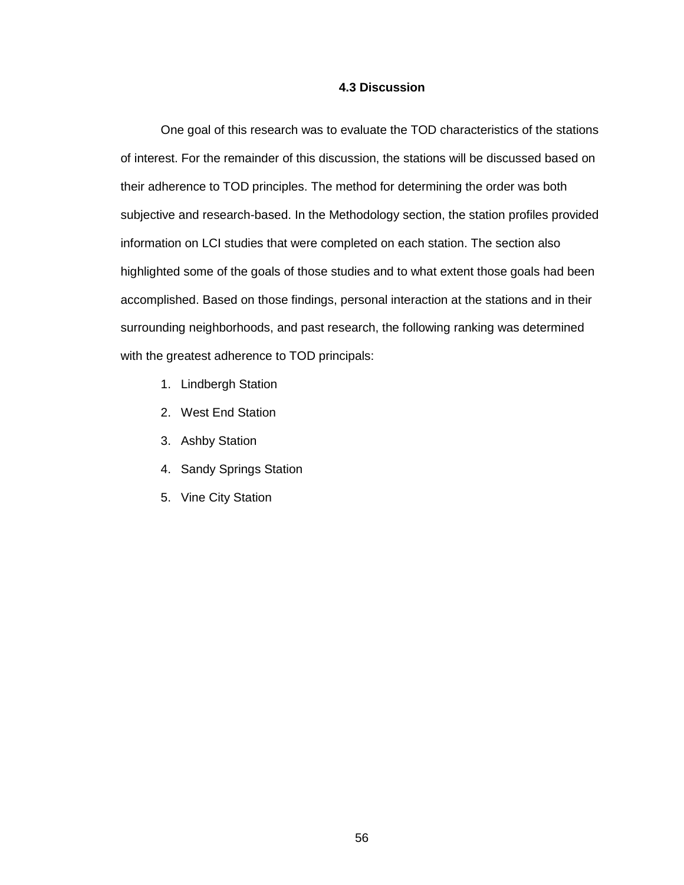## **4.3 Discussion**

One goal of this research was to evaluate the TOD characteristics of the stations of interest. For the remainder of this discussion, the stations will be discussed based on their adherence to TOD principles. The method for determining the order was both subjective and research-based. In the Methodology section, the station profiles provided information on LCI studies that were completed on each station. The section also highlighted some of the goals of those studies and to what extent those goals had been accomplished. Based on those findings, personal interaction at the stations and in their surrounding neighborhoods, and past research, the following ranking was determined with the greatest adherence to TOD principals:

- 1. Lindbergh Station
- 2. West End Station
- 3. Ashby Station
- 4. Sandy Springs Station
- 5. Vine City Station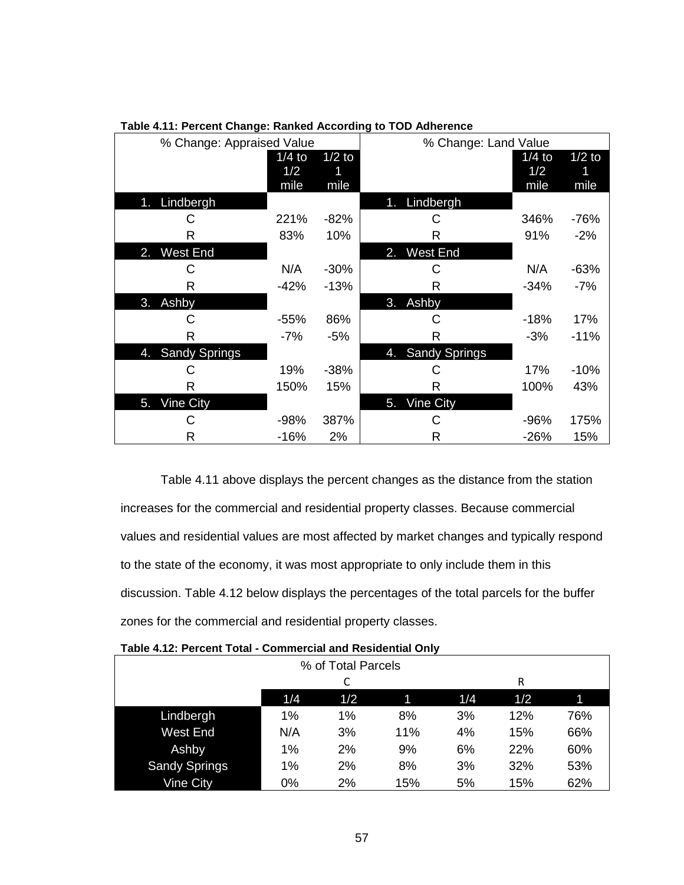| % Change: Appraised Value  |                         |                  | % Change: Land Value     |                         |                  |
|----------------------------|-------------------------|------------------|--------------------------|-------------------------|------------------|
|                            | $1/4$ to<br>1/2<br>mile | $1/2$ to<br>mile |                          | $1/4$ to<br>1/2<br>mile | $1/2$ to<br>mile |
| Lindbergh<br>1.            |                         |                  | Lindbergh<br>$\bigoplus$ |                         |                  |
| С                          | 221%                    | $-82%$           | С                        | 346%                    | -76%             |
| R                          | 83%                     | 10%              | R                        | 91%                     | $-2%$            |
| <b>West End</b><br>2.      |                         |                  | <b>West End</b><br>2.    |                         |                  |
| С                          | N/A                     | $-30%$           | С                        | N/A                     | -63%             |
| R                          | $-42%$                  | $-13%$           | R                        | $-34%$                  | $-7%$            |
| Ashby<br>3.                |                         |                  | Ashby<br>3.              |                         |                  |
| С                          | $-55%$                  | 86%              | С                        | $-18%$                  | 17%              |
| R                          | $-7%$                   | $-5%$            | R                        | $-3%$                   | $-11%$           |
| <b>Sandy Springs</b><br>45 |                         |                  | 4. Sandy Springs         |                         |                  |
| С                          | 19%                     | $-38%$           | C                        | 17%                     | $-10%$           |
| R                          | 150%                    | 15%              | R                        | 100%                    | 43%              |
| Vine City<br>5.            |                         |                  | <b>Vine City</b><br>5.   |                         |                  |
| С                          | $-98%$                  | 387%             | С                        | $-96%$                  | 175%             |
| R                          | $-16%$                  | 2%               | R                        | $-26%$                  | 15%              |

# **Table 4.11: Percent Change: Ranked According to TOD Adherence**

Table 4.11 above displays the percent changes as the distance from the station increases for the commercial and residential property classes. Because commercial values and residential values are most affected by market changes and typically respond to the state of the economy, it was most appropriate to only include them in this discussion. Table 4.12 below displays the percentages of the total parcels for the buffer zones for the commercial and residential property classes.

| % of Total Parcels   |     |     |     |     |     |     |
|----------------------|-----|-----|-----|-----|-----|-----|
|                      |     |     |     |     | R   |     |
|                      | 1/4 | 1/2 | 1   | 1/4 | 1/2 | 1   |
| Lindbergh            | 1%  | 1%  | 8%  | 3%  | 12% | 76% |
| <b>West End</b>      | N/A | 3%  | 11% | 4%  | 15% | 66% |
| Ashby                | 1%  | 2%  | 9%  | 6%  | 22% | 60% |
| <b>Sandy Springs</b> | 1%  | 2%  | 8%  | 3%  | 32% | 53% |
| <b>Vine City</b>     | 0%  | 2%  | 15% | 5%  | 15% | 62% |

|  |  | Table 4.12: Percent Total - Commercial and Residential Only |  |
|--|--|-------------------------------------------------------------|--|
|--|--|-------------------------------------------------------------|--|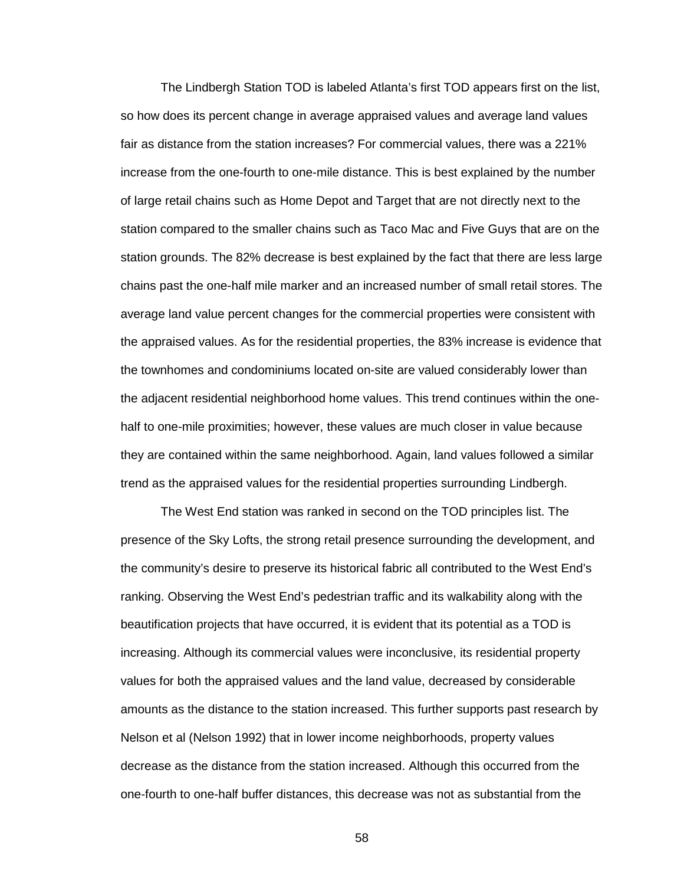The Lindbergh Station TOD is labeled Atlanta's first TOD appears first on the list, so how does its percent change in average appraised values and average land values fair as distance from the station increases? For commercial values, there was a 221% increase from the one-fourth to one-mile distance. This is best explained by the number of large retail chains such as Home Depot and Target that are not directly next to the station compared to the smaller chains such as Taco Mac and Five Guys that are on the station grounds. The 82% decrease is best explained by the fact that there are less large chains past the one-half mile marker and an increased number of small retail stores. The average land value percent changes for the commercial properties were consistent with the appraised values. As for the residential properties, the 83% increase is evidence that the townhomes and condominiums located on-site are valued considerably lower than the adjacent residential neighborhood home values. This trend continues within the onehalf to one-mile proximities; however, these values are much closer in value because they are contained within the same neighborhood. Again, land values followed a similar trend as the appraised values for the residential properties surrounding Lindbergh.

The West End station was ranked in second on the TOD principles list. The presence of the Sky Lofts, the strong retail presence surrounding the development, and the community's desire to preserve its historical fabric all contributed to the West End's ranking. Observing the West End's pedestrian traffic and its walkability along with the beautification projects that have occurred, it is evident that its potential as a TOD is increasing. Although its commercial values were inconclusive, its residential property values for both the appraised values and the land value, decreased by considerable amounts as the distance to the station increased. This further supports past research by Nelson et al (Nelson 1992) that in lower income neighborhoods, property values decrease as the distance from the station increased. Although this occurred from the one-fourth to one-half buffer distances, this decrease was not as substantial from the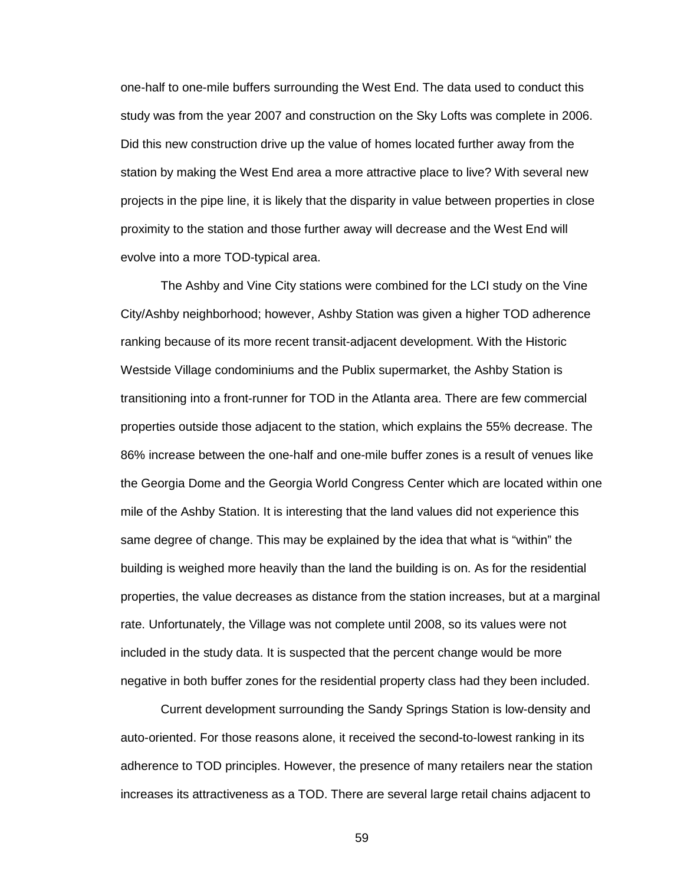one-half to one-mile buffers surrounding the West End. The data used to conduct this study was from the year 2007 and construction on the Sky Lofts was complete in 2006. Did this new construction drive up the value of homes located further away from the station by making the West End area a more attractive place to live? With several new projects in the pipe line, it is likely that the disparity in value between properties in close proximity to the station and those further away will decrease and the West End will evolve into a more TOD-typical area.

The Ashby and Vine City stations were combined for the LCI study on the Vine City/Ashby neighborhood; however, Ashby Station was given a higher TOD adherence ranking because of its more recent transit-adjacent development. With the Historic Westside Village condominiums and the Publix supermarket, the Ashby Station is transitioning into a front-runner for TOD in the Atlanta area. There are few commercial properties outside those adjacent to the station, which explains the 55% decrease. The 86% increase between the one-half and one-mile buffer zones is a result of venues like the Georgia Dome and the Georgia World Congress Center which are located within one mile of the Ashby Station. It is interesting that the land values did not experience this same degree of change. This may be explained by the idea that what is "within" the building is weighed more heavily than the land the building is on. As for the residential properties, the value decreases as distance from the station increases, but at a marginal rate. Unfortunately, the Village was not complete until 2008, so its values were not included in the study data. It is suspected that the percent change would be more negative in both buffer zones for the residential property class had they been included.

Current development surrounding the Sandy Springs Station is low-density and auto-oriented. For those reasons alone, it received the second-to-lowest ranking in its adherence to TOD principles. However, the presence of many retailers near the station increases its attractiveness as a TOD. There are several large retail chains adjacent to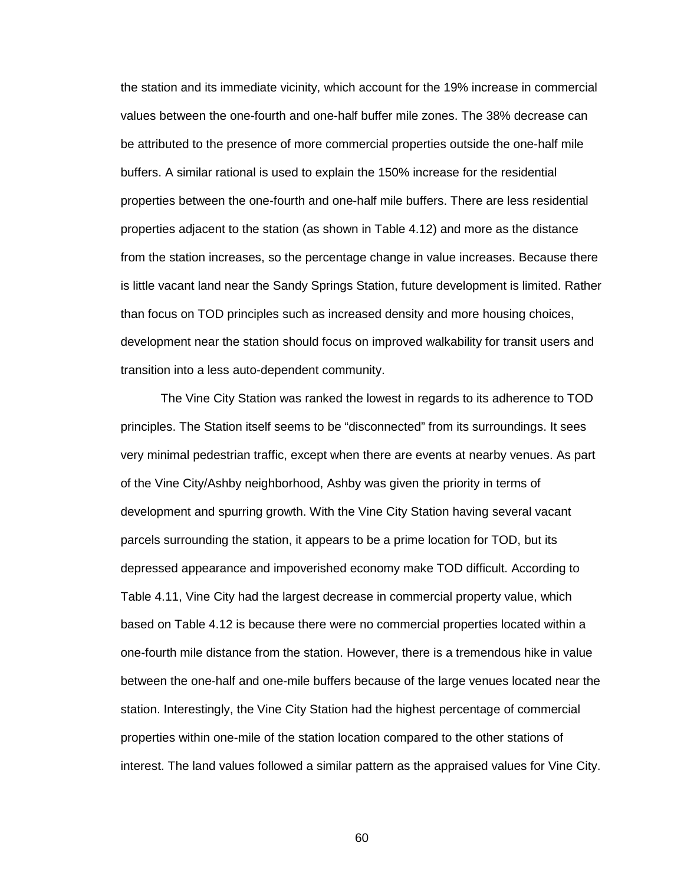the station and its immediate vicinity, which account for the 19% increase in commercial values between the one-fourth and one-half buffer mile zones. The 38% decrease can be attributed to the presence of more commercial properties outside the one-half mile buffers. A similar rational is used to explain the 150% increase for the residential properties between the one-fourth and one-half mile buffers. There are less residential properties adjacent to the station (as shown in Table 4.12) and more as the distance from the station increases, so the percentage change in value increases. Because there is little vacant land near the Sandy Springs Station, future development is limited. Rather than focus on TOD principles such as increased density and more housing choices, development near the station should focus on improved walkability for transit users and transition into a less auto-dependent community.

The Vine City Station was ranked the lowest in regards to its adherence to TOD principles. The Station itself seems to be "disconnected" from its surroundings. It sees very minimal pedestrian traffic, except when there are events at nearby venues. As part of the Vine City/Ashby neighborhood, Ashby was given the priority in terms of development and spurring growth. With the Vine City Station having several vacant parcels surrounding the station, it appears to be a prime location for TOD, but its depressed appearance and impoverished economy make TOD difficult. According to Table 4.11, Vine City had the largest decrease in commercial property value, which based on Table 4.12 is because there were no commercial properties located within a one-fourth mile distance from the station. However, there is a tremendous hike in value between the one-half and one-mile buffers because of the large venues located near the station. Interestingly, the Vine City Station had the highest percentage of commercial properties within one-mile of the station location compared to the other stations of interest. The land values followed a similar pattern as the appraised values for Vine City.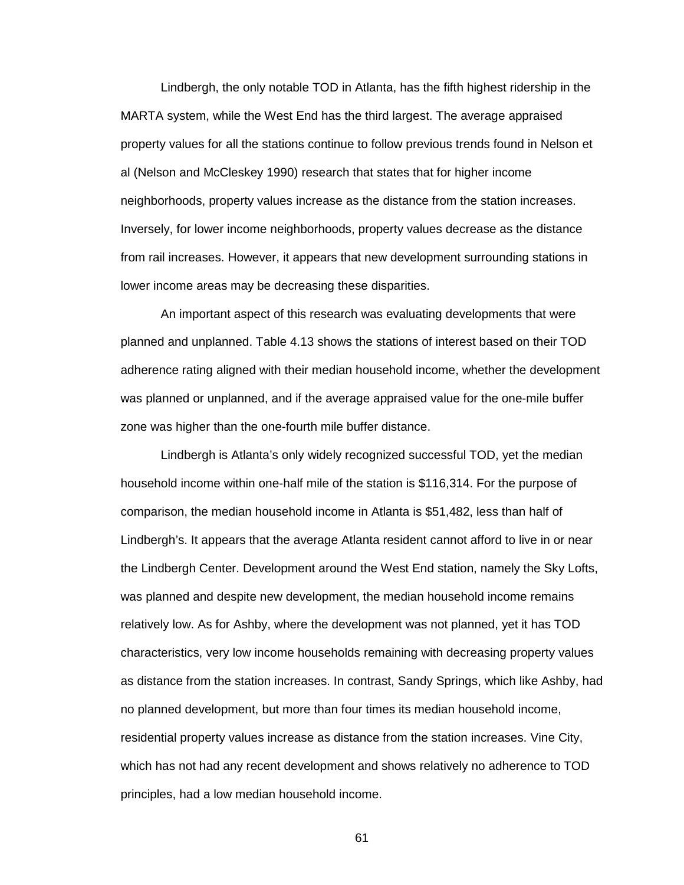Lindbergh, the only notable TOD in Atlanta, has the fifth highest ridership in the MARTA system, while the West End has the third largest. The average appraised property values for all the stations continue to follow previous trends found in Nelson et al (Nelson and McCleskey 1990) research that states that for higher income neighborhoods, property values increase as the distance from the station increases. Inversely, for lower income neighborhoods, property values decrease as the distance from rail increases. However, it appears that new development surrounding stations in lower income areas may be decreasing these disparities.

 An important aspect of this research was evaluating developments that were planned and unplanned. Table 4.13 shows the stations of interest based on their TOD adherence rating aligned with their median household income, whether the development was planned or unplanned, and if the average appraised value for the one-mile buffer zone was higher than the one-fourth mile buffer distance.

 Lindbergh is Atlanta's only widely recognized successful TOD, yet the median household income within one-half mile of the station is \$116,314. For the purpose of comparison, the median household income in Atlanta is \$51,482, less than half of Lindbergh's. It appears that the average Atlanta resident cannot afford to live in or near the Lindbergh Center. Development around the West End station, namely the Sky Lofts, was planned and despite new development, the median household income remains relatively low. As for Ashby, where the development was not planned, yet it has TOD characteristics, very low income households remaining with decreasing property values as distance from the station increases. In contrast, Sandy Springs, which like Ashby, had no planned development, but more than four times its median household income, residential property values increase as distance from the station increases. Vine City, which has not had any recent development and shows relatively no adherence to TOD principles, had a low median household income.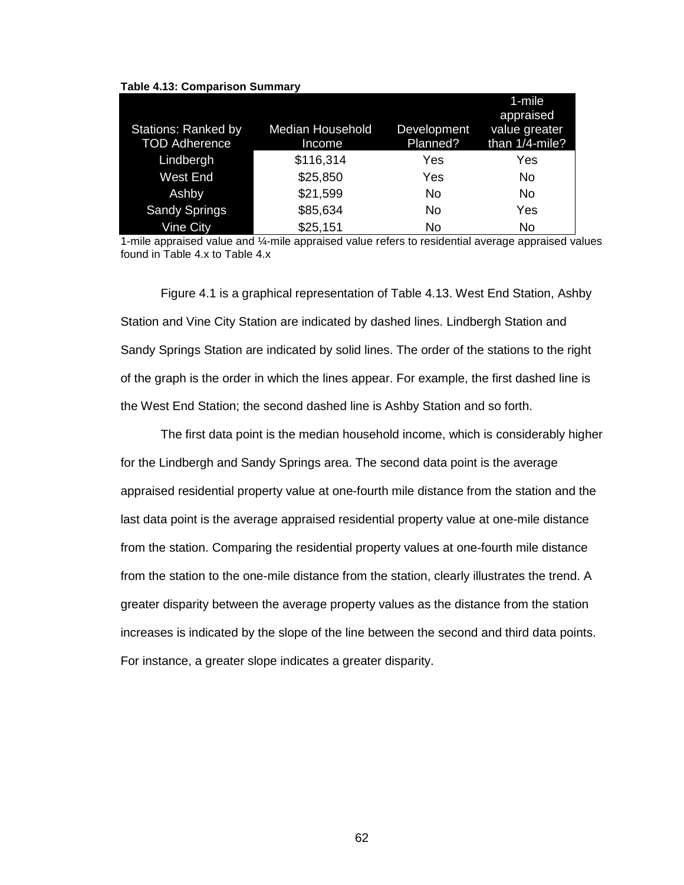| <b>Stations: Ranked by</b><br><b>TOD Adherence</b> | <b>Median Household</b><br>Income | Development<br>Planned? | 1-mile<br>appraised<br>value greater<br>than 1/4-mile? |
|----------------------------------------------------|-----------------------------------|-------------------------|--------------------------------------------------------|
| Lindbergh                                          | \$116,314                         | Yes                     | Yes                                                    |
| <b>West End</b>                                    | \$25,850                          | Yes                     | No                                                     |
| Ashby                                              | \$21,599                          | No                      | No                                                     |
| <b>Sandy Springs</b>                               | \$85,634                          | No                      | Yes                                                    |
| <b>Vine City</b>                                   | \$25,151                          | No                      | No                                                     |

#### **Table 4.13: Comparison Summary**

1-mile appraised value and ¼-mile appraised value refers to residential average appraised values found in Table 4.x to Table 4.x

Figure 4.1 is a graphical representation of Table 4.13. West End Station, Ashby Station and Vine City Station are indicated by dashed lines. Lindbergh Station and Sandy Springs Station are indicated by solid lines. The order of the stations to the right of the graph is the order in which the lines appear. For example, the first dashed line is the West End Station; the second dashed line is Ashby Station and so forth.

 The first data point is the median household income, which is considerably higher for the Lindbergh and Sandy Springs area. The second data point is the average appraised residential property value at one-fourth mile distance from the station and the last data point is the average appraised residential property value at one-mile distance from the station. Comparing the residential property values at one-fourth mile distance from the station to the one-mile distance from the station, clearly illustrates the trend. A greater disparity between the average property values as the distance from the station increases is indicated by the slope of the line between the second and third data points. For instance, a greater slope indicates a greater disparity.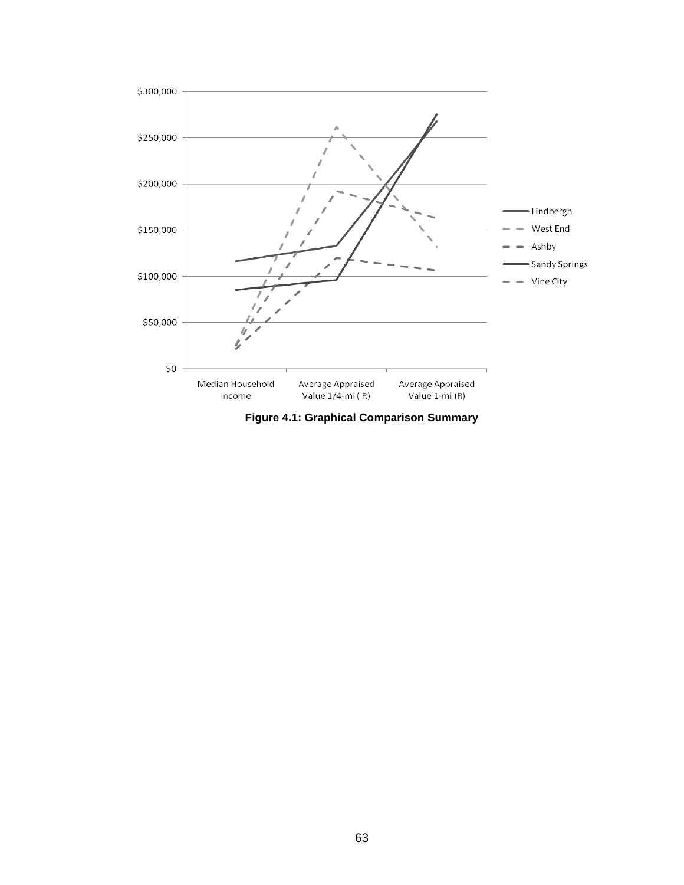

**Figure 4.1: Graphical Comparison Summary**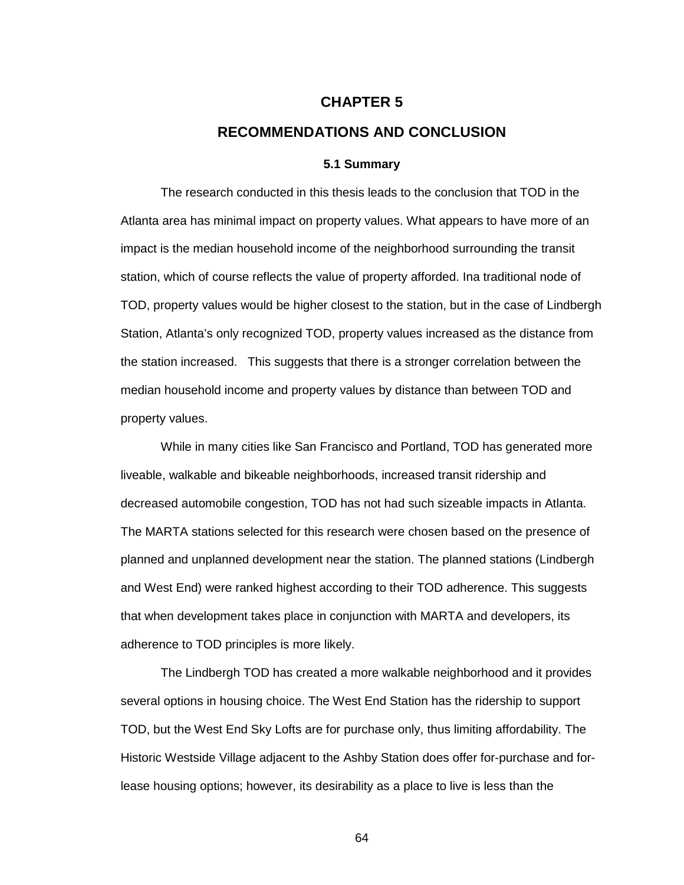# **CHAPTER 5**

# **RECOMMENDATIONS AND CONCLUSION**

#### **5.1 Summary**

 The research conducted in this thesis leads to the conclusion that TOD in the Atlanta area has minimal impact on property values. What appears to have more of an impact is the median household income of the neighborhood surrounding the transit station, which of course reflects the value of property afforded. Ina traditional node of TOD, property values would be higher closest to the station, but in the case of Lindbergh Station, Atlanta's only recognized TOD, property values increased as the distance from the station increased. This suggests that there is a stronger correlation between the median household income and property values by distance than between TOD and property values.

 While in many cities like San Francisco and Portland, TOD has generated more liveable, walkable and bikeable neighborhoods, increased transit ridership and decreased automobile congestion, TOD has not had such sizeable impacts in Atlanta. The MARTA stations selected for this research were chosen based on the presence of planned and unplanned development near the station. The planned stations (Lindbergh and West End) were ranked highest according to their TOD adherence. This suggests that when development takes place in conjunction with MARTA and developers, its adherence to TOD principles is more likely.

 The Lindbergh TOD has created a more walkable neighborhood and it provides several options in housing choice. The West End Station has the ridership to support TOD, but the West End Sky Lofts are for purchase only, thus limiting affordability. The Historic Westside Village adjacent to the Ashby Station does offer for-purchase and forlease housing options; however, its desirability as a place to live is less than the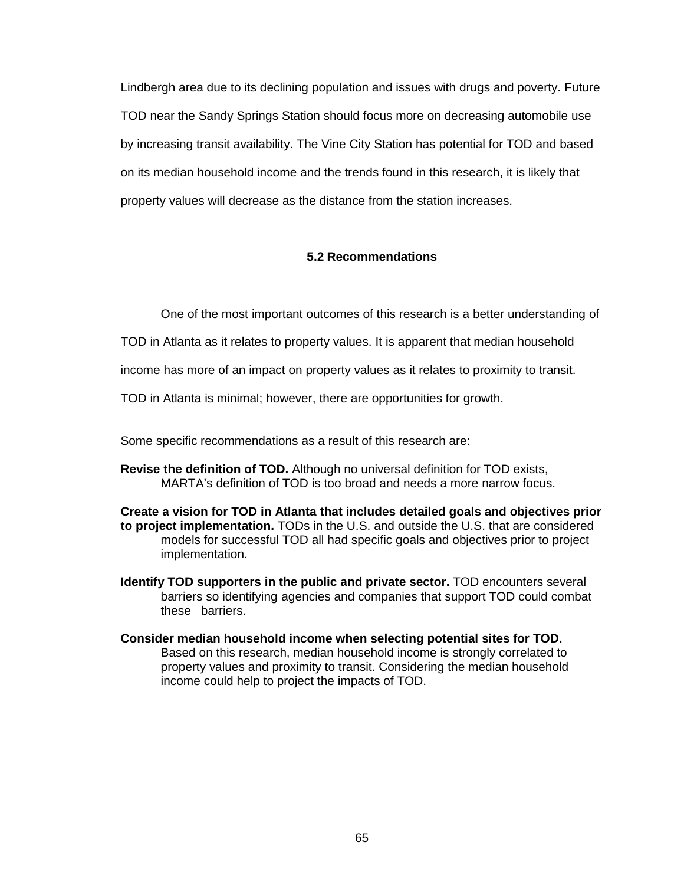Lindbergh area due to its declining population and issues with drugs and poverty. Future TOD near the Sandy Springs Station should focus more on decreasing automobile use by increasing transit availability. The Vine City Station has potential for TOD and based on its median household income and the trends found in this research, it is likely that property values will decrease as the distance from the station increases.

#### **5.2 Recommendations**

One of the most important outcomes of this research is a better understanding of

TOD in Atlanta as it relates to property values. It is apparent that median household

income has more of an impact on property values as it relates to proximity to transit.

TOD in Atlanta is minimal; however, there are opportunities for growth.

Some specific recommendations as a result of this research are:

**Revise the definition of TOD.** Although no universal definition for TOD exists, MARTA's definition of TOD is too broad and needs a more narrow focus.

**Create a vision for TOD in Atlanta that includes detailed goals and objectives prior to project implementation.** TODs in the U.S. and outside the U.S. that are considered models for successful TOD all had specific goals and objectives prior to project implementation.

- **Identify TOD supporters in the public and private sector.** TOD encounters several barriers so identifying agencies and companies that support TOD could combat these barriers.
- **Consider median household income when selecting potential sites for TOD.**  Based on this research, median household income is strongly correlated to property values and proximity to transit. Considering the median household income could help to project the impacts of TOD.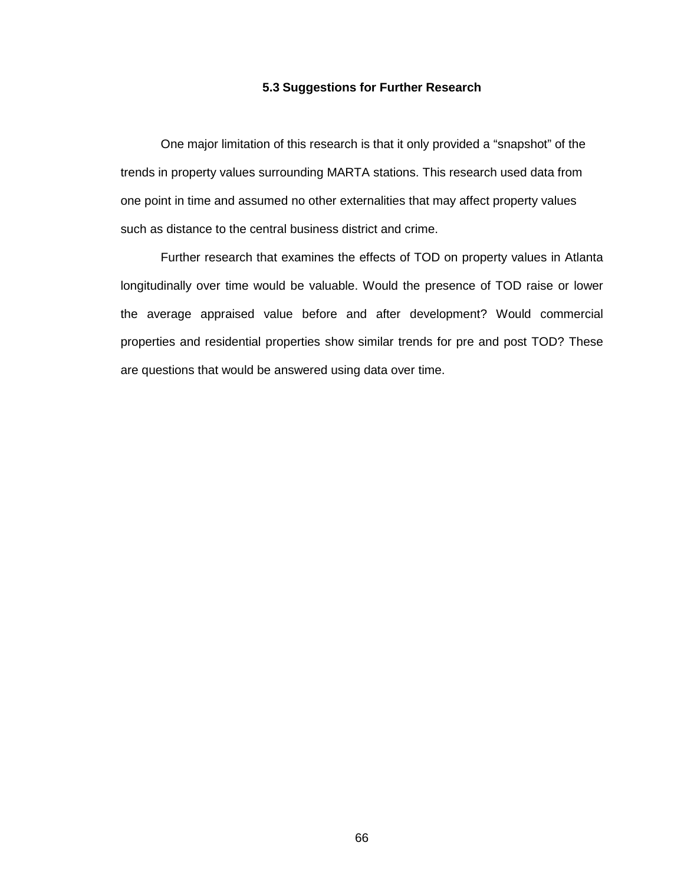#### **5.3 Suggestions for Further Research**

 One major limitation of this research is that it only provided a "snapshot" of the trends in property values surrounding MARTA stations. This research used data from one point in time and assumed no other externalities that may affect property values such as distance to the central business district and crime.

 Further research that examines the effects of TOD on property values in Atlanta longitudinally over time would be valuable. Would the presence of TOD raise or lower the average appraised value before and after development? Would commercial properties and residential properties show similar trends for pre and post TOD? These are questions that would be answered using data over time.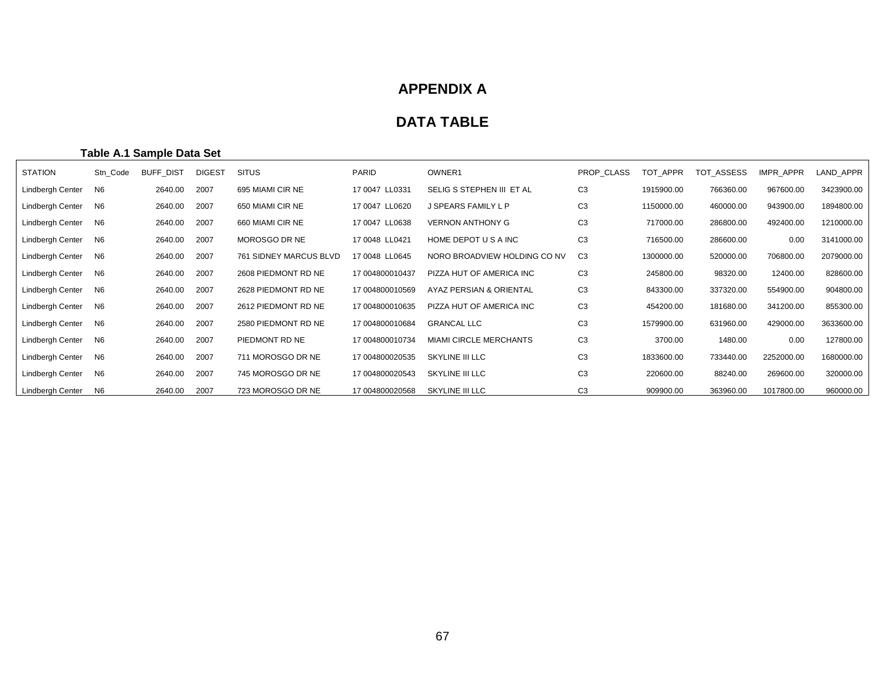# **APPENDIX A**

# **DATA TABLE**

### **Table A.1 Sample Data Set**

| <b>STATION</b>   | Stn Code       | <b>BUFF DIST</b> | <b>DIGEST</b> | <b>SITUS</b>           | <b>PARID</b>    | OWNER1                        | PROP CLASS     | TOT APPR   | TOT ASSESS | IMPR_APPR  | LAND APPR  |
|------------------|----------------|------------------|---------------|------------------------|-----------------|-------------------------------|----------------|------------|------------|------------|------------|
| Lindbergh Center | N6             | 2640.00          | 2007          | 695 MIAMI CIR NE       | 17 0047 LL0331  | SELIG S STEPHEN III ET AL     | C <sub>3</sub> | 1915900.00 | 766360.00  | 967600.00  | 3423900.00 |
| Lindbergh Center | N6             | 2640.00          | 2007          | 650 MIAMI CIR NE       | 17 0047 LL0620  | J SPEARS FAMILY L P           | C <sub>3</sub> | 1150000.00 | 460000.00  | 943900.00  | 1894800.00 |
| Lindbergh Center | N <sub>6</sub> | 2640.00          | 2007          | 660 MIAMI CIR NE       | 17 0047 LL0638  | <b>VERNON ANTHONY G</b>       | C <sub>3</sub> | 717000.00  | 286800.00  | 492400.00  | 1210000.00 |
| Lindbergh Center | N6             | 2640.00          | 2007          | MOROSGO DR NE          | 17 0048 LL0421  | HOME DEPOT U S A INC          | C <sub>3</sub> | 716500.00  | 286600.00  | 0.00       | 3141000.00 |
| Lindbergh Center | N6             | 2640.00          | 2007          | 761 SIDNEY MARCUS BLVD | 17 0048 LL0645  | NORO BROADVIEW HOLDING CO NV  | C <sub>3</sub> | 1300000.00 | 520000.00  | 706800.00  | 2079000.00 |
| Lindbergh Center | N <sub>6</sub> | 2640.00          | 2007          | 2608 PIEDMONT RD NE    | 17 004800010437 | PIZZA HUT OF AMERICA INC      | C <sub>3</sub> | 245800.00  | 98320.00   | 12400.00   | 828600.00  |
| Lindbergh Center | N6             | 2640.00          | 2007          | 2628 PIEDMONT RD NE    | 17 004800010569 | AYAZ PERSIAN & ORIENTAL       | C <sub>3</sub> | 843300.00  | 337320.00  | 554900.00  | 904800.00  |
| Lindbergh Center | N <sub>6</sub> | 2640.00          | 2007          | 2612 PIEDMONT RD NE    | 17 004800010635 | PIZZA HUT OF AMERICA INC      | C <sub>3</sub> | 454200.00  | 181680.00  | 341200.00  | 855300.00  |
| Lindbergh Center | N <sub>6</sub> | 2640.00          | 2007          | 2580 PIEDMONT RD NE    | 17 004800010684 | <b>GRANCAL LLC</b>            | C <sub>3</sub> | 1579900.00 | 631960.00  | 429000.00  | 3633600.00 |
| Lindbergh Center | N <sub>6</sub> | 2640.00          | 2007          | PIEDMONT RD NE         | 17 004800010734 | <b>MIAMI CIRCLE MERCHANTS</b> | C <sub>3</sub> | 3700.00    | 1480.00    | 0.00       | 127800.00  |
| Lindbergh Center | N6             | 2640.00          | 2007          | 711 MOROSGO DR NE      | 17 004800020535 | SKYLINE III LLC               | C <sub>3</sub> | 1833600.00 | 733440.00  | 2252000.00 | 1680000.00 |
| Lindbergh Center | N <sub>6</sub> | 2640.00          | 2007          | 745 MOROSGO DR NE      | 17 004800020543 | SKYLINE III LLC               | C <sub>3</sub> | 220600.00  | 88240.00   | 269600.00  | 320000.00  |
| Lindbergh Center | N6             | 2640.00          | 2007          | 723 MOROSGO DR NE      | 17 004800020568 | SKYLINE III LLC               | C <sub>3</sub> | 909900.00  | 363960.00  | 1017800.00 | 960000.00  |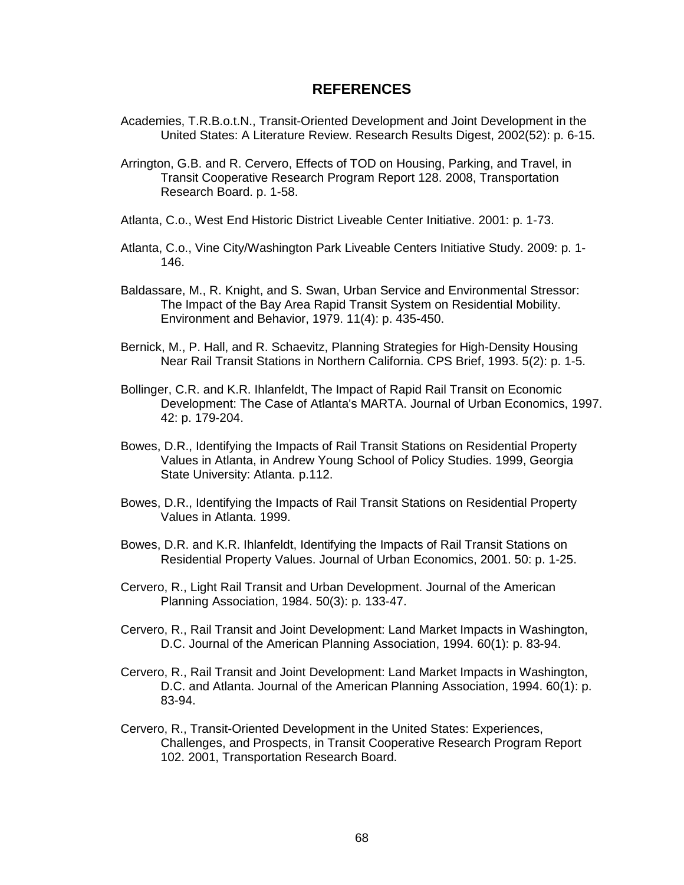### **REFERENCES**

- Academies, T.R.B.o.t.N., Transit-Oriented Development and Joint Development in the United States: A Literature Review. Research Results Digest, 2002(52): p. 6-15.
- Arrington, G.B. and R. Cervero, Effects of TOD on Housing, Parking, and Travel, in Transit Cooperative Research Program Report 128. 2008, Transportation Research Board. p. 1-58.
- Atlanta, C.o., West End Historic District Liveable Center Initiative. 2001: p. 1-73.
- Atlanta, C.o., Vine City/Washington Park Liveable Centers Initiative Study. 2009: p. 1- 146.
- Baldassare, M., R. Knight, and S. Swan, Urban Service and Environmental Stressor: The Impact of the Bay Area Rapid Transit System on Residential Mobility. Environment and Behavior, 1979. 11(4): p. 435-450.
- Bernick, M., P. Hall, and R. Schaevitz, Planning Strategies for High-Density Housing Near Rail Transit Stations in Northern California. CPS Brief, 1993. 5(2): p. 1-5.
- Bollinger, C.R. and K.R. Ihlanfeldt, The Impact of Rapid Rail Transit on Economic Development: The Case of Atlanta's MARTA. Journal of Urban Economics, 1997. 42: p. 179-204.
- Bowes, D.R., Identifying the Impacts of Rail Transit Stations on Residential Property Values in Atlanta, in Andrew Young School of Policy Studies. 1999, Georgia State University: Atlanta. p.112.
- Bowes, D.R., Identifying the Impacts of Rail Transit Stations on Residential Property Values in Atlanta. 1999.
- Bowes, D.R. and K.R. Ihlanfeldt, Identifying the Impacts of Rail Transit Stations on Residential Property Values. Journal of Urban Economics, 2001. 50: p. 1-25.
- Cervero, R., Light Rail Transit and Urban Development. Journal of the American Planning Association, 1984. 50(3): p. 133-47.
- Cervero, R., Rail Transit and Joint Development: Land Market Impacts in Washington, D.C. Journal of the American Planning Association, 1994. 60(1): p. 83-94.
- Cervero, R., Rail Transit and Joint Development: Land Market Impacts in Washington, D.C. and Atlanta. Journal of the American Planning Association, 1994. 60(1): p. 83-94.
- Cervero, R., Transit-Oriented Development in the United States: Experiences, Challenges, and Prospects, in Transit Cooperative Research Program Report 102. 2001, Transportation Research Board.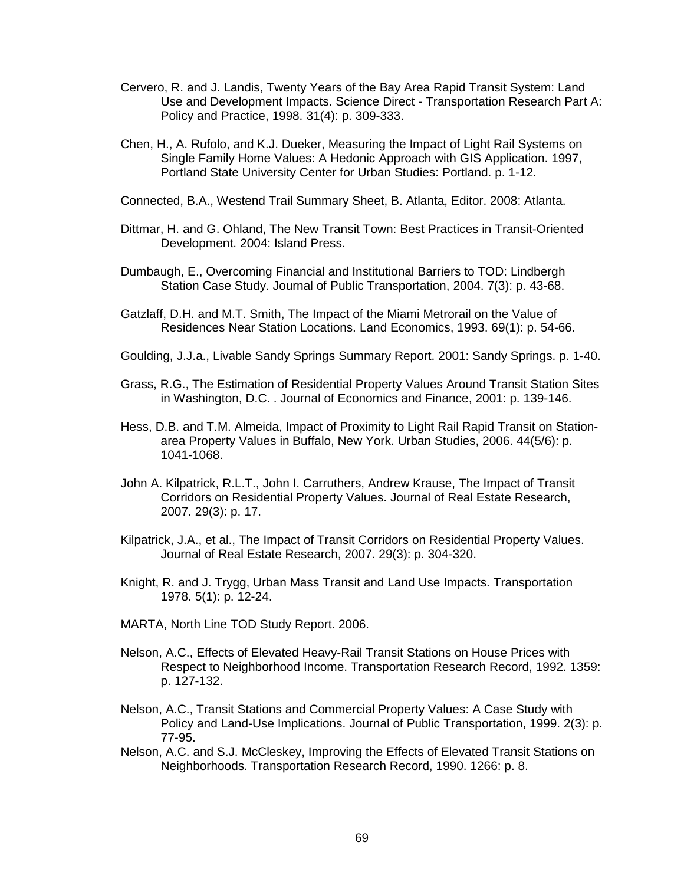- Cervero, R. and J. Landis, Twenty Years of the Bay Area Rapid Transit System: Land Use and Development Impacts. Science Direct - Transportation Research Part A: Policy and Practice, 1998. 31(4): p. 309-333.
- Chen, H., A. Rufolo, and K.J. Dueker, Measuring the Impact of Light Rail Systems on Single Family Home Values: A Hedonic Approach with GIS Application. 1997, Portland State University Center for Urban Studies: Portland. p. 1-12.
- Connected, B.A., Westend Trail Summary Sheet, B. Atlanta, Editor. 2008: Atlanta.
- Dittmar, H. and G. Ohland, The New Transit Town: Best Practices in Transit-Oriented Development. 2004: Island Press.
- Dumbaugh, E., Overcoming Financial and Institutional Barriers to TOD: Lindbergh Station Case Study. Journal of Public Transportation, 2004. 7(3): p. 43-68.
- Gatzlaff, D.H. and M.T. Smith, The Impact of the Miami Metrorail on the Value of Residences Near Station Locations. Land Economics, 1993. 69(1): p. 54-66.
- Goulding, J.J.a., Livable Sandy Springs Summary Report. 2001: Sandy Springs. p. 1-40.
- Grass, R.G., The Estimation of Residential Property Values Around Transit Station Sites in Washington, D.C. . Journal of Economics and Finance, 2001: p. 139-146.
- Hess, D.B. and T.M. Almeida, Impact of Proximity to Light Rail Rapid Transit on Stationarea Property Values in Buffalo, New York. Urban Studies, 2006. 44(5/6): p. 1041-1068.
- John A. Kilpatrick, R.L.T., John I. Carruthers, Andrew Krause, The Impact of Transit Corridors on Residential Property Values. Journal of Real Estate Research, 2007. 29(3): p. 17.
- Kilpatrick, J.A., et al., The Impact of Transit Corridors on Residential Property Values. Journal of Real Estate Research, 2007. 29(3): p. 304-320.
- Knight, R. and J. Trygg, Urban Mass Transit and Land Use Impacts. Transportation 1978. 5(1): p. 12-24.
- MARTA, North Line TOD Study Report. 2006.
- Nelson, A.C., Effects of Elevated Heavy-Rail Transit Stations on House Prices with Respect to Neighborhood Income. Transportation Research Record, 1992. 1359: p. 127-132.
- Nelson, A.C., Transit Stations and Commercial Property Values: A Case Study with Policy and Land-Use Implications. Journal of Public Transportation, 1999. 2(3): p. 77-95.
- Nelson, A.C. and S.J. McCleskey, Improving the Effects of Elevated Transit Stations on Neighborhoods. Transportation Research Record, 1990. 1266: p. 8.